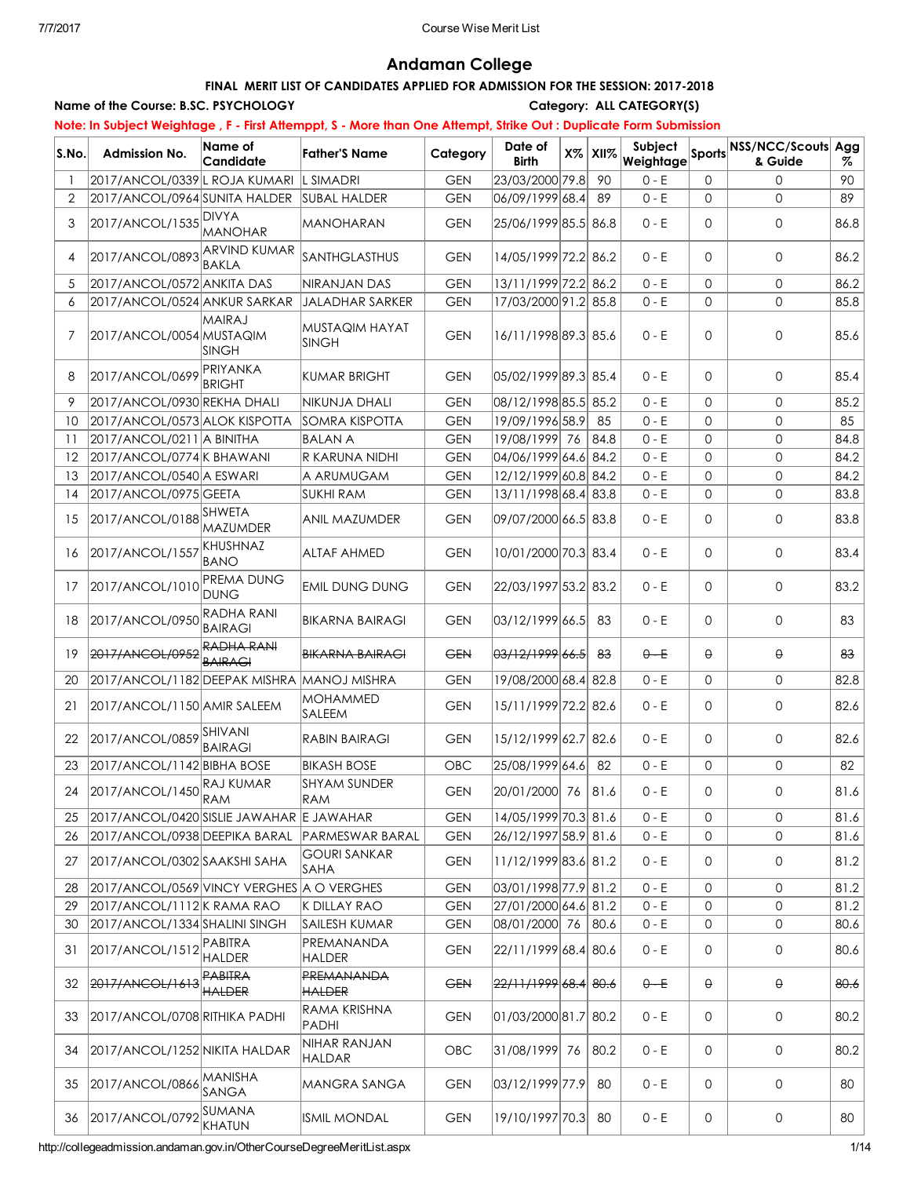## Andaman College

## FINAL MERIT LIST OF CANDIDATES APPLIED FOR ADMISSION FOR THE SESSION: 2017-2018

Name of the Course: B.SC. PSYCHOLOGY Category: ALL CATEGORY(S)

## Note: In Subject Weightage, F - First Attemppt, S - More than One Attempt, Strike Out : Duplicate Form Submission

|                |                                            |                                     | <b>The Andrippi, all more man one Andripi, enne our : Dephoard</b> |            |                         |                |                      |              |                                      |      |
|----------------|--------------------------------------------|-------------------------------------|--------------------------------------------------------------------|------------|-------------------------|----------------|----------------------|--------------|--------------------------------------|------|
| S.No.          | <b>Admission No.</b>                       | Name of<br>Candidate                | <b>Father'S Name</b>                                               | Category   | Date of<br><b>Birth</b> | $X\%$ XII $\%$ | Subject<br>Weightage |              | Sports NSS/NCC/Scouts Agg<br>& Guide | %    |
|                | 2017/ANCOL/0339 L ROJA KUMARI              |                                     | L SIMADRI                                                          | <b>GEN</b> | 23/03/2000 79.8         | 90             | $0 - E$              | 0            | $\Omega$                             | 90   |
| $\overline{2}$ | 2017/ANCOL/0964 SUNITA HALDER              |                                     | <b>SUBAL HALDER</b>                                                | <b>GEN</b> | 06/09/1999 68.4         | 89             | $0 - E$              | $\mathsf{O}$ | $\Omega$                             | 89   |
| 3              | 2017/ANCOL/1535                            | <b>DIVYA</b><br><b>MANOHAR</b>      | MANOHARAN                                                          | <b>GEN</b> | 25/06/1999 85.5 86.8    |                | $0 - E$              | 0            | $\mathbf{0}$                         | 86.8 |
| 4              | 2017/ANCOL/0893                            | <b>ARVIND KUMAR</b><br><b>BAKLA</b> | SANTHGLASTHUS                                                      | <b>GEN</b> | 14/05/1999 72.2 86.2    |                | $0 - E$              | 0            | $\mathbf 0$                          | 86.2 |
| 5              | 2017/ANCOL/0572 ANKITA DAS                 |                                     | <b>NIRANJAN DAS</b>                                                | <b>GEN</b> | 13/11/1999 72.2 86.2    |                | $0 - E$              | 0            | 0                                    | 86.2 |
| 6              | 2017/ANCOL/0524 ANKUR SARKAR               |                                     | JALADHAR SARKER                                                    | <b>GEN</b> | 17/03/2000 91.2 85.8    |                | $0 - E$              | $\mathsf{O}$ | $\mathbf{0}$                         | 85.8 |
| 7              | 2017/ANCOL/0054 MUSTAQIM                   | <b>MAIRAJ</b><br><b>SINGH</b>       | MUSTAQIM HAYAT<br><b>SINGH</b>                                     | <b>GEN</b> | 16/11/1998 89.3 85.6    |                | $0 - E$              | 0            | $\mathbf 0$                          | 85.6 |
| 8              | 2017/ANCOL/0699                            | PRIYANKA<br><b>BRIGHT</b>           | <b>KUMAR BRIGHT</b>                                                | <b>GEN</b> | 05/02/1999 89.3 85.4    |                | $0 - E$              | 0            | $\mathbf{0}$                         | 85.4 |
| 9              | 2017/ANCOL/0930 REKHA DHALI                |                                     | NIKUNJA DHALI                                                      | <b>GEN</b> | 08/12/1998 85.5 85.2    |                | $0 - E$              | 0            | $\mathbf{0}$                         | 85.2 |
| 10             | 2017/ANCOL/0573 ALOK KISPOTTA              |                                     | <b>SOMRA KISPOTTA</b>                                              | <b>GEN</b> | 19/09/1996 58.9         | 85             | $0 - E$              | $\mathbf 0$  | $\Omega$                             | 85   |
| 11             | 2017/ANCOL/0211 A BINITHA                  |                                     | <b>BALAN A</b>                                                     | <b>GEN</b> | 19/08/1999 76           | 84.8           | $0 - E$              | $\mathbf 0$  | $\mathbf 0$                          | 84.8 |
| 12             | 2017/ANCOL/0774 K BHAWANI                  |                                     | R KARUNA NIDHI                                                     | <b>GEN</b> | 04/06/1999 64.6 84.2    |                | $0 - E$              | $\mathbf 0$  | 0                                    | 84.2 |
| 13             | 2017/ANCOL/0540 A ESWARI                   |                                     | A ARUMUGAM                                                         | <b>GEN</b> | 12/12/1999 60.8 84.2    |                | $0 - E$              | $\mathsf{O}$ | $\mathbf 0$                          | 84.2 |
| 14             | 2017/ANCOL/0975 GEETA                      |                                     | <b>SUKHI RAM</b>                                                   | <b>GEN</b> | 13/11/1998 68.4 83.8    |                | $0 - E$              | $\mathsf{O}$ | $\mathsf{O}$                         | 83.8 |
| 15             | 2017/ANCOL/0188                            | <b>SHWETA</b><br><b>MAZUMDER</b>    | <b>ANIL MAZUMDER</b>                                               | <b>GEN</b> | 09/07/2000 66.5 83.8    |                | $0 - E$              | 0            | $\mathsf{O}$                         | 83.8 |
| 16             | 2017/ANCOL/1557                            | KHUSHNAZ<br><b>BANO</b>             | <b>ALTAF AHMED</b>                                                 | <b>GEN</b> | 10/01/2000 70.3 83.4    |                | $0 - E$              | 0            | $\mathbf 0$                          | 83.4 |
| 17             | 2017/ANCOL/1010                            | <b>PREMA DUNG</b><br><b>DUNG</b>    | <b>EMIL DUNG DUNG</b>                                              | <b>GEN</b> | 22/03/1997 53.2 83.2    |                | $0 - E$              | 0            | $\mathbf{0}$                         | 83.2 |
| 18             | 2017/ANCOL/0950                            | <b>RADHA RANI</b><br><b>BAIRAGI</b> | <b>BIKARNA BAIRAGI</b>                                             | <b>GEN</b> | 03/12/1999 66.5         | 83             | $0 - E$              | 0            | $\mathbf 0$                          | 83   |
| 19             | 2017/ANCOL/0952                            | <b>RADHA RANI</b><br><b>BAIRAGI</b> | <b>BIKARNA BAIRAGI</b>                                             | <b>GEN</b> | 03/12/1999 66.5         | 83             | $0 - E$              | θ.           | $\Theta$                             | 83   |
| 20             | 2017/ANCOL/1182 DEEPAK MISHRA MANOJ MISHRA |                                     |                                                                    | <b>GEN</b> | 19/08/2000 68.4 82.8    |                | $0 - E$              | 0            | 0                                    | 82.8 |
| 21             | 2017/ANCOL/1150 AMIR SALEEM                |                                     | <b>MOHAMMED</b><br>SALEEM                                          | <b>GEN</b> | 15/11/1999 72.2 82.6    |                | $0 - E$              | 0            | $\mathbf 0$                          | 82.6 |
| 22             | 2017/ANCOL/0859 SHIVANI                    | <b>BAIRAGI</b>                      | RABIN BAIRAGI                                                      | <b>GEN</b> | 15/12/1999 62.7 82.6    |                | $0 - E$              | $\mathbf 0$  | $\mathbf{0}$                         | 82.6 |
| 23             | 2017/ANCOL/1142 BIBHA BOSE                 |                                     | <b>BIKASH BOSE</b>                                                 | OBC        | 25/08/1999 64.6         | 82             | $0 - E$              | 0            | $\mathbf{0}$                         | 82   |
| 24             | 2017/ANCOL/1450 RAJ KUMAR                  | RAM                                 | <b>SHYAM SUNDER</b><br>RAM                                         | <b>GEN</b> | 20/01/2000 76 81.6      |                | $0 - E$              | 0            | 0                                    | 81.6 |
| 25             | 2017/ANCOL/0420 SISLIE JAWAHAR E JAWAHAR   |                                     |                                                                    | <b>GEN</b> | 14/05/1999 70.3 81.6    |                | $0 - E$              | 0            | 0                                    | 81.6 |
| 26             | 2017/ANCOL/0938 DEEPIKA BARAL              |                                     | PARMESWAR BARAL                                                    | <b>GEN</b> | 26/12/1997 58.9 81.6    |                | $0 - E$              | 0            | $\mathbf{0}$                         | 81.6 |
| 27             | 2017/ANCOL/0302 SAAKSHI SAHA               |                                     | <b>GOURI SANKAR</b><br>SAHA                                        | <b>GEN</b> | 11/12/1999 83.6 81.2    |                | $0 - E$              | 0            | 0                                    | 81.2 |
| 28             | 2017/ANCOL/0569 VINCY VERGHES A O VERGHES  |                                     |                                                                    | <b>GEN</b> | 03/01/1998 77.9 81.2    |                | $0 - E$              | 0            | 0                                    | 81.2 |
| 29             | 2017/ANCOL/1112 K RAMA RAO                 |                                     | K DILLAY RAO                                                       | <b>GEN</b> | 27/01/2000 64.6 81.2    |                | $0 - E$              | 0            | 0                                    | 81.2 |
| 30             | 2017/ANCOL/1334 SHALINI SINGH              |                                     | SAILESH KUMAR                                                      | <b>GEN</b> | 08/01/2000 76           | 80.6           | $0 - E$              | 0            | 0                                    | 80.6 |
| 31             | 2017/ANCOL/1512 PABITRA                    | <b>HALDER</b>                       | PREMANANDA<br><b>HALDER</b>                                        | <b>GEN</b> | 22/11/1999 68.4 80.6    |                | $0 - E$              | 0            | 0                                    | 80.6 |
| 32             | 2017/ANCOL/1613                            | PABITRA<br><b>HALDER</b>            | <b>PREMANANDA</b><br><b>HALDER</b>                                 | <b>GEN</b> | 22/11/1999 68.4 80.6    |                | $0 - E$              | $\Theta$     | $\Theta$                             | 80.6 |
| 33             | 2017/ANCOL/0708 RITHIKA PADHI              |                                     | RAMA KRISHNA<br>PADHI                                              | <b>GEN</b> | 01/03/2000 81.7 80.2    |                | $0 - E$              | 0            | 0                                    | 80.2 |
| 34             | 2017/ANCOL/1252 NIKITA HALDAR              |                                     | NIHAR RANJAN<br>HALDAR                                             | OBC        | 31/08/1999 76           | 80.2           | $0 - E$              | 0            | 0                                    | 80.2 |
| 35             | 2017/ANCOL/0866                            | MANISHA<br>SANGA                    | MANGRA SANGA                                                       | <b>GEN</b> | 03/12/1999 77.9         | 80             | $0 - E$              | 0            | 0                                    | 80   |
| 36             | 2017/ANCOL/0792                            | SUMANA<br>KHATUN                    | <b>ISMIL MONDAL</b>                                                | <b>GEN</b> | 19/10/1997 70.3         | 80             | $0 - E$              | $\mathbf 0$  | 0                                    | 80   |

http://collegeadmission.andaman.gov.in/OtherCourseDegreeMeritList.aspx 1/14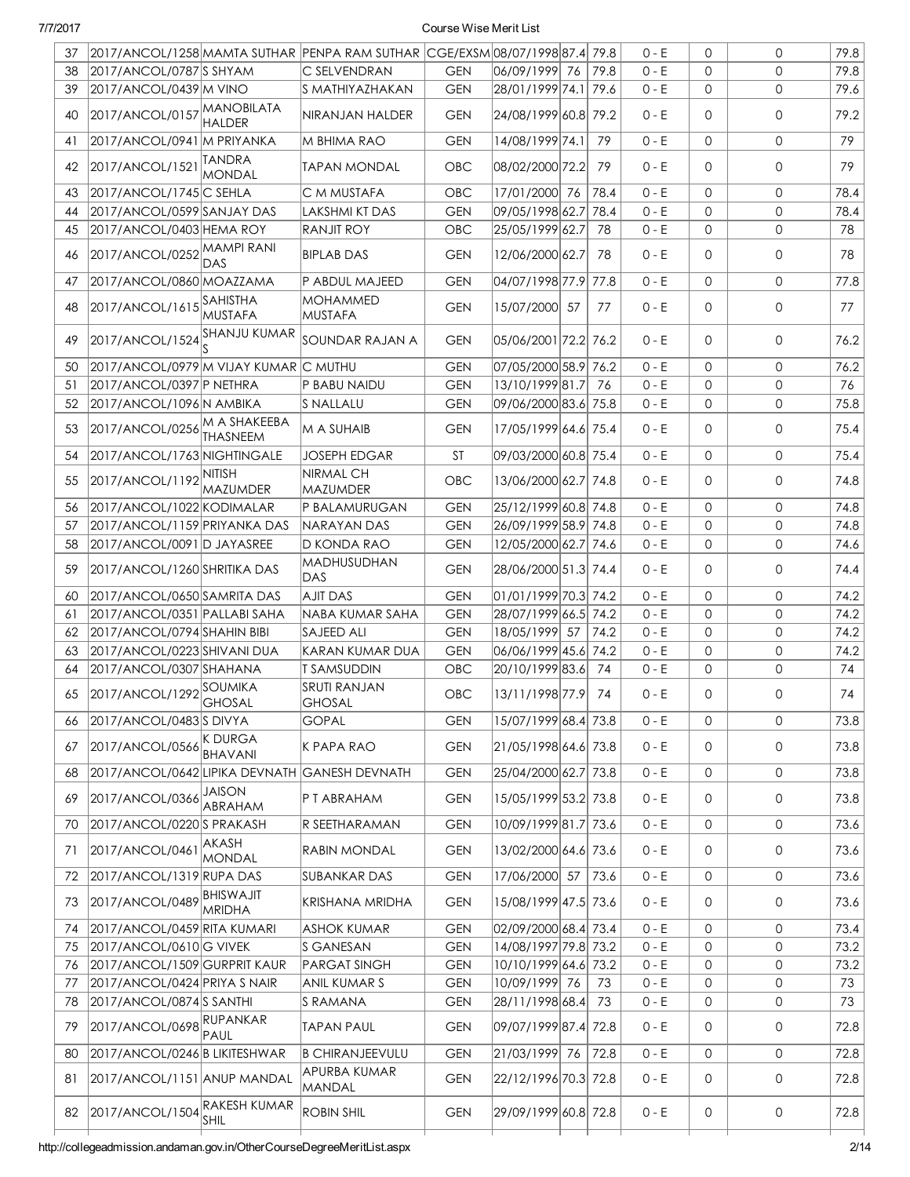| 37 |                                               |                                    | 2017/ANCOL/1258 MAMTA SUTHAR PENPA RAM SUTHAR CGE/EXSM 08/07/1998 87.4 79.8 |            |                      |      | $0 - E$ | $\mathbf 0$  | $\mathbf 0$  | 79.8 |
|----|-----------------------------------------------|------------------------------------|-----------------------------------------------------------------------------|------------|----------------------|------|---------|--------------|--------------|------|
| 38 | 2017/ANCOL/0787 SHYAM                         |                                    | C SELVENDRAN                                                                | <b>GEN</b> | 06/09/1999 76        | 79.8 | $0 - E$ | $\mathbf{0}$ | $\mathbf{0}$ | 79.8 |
| 39 | 2017/ANCOL/0439 M VINO                        |                                    | <b>S MATHIYAZHAKAN</b>                                                      | <b>GEN</b> | 28/01/1999 74.1 79.6 |      | $0 - E$ | $\mathbf{0}$ | $\mathsf{O}$ | 79.6 |
| 40 | 2017/ANCOL/0157                               | <b>MANOBILATA</b><br><b>HALDER</b> | NIRANJAN HALDER                                                             | <b>GEN</b> | 24/08/1999 60.8 79.2 |      | $0 - E$ | 0            | $\mathbf{0}$ | 79.2 |
| 41 | 2017/ANCOL/0941 M PRIYANKA                    |                                    | M BHIMA RAO                                                                 | <b>GEN</b> | 14/08/1999 74.1      | 79   | $0 - E$ | $\mathbf 0$  | $\mathbf{0}$ | 79   |
| 42 | 2017/ANCOL/1521                               | <b>TANDRA</b><br>MONDAL            | <b>TAPAN MONDAL</b>                                                         | <b>OBC</b> | 08/02/2000 72.2      | 79   | $0 - E$ | 0            | $\Omega$     | 79   |
| 43 | 2017/ANCOL/1745 C SEHLA                       |                                    | C M MUSTAFA                                                                 | OBC        | 17/01/2000 76        | 78.4 | $0 - E$ | $\mathbf{0}$ | $\mathbf{O}$ | 78.4 |
| 44 | 2017/ANCOL/0599 SANJAY DAS                    |                                    | LAKSHMI KT DAS                                                              | <b>GEN</b> | 09/05/1998 62.7      | 78.4 | $0 - E$ | 0            | $\mathbf 0$  | 78.4 |
| 45 | 2017/ANCOL/0403 HEMA ROY                      |                                    | <b>RANJIT ROY</b>                                                           | <b>OBC</b> | 25/05/1999 62.7      | 78   | $0 - E$ | $\mathsf{O}$ | $\mathsf{O}$ | 78   |
| 46 | 2017/ANCOL/0252 MAMPI RANI                    | DAS                                | <b>BIPLAB DAS</b>                                                           | <b>GEN</b> | 12/06/2000 62.7      | 78   | $0 - E$ | 0            | $\mathbf 0$  | 78   |
| 47 | 2017/ANCOL/0860 MOAZZAMA                      |                                    | P ABDUL MAJEED                                                              | <b>GEN</b> | 04/07/1998 77.9 77.8 |      | $0 - E$ | $\mathbf{0}$ | $\mathbf{0}$ | 77.8 |
| 48 | 2017/ANCOL/1615 SAHISTHA                      | <b>MUSTAFA</b>                     | <b>MOHAMMED</b><br>MUSTAFA                                                  | <b>GEN</b> | 15/07/2000 57        | 77   | $0 - E$ | 0            | $\mathbf 0$  | 77   |
| 49 | 2017/ANCOL/1524 SHANJU KUMAR                  |                                    | SOUNDAR RAJAN A                                                             | <b>GEN</b> | 05/06/2001 72.2 76.2 |      | $0 - E$ | $\mathbf 0$  | $\mathbf{0}$ | 76.2 |
| 50 | 2017/ANCOL/0979 M VIJAY KUMAR C MUTHU         |                                    |                                                                             | <b>GEN</b> | 07/05/2000 58.9 76.2 |      | $0 - E$ | $\mathbf{0}$ | $\mathbf{0}$ | 76.2 |
| 51 | 2017/ANCOL/0397 P NETHRA                      |                                    | P BABU NAIDU                                                                | <b>GEN</b> | 13/10/1999 81.7      | 76   | $0 - E$ | 0            | 0            | 76   |
| 52 | 2017/ANCOL/1096 N AMBIKA                      |                                    | S NALLALU                                                                   | <b>GEN</b> | 09/06/2000 83.6 75.8 |      | $0 - E$ | $\mathbf{0}$ | $\mathbf{0}$ | 75.8 |
| 53 | 2017/ANCOL/0256 M A SHAKEEBA                  | <b>THASNEEM</b>                    | M A SUHAIB                                                                  | <b>GEN</b> | 17/05/1999 64.6 75.4 |      | $0 - E$ | $\mathbf{0}$ | $\mathbf{0}$ | 75.4 |
| 54 | 2017/ANCOL/1763 NIGHTINGALE                   |                                    | <b>JOSEPH EDGAR</b>                                                         | <b>ST</b>  | 09/03/2000 60.8 75.4 |      | $0 - E$ | $\mathbf{0}$ | $\mathbf{0}$ | 75.4 |
| 55 | 2017/ANCOL/1192 NITISH                        | <b>MAZUMDER</b>                    | NIRMAL CH<br>MAZUMDER                                                       | <b>OBC</b> | 13/06/2000 62.7 74.8 |      | $0 - E$ | 0            | $\mathbf 0$  | 74.8 |
| 56 | 2017/ANCOL/1022 KODIMALAR                     |                                    | P BALAMURUGAN                                                               | <b>GEN</b> | 25/12/1999 60.8 74.8 |      | $0 - E$ | $\mathbf{0}$ | $\mathbf{0}$ | 74.8 |
| 57 | 2017/ANCOL/1159 PRIYANKA DAS                  |                                    | NARAYAN DAS                                                                 | <b>GEN</b> | 26/09/1999 58.9 74.8 |      | $0 - E$ | $\mathbf{0}$ | $\mathsf{O}$ | 74.8 |
| 58 | 2017/ANCOL/0091 D JAYASREE                    |                                    | D KONDA RAO                                                                 | <b>GEN</b> | 12/05/2000 62.7 74.6 |      | $0 - E$ | $\mathbf{0}$ | $\mathbf{0}$ | 74.6 |
| 59 | 2017/ANCOL/1260 SHRITIKA DAS                  |                                    | MADHUSUDHAN<br>DAS                                                          | <b>GEN</b> | 28/06/2000 51.3 74.4 |      | $0 - E$ | 0            | $\mathbf 0$  | 74.4 |
| 60 | 2017/ANCOL/0650 SAMRITA DAS                   |                                    | <b>AJIT DAS</b>                                                             | <b>GEN</b> | 01/01/1999 70.3 74.2 |      | $0 - E$ | $\mathbf{0}$ | $\mathbf{0}$ | 74.2 |
| 61 | 2017/ANCOL/0351 PALLABI SAHA                  |                                    | NABA KUMAR SAHA                                                             | <b>GEN</b> | 28/07/1999 66.5 74.2 |      | $0 - E$ | $\mathbf{0}$ | $\mathbf{0}$ | 74.2 |
| 62 | 2017/ANCOL/0794 SHAHIN BIBI                   |                                    | <b>SAJEED ALI</b>                                                           | <b>GEN</b> | 18/05/1999 57        | 74.2 | $0 - E$ | $\mathsf{O}$ | $\mathsf{O}$ | 74.2 |
| 63 | 2017/ANCOL/0223 SHIVANI DUA                   |                                    | KARAN KUMAR DUA                                                             | <b>GEN</b> | 06/06/1999 45.6 74.2 |      | $0 - E$ | $\mathsf{O}$ | $\mathsf{O}$ | 74.2 |
| 64 | 2017/ANCOL/0307 SHAHANA                       |                                    | <b>T SAMSUDDIN</b>                                                          | OBC        | 20/10/1999 83.6      | 74   | $0 - E$ | $\mathsf{O}$ | $\mathbf 0$  | 74   |
| 65 | 2017/ANCOL/1292<br>GHOSAL                     |                                    | <b>SRUTI RANJAN</b><br>GHOSAL                                               | OBC        | 13/11/1998 77.9      | 74   | $0 - E$ | $\mathsf{O}$ | $\mathbf 0$  | 74   |
| 66 | 2017/ANCOL/0483 SDIVYA                        |                                    | <b>GOPAL</b>                                                                | <b>GEN</b> | 15/07/1999 68.4 73.8 |      | $0 - E$ | 0            | $\mathbf 0$  | 73.8 |
| 67 | 2017/ANCOL/0566                               | K DURGA<br>BHAVANI                 | K PAPA RAO                                                                  | <b>GEN</b> | 21/05/1998 64.6 73.8 |      | $0 - E$ | 0            | 0            | 73.8 |
| 68 | 2017/ANCOL/0642 LIPIKA DEVNATH GANESH DEVNATH |                                    |                                                                             | <b>GEN</b> | 25/04/2000 62.7 73.8 |      | $0 - E$ | $\mathsf{O}$ | $\mathsf{O}$ | 73.8 |
| 69 | 2017/ANCOL/0366                               | JAISON<br>ABRAHAM                  | P T ABRAHAM                                                                 | <b>GEN</b> | 15/05/1999 53.2 73.8 |      | $0 - E$ | 0            | 0            | 73.8 |
| 70 | 2017/ANCOL/0220 SPRAKASH                      |                                    | IR SEETHARAMAN                                                              | <b>GEN</b> | 10/09/1999 81.7 73.6 |      | $0 - E$ | 0            | $\mathbf 0$  | 73.6 |
| 71 | 2017/ANCOL/0461                               | AKASH<br>MONDAL                    | <b>RABIN MONDAL</b>                                                         | <b>GEN</b> | 13/02/2000 64.6 73.6 |      | $0 - E$ | 0            | 0            | 73.6 |
| 72 | 2017/ANCOL/1319 RUPA DAS                      |                                    | SUBANKAR DAS                                                                | <b>GEN</b> | 17/06/2000 57        | 73.6 | $0 - E$ | 0            | $\mathsf{O}$ | 73.6 |
| 73 | 2017/ANCOL/0489 BHISWAJIT                     | <b>MRIDHA</b>                      | <b>KRISHANA MRIDHA</b>                                                      | <b>GEN</b> | 15/08/1999 47.5 73.6 |      | $0 - E$ | 0            | 0            | 73.6 |
| 74 | 2017/ANCOL/0459 RITA KUMARI                   |                                    | <b>ASHOK KUMAR</b>                                                          | <b>GEN</b> | 02/09/2000 68.4 73.4 |      | $0 - E$ | $\mathsf{O}$ | $\mathsf{O}$ | 73.4 |
| 75 | 2017/ANCOL/0610 G VIVEK                       |                                    | <b>S GANESAN</b>                                                            | <b>GEN</b> | 14/08/1997 79.8 73.2 |      | $0 - E$ | 0            | 0            | 73.2 |
| 76 | 2017/ANCOL/1509 GURPRIT KAUR                  |                                    | <b>PARGAT SINGH</b>                                                         | <b>GEN</b> | 10/10/1999 64.6 73.2 |      | $0 - E$ | 0            | 0            | 73.2 |
| 77 | 2017/ANCOL/0424 PRIYA S NAIR                  |                                    | ANIL KUMAR S                                                                | <b>GEN</b> | 10/09/1999 76        | 73   | $0 - E$ | 0            | 0            | 73   |
| 78 | 2017/ANCOL/0874 S SANTHI                      |                                    | S RAMANA                                                                    | <b>GEN</b> | 28/11/1998 68.4      | 73   | $0 - E$ | 0            | $\mathbf 0$  | 73   |
| 79 | 2017/ANCOL/0698 RUPANKAR                      | PAUL                               | <b>TAPAN PAUL</b>                                                           | <b>GEN</b> | 09/07/1999 87.4 72.8 |      | $0 - E$ | 0            | 0            | 72.8 |
| 80 | 2017/ANCOL/0246 B LIKITESHWAR                 |                                    | <b>B CHIRANJEEVULU</b>                                                      | <b>GEN</b> | 21/03/1999 76        | 72.8 | $0 - E$ | $\mathsf{O}$ | $\mathsf{O}$ | 72.8 |
| 81 | 2017/ANCOL/1151 ANUP MANDAL                   |                                    | APURBA KUMAR<br>MANDAL                                                      | <b>GEN</b> | 22/12/1996 70.3 72.8 |      | $0 - E$ | $\mathbf 0$  | 0            | 72.8 |
| 82 | 2017/ANCOL/1504 RAKESH KUMAR                  | <b>SHIL</b>                        | <b>ROBIN SHIL</b>                                                           | <b>GEN</b> | 29/09/1999 60.8 72.8 |      | $0 - E$ | $\mathbf 0$  | 0            | 72.8 |
|    |                                               |                                    |                                                                             |            |                      |      |         |              |              |      |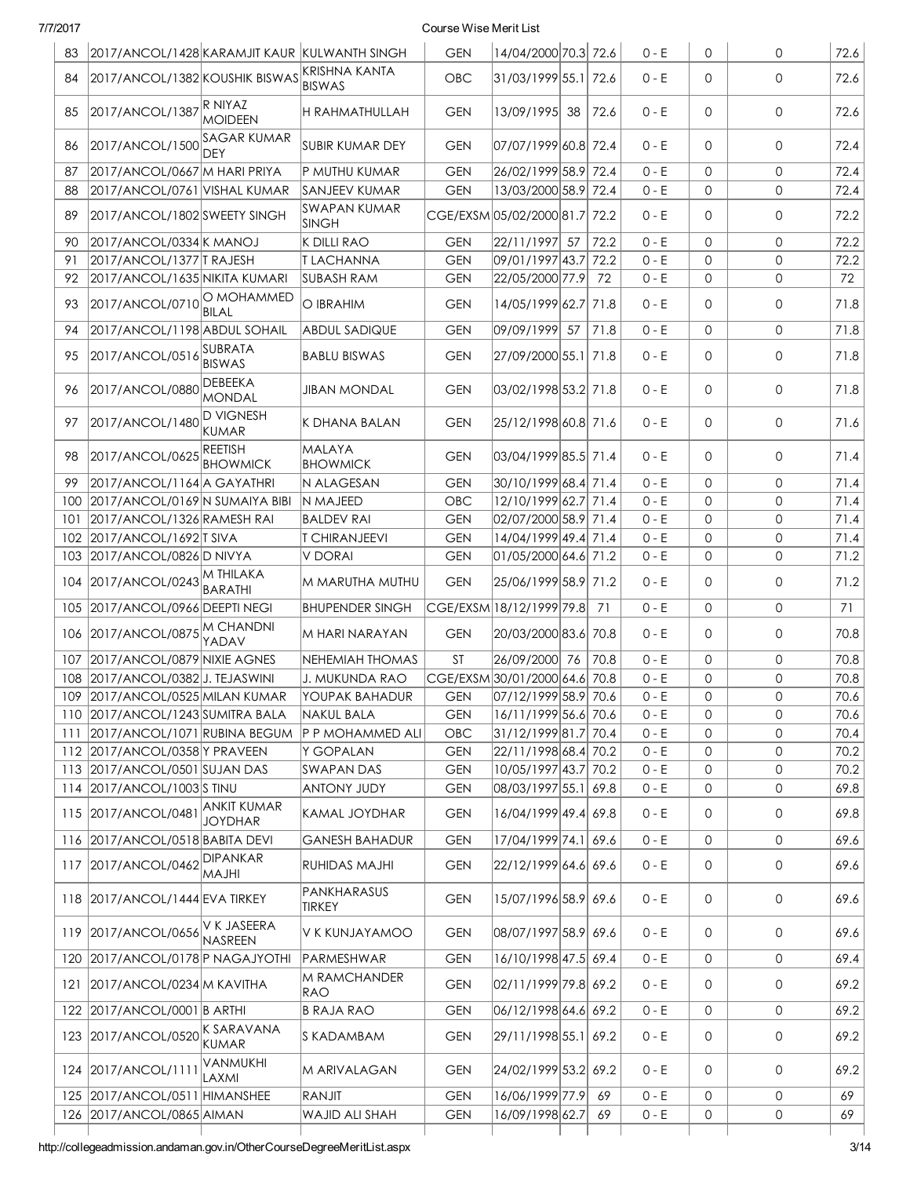| 83                                                   |                                                             |                                  |                                            |                               |                                              |      |                    |              |                              |                                                                      |
|------------------------------------------------------|-------------------------------------------------------------|----------------------------------|--------------------------------------------|-------------------------------|----------------------------------------------|------|--------------------|--------------|------------------------------|----------------------------------------------------------------------|
|                                                      | 2017/ANCOL/1428 KARAMJIT KAUR KULWANTH SINGH                |                                  |                                            | <b>GEN</b>                    | 14/04/2000 70.3 72.6                         |      | $0 - E$            | 0            | $\mathbf 0$                  | 72.6                                                                 |
| 84                                                   | 2017/ANCOL/1382 KOUSHIK BISWAS                              |                                  | KRISHNA KANTA<br><b>BISWAS</b>             | <b>OBC</b>                    | 31/03/1999 55.1 72.6                         |      | $0 - E$            | 0            | 0                            | 72.6                                                                 |
| 85                                                   | 2017/ANCOL/1387 R NIYAZ                                     | <b>MOIDEEN</b>                   | H RAHMATHULLAH                             | <b>GEN</b>                    | 13/09/1995 38                                | 72.6 | $0 - E$            | 0            | 0                            | 72.6                                                                 |
| 86                                                   | 2017/ANCOL/1500 SAGAR KUMAR                                 | DEY                              | SUBIR KUMAR DEY                            | <b>GEN</b>                    | 07/07/1999 60.8 72.4                         |      | $0 - E$            | 0            | $\mathsf{O}$                 | 72.4                                                                 |
| 87                                                   | 2017/ANCOL/0667 M HARI PRIYA                                |                                  | P MUTHU KUMAR                              | <b>GEN</b>                    | 26/02/1999 58.9 72.4                         |      | $0 - E$            | 0            | $\mathbf{0}$                 | 72.4                                                                 |
| 88                                                   | 2017/ANCOL/0761 VISHAL KUMAR                                |                                  | SANJEEV KUMAR                              | <b>GEN</b>                    | 13/03/2000 58.9 72.4                         |      | $0 - E$            | $\mathsf{O}$ | $\mathsf{O}$                 | 72.4                                                                 |
| 89                                                   | 2017/ANCOL/1802 SWEETY SINGH                                |                                  | SWAPAN KUMAR<br><b>SINGH</b>               | CGE/EXSM05/02/2000 81.7 72.2  |                                              |      | $0 - E$            | 0            | $\mathsf{O}$                 | 72.2                                                                 |
| 90                                                   | 2017/ANCOL/0334 K MANOJ                                     |                                  | <b>K DILLI RAO</b>                         | <b>GEN</b>                    | 22/11/1997 57                                | 72.2 | $0 - E$            | 0            | $\mathsf{O}$                 | 72.2                                                                 |
| 91                                                   | 2017/ANCOL/1377 TRAJESH                                     |                                  | <b>TLACHANNA</b>                           | <b>GEN</b>                    | 09/01/1997 43.7                              | 72.2 | $0 - E$            | 0            | $\mathsf{O}$                 | 72.2                                                                 |
| 92                                                   | 2017/ANCOL/1635 NIKITA KUMARI                               |                                  | <b>SUBASH RAM</b>                          | <b>GEN</b>                    | 22/05/2000 77.9                              | 72   | $0 - E$            | 0            | $\mathsf{O}$                 | 72                                                                   |
| 93                                                   | 2017/ANCOL/0710 O MOHAMMED                                  | <b>BILAL</b>                     | O IBRAHIM                                  | <b>GEN</b>                    | 14/05/1999 62.7 71.8                         |      | $0 - E$            | 0            | $\mathsf{O}$                 | 71.8                                                                 |
| 94                                                   | 2017/ANCOL/1198 ABDUL SOHAIL                                |                                  | <b>ABDUL SADIQUE</b>                       | <b>GEN</b>                    | 09/09/1999 57                                | 71.8 | $0 - E$            | 0            | 0                            | 71.8                                                                 |
| 95                                                   | 2017/ANCOL/0516                                             | SUBRATA<br><b>BISWAS</b>         | <b>BABLU BISWAS</b>                        | <b>GEN</b>                    | 27/09/2000 55.1 71.8                         |      | $0 - E$            | 0            | 0                            | 71.8                                                                 |
| 96                                                   | 2017/ANCOL/0880                                             | <b>DEBEEKA</b><br>MONDAL         | JIBAN MONDAL                               | <b>GEN</b>                    | 03/02/1998 53.2 71.8                         |      | $0 - E$            | 0            | $\mathsf{O}$                 | 71.8                                                                 |
| 97                                                   | 2017/ANCOL/1480                                             | <b>D VIGNESH</b><br><b>KUMAR</b> | K DHANA BALAN                              | <b>GEN</b>                    | 25/12/1998 60.8 71.6                         |      | $0 - E$            | 0            | 0                            | 71.6                                                                 |
| 98                                                   | 2017/ANCOL/0625 REETISH                                     | <b>BHOWMICK</b>                  | MALAYA<br><b>BHOWMICK</b>                  | <b>GEN</b>                    | 03/04/1999 85.5 71.4                         |      | $0 - E$            | 0            | $\mathsf{O}$                 | 71.4                                                                 |
| 99                                                   | 2017/ANCOL/1164 A GAYATHRI                                  |                                  | N ALAGESAN                                 | <b>GEN</b>                    | 30/10/1999 68.4 71.4                         |      | $0 - E$            | 0            | $\mathsf{O}$                 | 71.4                                                                 |
| 100                                                  | 2017/ANCOL/0169 N SUMAIYA BIBI                              |                                  | N MAJEED                                   | <b>OBC</b>                    | 12/10/1999 62.7 71.4                         |      | $0 - E$            | 0            | $\mathbf{0}$                 | 71.4                                                                 |
| 101                                                  | 2017/ANCOL/1326 RAMESH RAI                                  |                                  | <b>BALDEV RAI</b>                          | <b>GEN</b>                    | 02/07/2000 58.9 71.4                         |      | $0 - E$            | $\mathsf{O}$ | $\mathsf{O}$                 | 71.4                                                                 |
| 102                                                  | 2017/ANCOL/1692 T SIVA                                      |                                  | <b>T CHIRANJEEVI</b>                       | <b>GEN</b>                    | 14/04/1999 49.4 71.4                         |      | $0 - E$            | 0            | $\mathsf{O}\xspace$          | 71.4                                                                 |
| 103                                                  | 2017/ANCOL/0826 D NIVYA                                     |                                  | V DORAI                                    | <b>GEN</b>                    | 01/05/2000 64.6 71.2                         |      | $0 - E$            | 0            | $\mathsf{O}$                 | 71.2                                                                 |
| 104                                                  | 2017/ANCOL/0243 M THILAKA                                   | <b>BARATHI</b>                   | M MARUTHA MUTHU                            | <b>GEN</b>                    | 25/06/1999 58.9 71.2                         |      | $0 - E$            | 0            | $\mathsf{O}$                 | 71.2                                                                 |
| 105                                                  | 2017/ANCOL/0966 DEEPTI NEGI                                 |                                  | <b>BHUPENDER SINGH</b>                     | CGE/EXSM 18/12/1999 79.8      |                                              | 71   | $0 - E$            | 0            | $\mathsf{O}$                 | 71                                                                   |
| 106                                                  | 2017/ANCOL/0875 M CHANDNI                                   | YADAV                            | M HARI NARAYAN                             | <b>GEN</b>                    | 20/03/2000 83.6 70.8                         |      | $0 - E$            | 0            | 0                            | 70.8                                                                 |
| 107                                                  | 2017/ANCOL/0879 NIXIE AGNES                                 |                                  | NEHEMIAH THOMAS                            | <b>ST</b>                     | 26/09/2000 76                                | 70.8 | $0 - E$            | 0            | 0                            | 70.8                                                                 |
| 108                                                  | 2017/ANCOL/0382J. TEJASWINI                                 |                                  | <b>J. MUKUNDA RAO</b>                      | CGE/EXSM 30/01/2000 64.6 70.8 |                                              |      | $0 - E$            | 0            | $\mathsf{O}\xspace$          | 70.8                                                                 |
|                                                      | 109 2017/ANCOL/0525 MILAN KUMAR                             |                                  | YOUPAK BAHADUR                             | <b>GEN</b>                    | 07/12/1999 58.9 70.6                         |      | $0 - E$            | 0            | 0                            | 70.6                                                                 |
|                                                      | 110 2017/ANCOL/1243 SUMITRA BALA                            |                                  | NAKUL BALA                                 | <b>GEN</b>                    | 16/11/1999 56.6 70.6                         |      | $0 - E$            | 0            |                              |                                                                      |
| 111                                                  |                                                             |                                  |                                            |                               |                                              |      |                    |              | 0                            |                                                                      |
|                                                      |                                                             | 2017/ANCOL/1071 RUBINA BEGUM     | P P MOHAMMED ALI                           | <b>OBC</b>                    |                                              |      | $0 - E$            | 0            | 0                            |                                                                      |
|                                                      |                                                             |                                  |                                            | <b>GEN</b>                    | 31/12/1999 81.7 70.4                         |      |                    | $\mathsf{O}$ | 0                            |                                                                      |
|                                                      | 112 2017/ANCOL/0358 Y PRAVEEN<br>2017/ANCOL/0501 SUJAN DAS  |                                  | Y GOPALAN                                  |                               | 22/11/1998 68.4 70.2                         |      | $0 - E$            | 0            | 0                            |                                                                      |
|                                                      |                                                             |                                  | <b>SWAPAN DAS</b>                          | <b>GEN</b>                    | 10/05/1997 43.7 70.2                         |      | $0 - E$            |              |                              |                                                                      |
|                                                      | 2017/ANCOL/1003 STINU<br>115 2017/ANCOL/0481                | <b>ANKIT KUMAR</b>               | <b>ANTONY JUDY</b><br><b>KAMAL JOYDHAR</b> | <b>GEN</b><br><b>GEN</b>      | 08/03/1997 55.1 69.8<br>16/04/1999 49.4 69.8 |      | $0 - E$<br>$0 - E$ | 0<br>0       | $\mathsf{O}$<br>$\mathsf{O}$ |                                                                      |
|                                                      |                                                             | <b>JOYDHAR</b>                   |                                            |                               |                                              |      |                    |              |                              |                                                                      |
|                                                      | 116 2017/ANCOL/0518 BABITA DEVI<br>2017/ANCOL/0462 DIPANKAR | <b>IHLAM</b>                     | <b>GANESH BAHADUR</b><br>RUHIDAS MAJHI     | <b>GEN</b><br><b>GEN</b>      | 17/04/1999 74.1 69.6<br>22/12/1999 64.6 69.6 |      | $0 - E$<br>$0 - E$ | 0<br>0       | $\mathsf{O}$<br>0            |                                                                      |
|                                                      | 118 2017/ANCOL/1444 EVA TIRKEY                              |                                  | PANKHARASUS<br>tirkey                      | <b>GEN</b>                    | 15/07/1996 58.9 69.6                         |      | $0 - E$            | $\mathsf{O}$ | 0                            | 70.6<br>70.4<br>70.2<br>70.2<br>69.8<br>69.8<br>69.6<br>69.6<br>69.6 |
|                                                      | 2017/ANCOL/0656                                             | IV K JASEERA<br><b>NASREEN</b>   | V K KUNJAYAMOO                             | <b>GEN</b>                    | 08/07/1997 58.9 69.6                         |      | $0 - E$            | 0            | 0                            |                                                                      |
|                                                      | 2017/ANCOL/0178 P NAGAJYOTHI                                |                                  | PARMESHWAR                                 | <b>GEN</b>                    | 16/10/1998 47.5 69.4                         |      | $0 - E$            | $\mathsf{O}$ | $\mathsf{O}$                 | 69.4                                                                 |
|                                                      | 2017/ANCOL/0234 M KAVITHA                                   |                                  | M RAMCHANDER<br>RAO                        | <b>GEN</b>                    | 02/11/1999 79.8 69.2                         |      | $0 - E$            | 0            | 0                            |                                                                      |
|                                                      | 2017/ANCOL/0001 B ARTHI                                     |                                  | <b>B RAJA RAO</b>                          | <b>GEN</b>                    | 06/12/1998 64.6 69.2                         |      | $0 - E$            | $\circ$      | $\mathsf{O}\xspace$          |                                                                      |
|                                                      | 2017/ANCOL/0520 K SARAVANA                                  | <b>KUMAR</b>                     | S KADAMBAM                                 | <b>GEN</b>                    | 29/11/1998 55.1 69.2                         |      | $0 - E$            | 0            | $\mathsf{O}$                 |                                                                      |
|                                                      | 124 2017/ANCOL/1111                                         | VANMUKHI<br>LAXMI                | M ARIVALAGAN                               | <b>GEN</b>                    | 24/02/1999 53.2 69.2                         |      | $0 - E$            | 0            | 0                            |                                                                      |
| 113<br>114<br>117<br>119<br>120<br>121<br>122<br>123 | 125 2017/ANCOL/0511 HIMANSHEE                               |                                  | RANJIT                                     | <b>GEN</b>                    | 16/06/1999 77.9                              | 69   | $0 - E$            | 0            | 0                            | 69.6<br>69.2<br>69.2<br>69.2<br>69.2<br>69                           |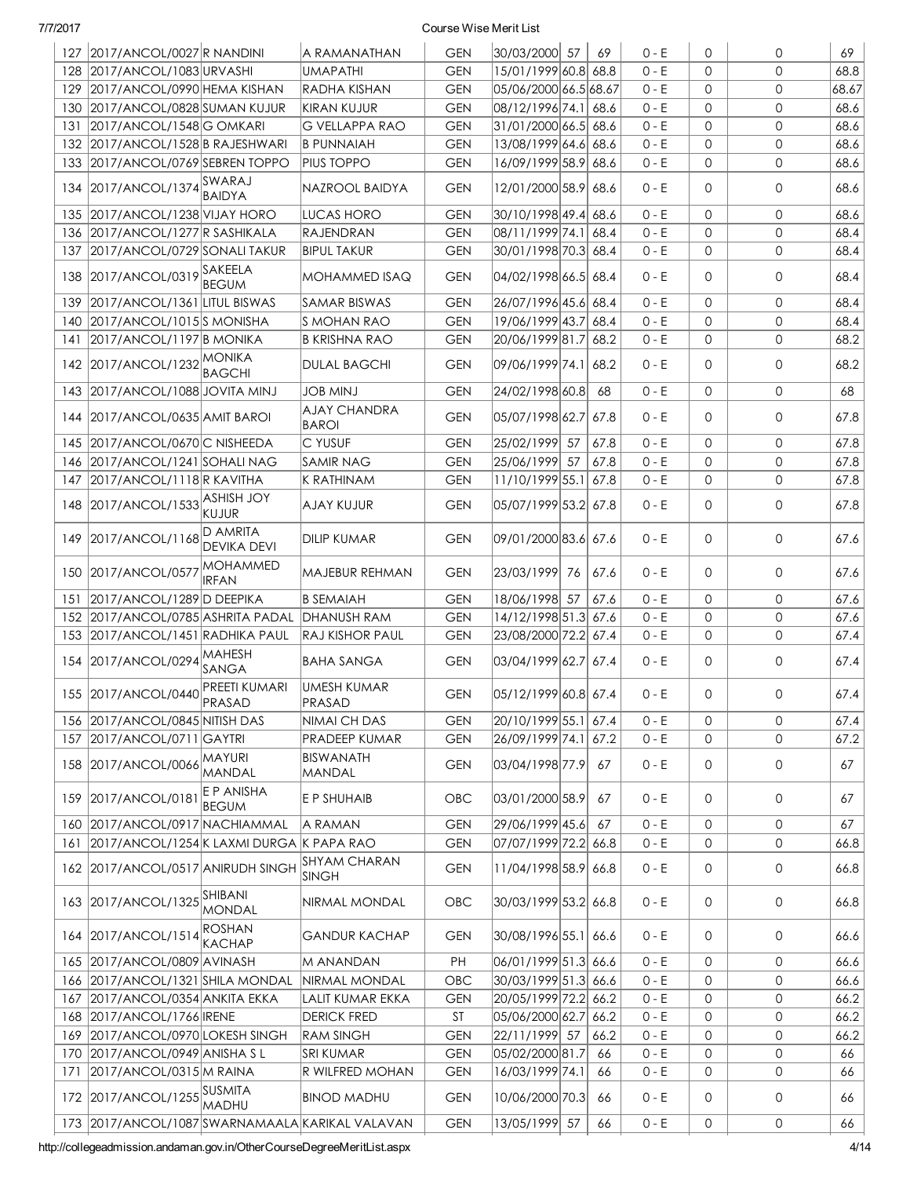|     | 127 2017/ANCOL/0027 R NANDINI                         | A RAMANATHAN                        | <b>GEN</b> | 30/03/2000 57            | 69   | $0 - E$ | 0                   | $\mathbf 0$         | 69    |
|-----|-------------------------------------------------------|-------------------------------------|------------|--------------------------|------|---------|---------------------|---------------------|-------|
|     | 128 2017/ANCOL/1083 URVASHI                           | <b>UMAPATHI</b>                     | <b>GEN</b> | 15/01/1999 60.8 68.8     |      | $0 - E$ | 0                   | $\mathbf{0}$        | 68.8  |
| 129 | 2017/ANCOL/0990 HEMA KISHAN                           | <b>RADHA KISHAN</b>                 | <b>GEN</b> | 05/06/2000 66.5 68.67    |      | $0 - E$ | $\mathbf 0$         | $\mathbf{0}$        | 68.67 |
| 130 | 2017/ANCOL/0828 SUMAN KUJUR                           | <b>KIRAN KUJUR</b>                  | <b>GEN</b> | 08/12/1996 74.1 68.6     |      | $0 - E$ | $\mathbf 0$         | $\mathbf{0}$        | 68.6  |
| 131 | 2017/ANCOL/1548 G OMKARI                              | <b>G VELLAPPA RAO</b>               | <b>GEN</b> | 31/01/2000 66.5 68.6     |      | $0 - E$ | $\mathbf 0$         | $\mathbf{O}$        | 68.6  |
| 132 | 2017/ANCOL/1528 B RAJESHWARI                          | <b>B PUNNAIAH</b>                   | <b>GEN</b> | 13/08/1999 64.6 68.6     |      | $0 - E$ | $\mathbf{0}$        | $\mathbf{0}$        | 68.6  |
| 133 | 2017/ANCOL/0769 SEBREN TOPPO                          | <b>PIUS TOPPO</b>                   | <b>GEN</b> | 16/09/1999 58.9          | 68.6 | $0 - E$ | $\mathbf 0$         | $\mathbf{0}$        | 68.6  |
|     | 134 2017/ANCOL/1374 SWARAJ<br><b>BAIDYA</b>           | <b>NAZROOL BAIDYA</b>               | <b>GEN</b> | 12/01/2000 58.9 68.6     |      | $0 - E$ | $\mathbf 0$         | $\mathbf 0$         | 68.6  |
| 135 | 2017/ANCOL/1238 VIJAY HORO                            | <b>LUCAS HORO</b>                   | <b>GEN</b> | 30/10/1998 49.4          | 68.6 | $0 - E$ | $\mathbf 0$         | $\mathbf{0}$        | 68.6  |
| 136 | 2017/ANCOL/1277 R SASHIKALA                           | <b>RAJENDRAN</b>                    | <b>GEN</b> | 08/11/1999 74.1          | 68.4 | $0 - E$ | $\mathbf 0$         | $\mathsf{O}$        | 68.4  |
| 137 | 2017/ANCOL/0729 SONALI TAKUR                          | <b>BIPUL TAKUR</b>                  | <b>GEN</b> | 30/01/1998 70.3          | 68.4 | $0 - E$ | $\mathbf 0$         | $\mathbf{0}$        | 68.4  |
| 138 | 2017/ANCOL/0319 SAKEELA<br><b>BEGUM</b>               | MOHAMMED ISAQ                       | <b>GEN</b> | 04/02/1998 66.5 68.4     |      | $0 - E$ | $\mathbf 0$         | $\mathbf{O}$        | 68.4  |
| 139 | 2017/ANCOL/1361 LITUL BISWAS                          | <b>SAMAR BISWAS</b>                 | <b>GEN</b> | 26/07/1996 45.6 68.4     |      | $0 - E$ | $\mathbf 0$         | $\overline{0}$      | 68.4  |
| 140 | 2017/ANCOL/1015 SMONISHA                              | <b>S MOHAN RAO</b>                  | <b>GEN</b> | 19/06/1999 43.7          | 68.4 | $0 - E$ | $\mathbf 0$         | $\mathbf{0}$        | 68.4  |
| 141 | 2017/ANCOL/1197 B MONIKA                              | <b>B KRISHNA RAO</b>                | <b>GEN</b> | 20/06/1999 81.7          | 68.2 | $0 - E$ | 0                   | $\mathbf{0}$        | 68.2  |
|     | 142 2017/ANCOL/1232 MONIKA<br><b>BAGCHI</b>           | <b>DULAL BAGCHI</b>                 | <b>GEN</b> | 09/06/1999 74.1          | 68.2 | $0 - E$ | $\mathbf 0$         | $\mathbf 0$         | 68.2  |
| 143 | 2017/ANCOL/1088 JOVITA MINJ                           | <b>JOB MINJ</b>                     | <b>GEN</b> | 24/02/1998 60.8          | 68   | $0 - E$ | $\mathbf 0$         | $\overline{0}$      | 68    |
|     | 144 2017/ANCOL/0635 AMIT BAROI                        | <b>AJAY CHANDRA</b><br><b>BAROI</b> | <b>GEN</b> | 05/07/1998 62.7          | 67.8 | $0 - E$ | $\mathbf 0$         | $\mathbf 0$         | 67.8  |
| 145 | 2017/ANCOL/0670C NISHEEDA                             | <b>C YUSUF</b>                      | <b>GEN</b> | 25/02/1999 57            | 67.8 | $0 - E$ | $\mathbf 0$         | $\mathbf 0$         | 67.8  |
| 146 | 2017/ANCOL/1241 SOHALI NAG                            | <b>SAMIR NAG</b>                    | <b>GEN</b> | 25/06/1999 57            | 67.8 | $0 - E$ | $\mathbf 0$         | $\mathbf{0}$        | 67.8  |
| 147 | 2017/ANCOL/1118 R KAVITHA                             | K RATHINAM                          | <b>GEN</b> | 11/10/1999 55.1          | 67.8 | $0 - E$ | $\mathbf 0$         | $\mathbf 0$         | 67.8  |
| 148 | 2017/ANCOL/1533 ASHISH JOY<br>KUJUR                   | AJAY KUJUR                          | <b>GEN</b> | $ 05/07/1999 53.2 $ 67.8 |      | $0 - E$ | $\mathbf 0$         | $\mathbf 0$         | 67.8  |
| 149 | D AMRITA<br>2017/ANCOL/1168<br>DEVIKA DEVI            | <b>DILIP KUMAR</b>                  | <b>GEN</b> | 09/01/2000 83.6 67.6     |      | $0 - E$ | $\mathbf 0$         | $\mathbf 0$         | 67.6  |
|     | <b>MOHAMMED</b><br>150 2017/ANCOL/0577<br>IRFAN       | MAJEBUR REHMAN                      | <b>GEN</b> | 23/03/1999 76            | 67.6 | $0 - E$ | $\mathbf 0$         | $\mathbf 0$         | 67.6  |
| 151 | 2017/ANCOL/1289 D DEEPIKA                             | <b>B SEMAIAH</b>                    | <b>GEN</b> | 18/06/1998 57            | 67.6 | $0 - E$ | $\mathbf 0$         | $\mathbf{0}$        | 67.6  |
| 152 | 2017/ANCOL/0785 ASHRITA PADAL                         | DHANUSH RAM                         | <b>GEN</b> | 14/12/1998 51.3 67.6     |      | $0 - E$ | 0                   | 0                   | 67.6  |
| 153 | 2017/ANCOL/1451 RADHIKA PAUL                          | RAJ KISHOR PAUL                     | <b>GEN</b> | 23/08/2000 72.2 67.4     |      | $0 - E$ | 0                   | $\mathbf 0$         | 67.4  |
|     | MAHESH<br>154 2017/ANCOL/0294<br>SANGA                | <b>BAHA SANGA</b>                   | <b>GEN</b> | 03/04/1999 62.7 67.4     |      | $0 - E$ | $\mathbf 0$         | $\mathbf 0$         | 67.4  |
|     | 155 2017/ANCOL/0440 PREETI KUMARI                     | UMESH KUMAR<br>PRASAD               | <b>GEN</b> | 05/12/1999 60.8 67.4     |      | $0 - E$ | 0                   | $\mathbf{O}$        | 67.4  |
|     | 156 2017/ANCOL/0845 NITISH DAS                        | <b>NIMAI CH DAS</b>                 | <b>GEN</b> | 20/10/1999 55.1 67.4     |      | $0 - E$ | 0                   | 0                   | 67.4  |
| 157 | 2017/ANCOL/0711 GAYTRI                                | PRADEEP KUMAR                       | <b>GEN</b> | 26/09/1999 74.1 67.2     |      | $0 - E$ | 0                   | $\mathsf{O}$        | 67.2  |
| 158 | 2017/ANCOL/0066 MAYURI<br><b>MANDAL</b>               | <b>BISWANATH</b><br>MANDAL          | <b>GEN</b> | 03/04/1998 77.9          | 67   | $0 - E$ | 0                   | 0                   | 67    |
|     | E P ANISHA<br>159 2017/ANCOL/0181<br><b>BEGUM</b>     | E P SHUHAIB                         | <b>OBC</b> | 03/01/2000 58.9          | 67   | $0 - E$ | $\mathbf 0$         | 0                   | 67    |
| 160 | 2017/ANCOL/0917 NACHIAMMAL                            | A RAMAN                             | <b>GEN</b> | 29/06/1999 45.6          | 67   | $0 - E$ | 0                   | $\mathsf{O}$        | 67    |
| 161 | 2017/ANCOL/1254 K LAXMI DURGA K PAPA RAO              |                                     | <b>GEN</b> | 07/07/1999 72.2 66.8     |      | $0 - E$ | $\mathbf 0$         | 0                   | 66.8  |
|     | 162 2017/ANCOL/0517 ANIRUDH SINGH                     | <b>SHYAM CHARAN</b><br><b>SINGH</b> | <b>GEN</b> | 11/04/1998 58.9 66.8     |      | $0 - E$ | 0                   | 0                   | 66.8  |
|     | 163 2017/ANCOL/1325 SHIBANI<br><b>MONDAL</b>          | NIRMAL MONDAL                       | OBC        | 30/03/1999 53.2 66.8     |      | $0 - E$ | $\mathbf 0$         | $\mathsf{O}$        | 66.8  |
|     | <b>ROSHAN</b><br>164 2017/ANCOL/1514<br><b>KACHAP</b> | <b>GANDUR KACHAP</b>                | <b>GEN</b> | 30/08/1996 55.1 66.6     |      | $0 - E$ | $\mathbf 0$         | $\mathsf{O}$        | 66.6  |
|     | 165 2017/ANCOL/0809 AVINASH                           | M ANANDAN                           | PH         | 06/01/1999 51.3 66.6     |      | $0 - E$ | $\mathsf O$         | $\mathsf{O}$        | 66.6  |
|     | 166 2017/ANCOL/1321 SHILA MONDAL                      | NIRMAL MONDAL                       | OBC        | 30/03/1999 51.3 66.6     |      | $0 - E$ | 0                   | 0                   | 66.6  |
|     | 167   2017/ANCOL/0354 ANKITA EKKA                     | LALIT KUMAR EKKA                    | <b>GEN</b> | 20/05/1999 72.2 66.2     |      | $0 - E$ | 0                   | 0                   | 66.2  |
|     | 168 2017/ANCOL/1766 IRENE                             | <b>DERICK FRED</b>                  | ST         | 05/06/2000 62.7 66.2     |      | $0 - E$ | 0                   | $\mathsf{O}$        | 66.2  |
|     | 169 2017/ANCOL/0970 LOKESH SINGH                      | <b>RAM SINGH</b>                    | <b>GEN</b> | 22/11/1999 57            | 66.2 | $0 - E$ | 0                   | $\mathsf{O}$        | 66.2  |
|     | 170 2017/ANCOL/0949 ANISHA SL                         | <b>SRI KUMAR</b>                    | <b>GEN</b> | 05/02/2000 81.7          | 66   | $0 - E$ | 0                   | $\mathsf{O}$        | 66    |
| 171 | 2017/ANCOL/0315 M RAINA                               | R WILFRED MOHAN                     | <b>GEN</b> | 16/03/1999 74.1          | 66   | $0 - E$ | 0                   | $\mathsf{O}\xspace$ | 66    |
|     | 172 2017/ANCOL/1255 SUSMITA<br><b>MADHU</b>           | <b>BINOD MADHU</b>                  | <b>GEN</b> | 10/06/2000 70.3          | 66   | 0 - E   | $\mathbf 0$         | $\mathsf{O}$        | 66    |
|     | 173 2017/ANCOL/1087 SWARNAMAALA KARIKAL VALAVAN       |                                     | <b>GEN</b> | 13/05/1999 57            | 66   | $0 - E$ | $\mathsf{O}\xspace$ | $\mathsf{O}\xspace$ | 66    |

http://collegeadmission.andaman.gov.in/OtherCourseDegreeMeritList.aspx 4/14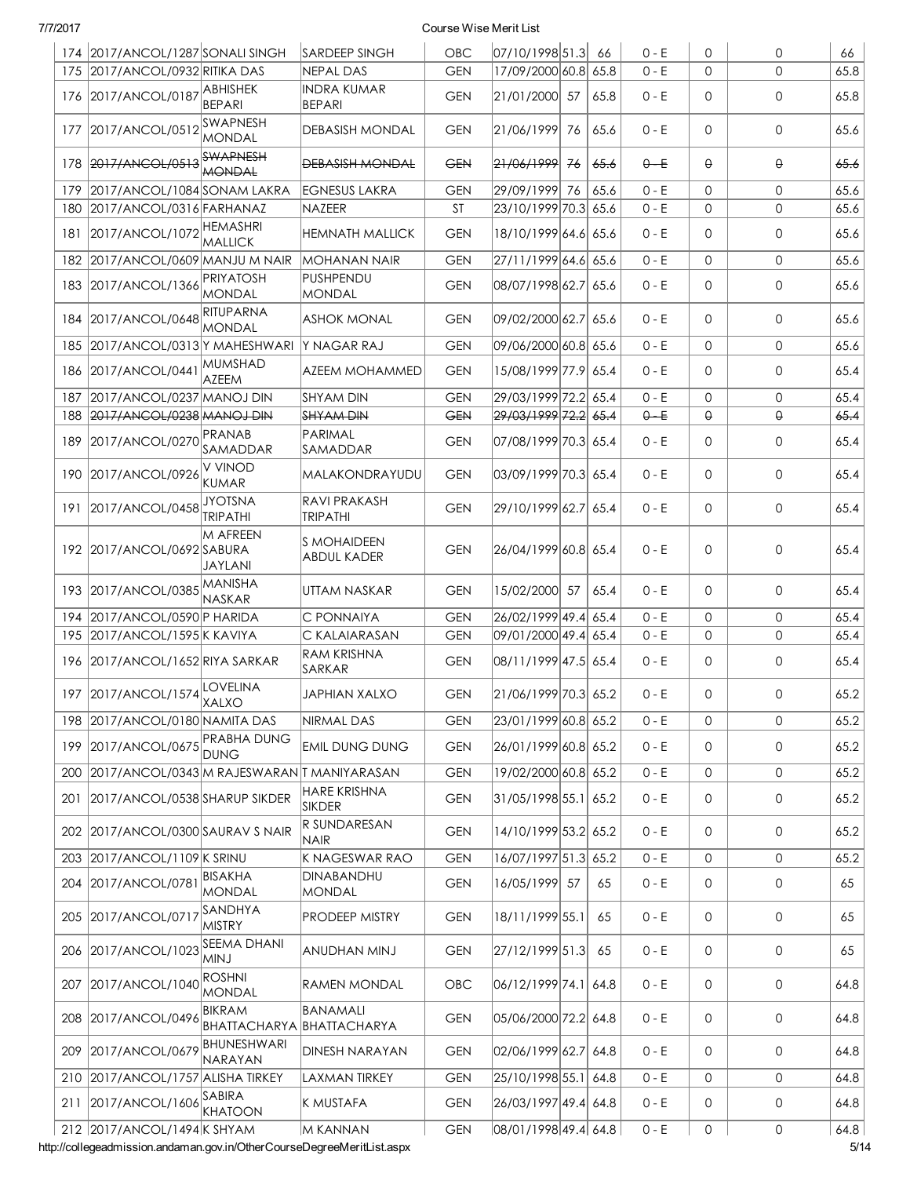|     | 174 2017/ANCOL/1287 SONALI SINGH           |                                                   | <b>SARDEEP SINGH</b>                     | OBC        | 07/10/1998 51.3          |    | 66   | $0 - E$ | 0            | 0            | 66   |
|-----|--------------------------------------------|---------------------------------------------------|------------------------------------------|------------|--------------------------|----|------|---------|--------------|--------------|------|
| 175 | 2017/ANCOL/0932 RITIKA DAS                 |                                                   | NEPAL DAS                                | <b>GEN</b> | 17/09/2000 60.8 65.8     |    |      | $0 - E$ | $\mathbf 0$  | $\Omega$     | 65.8 |
|     | 176 2017/ANCOL/0187                        | <b>ABHISHEK</b><br><b>BEPARI</b>                  | <b>INDRA KUMAR</b><br><b>BEPARI</b>      | <b>GEN</b> | 21/01/2000 57            |    | 65.8 | $0 - E$ | 0            | $\mathbf 0$  | 65.8 |
| 177 | 2017/ANCOL/0512                            | <b>SWAPNESH</b><br><b>MONDAL</b>                  | <b>DEBASISH MONDAL</b>                   | <b>GEN</b> | 21/06/1999 76            |    | 65.6 | $0 - E$ | 0            | $\mathbf 0$  | 65.6 |
| 178 | 2017/ANCOL/0513                            | <b>SWAPNESH</b><br>MONDAL                         | <b>DEBASISH MONDAL</b>                   | <b>GEN</b> | 21/06/1999               | 76 | 65.6 | $0 - E$ | θ            | θ            | 65.6 |
| 179 | 2017/ANCOL/1084 SONAM LAKRA                |                                                   | <b>EGNESUS LAKRA</b>                     | <b>GEN</b> | 29/09/1999 76            |    | 65.6 | $0 - E$ | 0            | 0            | 65.6 |
| 180 | 2017/ANCOL/0316 FARHANAZ                   |                                                   | <b>NAZEER</b>                            | ST         | 23/10/1999 70.3 65.6     |    |      | $0 - E$ | 0            | 0            | 65.6 |
| 181 | 2017/ANCOL/1072 HEMASHRI                   | <b>MALLICK</b>                                    | <b>HEMNATH MALLICK</b>                   | <b>GEN</b> | 18/10/1999 64.6 65.6     |    |      | $0 - E$ | 0            | 0            | 65.6 |
| 182 | 2017/ANCOL/0609 MANJU M NAIR               |                                                   | <b>MOHANAN NAIR</b>                      | <b>GEN</b> | 27/11/1999 64.6 65.6     |    |      | $0 - E$ | 0            | $\mathbf{O}$ | 65.6 |
| 183 | 2017/ANCOL/1366                            | PRIYATOSH<br>MONDAL                               | PUSHPENDU<br>MONDAL                      | <b>GEN</b> | 08/07/1998 62.7 65.6     |    |      | $0 - E$ | 0            | 0            | 65.6 |
| 184 | 2017/ANCOL/0648                            | RITUPARNA<br><b>MONDAL</b>                        | <b>ASHOK MONAL</b>                       | <b>GEN</b> | 09/02/2000 62.7          |    | 65.6 | $0 - E$ | 0            | 0            | 65.6 |
| 185 | 2017/ANCOL/0313 Y MAHESHWARI Y NAGAR RAJ   |                                                   |                                          | <b>GEN</b> | 09/06/2000 60.8 65.6     |    |      | $0 - E$ | $\mathsf{O}$ | $\Omega$     | 65.6 |
| 186 | 2017/ANCOL/0441                            | MUMSHAD<br><b>AZEEM</b>                           | AZEEM MOHAMMED                           | <b>GEN</b> | 15/08/1999 77.9 65.4     |    |      | $0 - E$ | 0            | $\mathbf 0$  | 65.4 |
| 187 | 2017/ANCOL/0237 MANOJ DIN                  |                                                   | <b>SHYAM DIN</b>                         | <b>GEN</b> | 29/03/1999 72.2 65.4     |    |      | $0 - E$ | 0            | $\mathbf{0}$ | 65.4 |
| 188 | 2017/ANCOL/0238 MANOJ DIN                  |                                                   | <b>SHYAM DIN</b>                         | <b>GEN</b> | 29/03/1999 72.2 65.4     |    |      | $0 - E$ | θ.           | $\Theta$     | 65.4 |
| 189 | 2017/ANCOL/0270 PRANAB                     | SAMADDAR                                          | PARIMAL<br> SAMADDAR                     | <b>GEN</b> | 07/08/1999 70.3 65.4     |    |      | $0 - E$ | 0            | 0            | 65.4 |
|     | 190 2017/ANCOL/0926                        | V VINOD<br><b>KUMAR</b>                           | MALAKONDRAYUDU                           | <b>GEN</b> | 03/09/1999 70.3 65.4     |    |      | $0 - E$ | 0            | 0            | 65.4 |
| 191 | 2017/ANCOL/0458                            | <b>JYOTSNA</b><br><b>TRIPATHI</b>                 | <b>RAVI PRAKASH</b><br><b>TRIPATHI</b>   | <b>GEN</b> | 29/10/1999 62.7  65.4    |    |      | $0 - E$ | $\mathsf{O}$ | 0            | 65.4 |
|     | 192 2017/ANCOL/0692 SABURA                 | M AFREEN<br><b>JAYLANI</b>                        | <b>S MOHAIDEEN</b><br><b>ABDUL KADER</b> | <b>GEN</b> | 26/04/1999 60.8 65.4     |    |      | $0 - E$ | 0            | 0            | 65.4 |
|     | 193 2017/ANCOL/0385                        | MANISHA<br>NASKAR                                 | UTTAM NASKAR                             | <b>GEN</b> | 15/02/2000 57            |    | 65.4 | $0 - E$ | 0            | 0            | 65.4 |
| 194 | 2017/ANCOL/0590 P HARIDA                   |                                                   | C PONNAIYA                               | <b>GEN</b> | 26/02/1999 49.4 65.4     |    |      | $0 - E$ | 0            | $\mathbf 0$  | 65.4 |
| 195 | 2017/ANCOL/1595 K KAVIYA                   |                                                   | C KALAIARASAN                            | <b>GEN</b> | 09/01/2000 49.4 65.4     |    |      | $0 - E$ | 0            | 0            | 65.4 |
| 196 | 2017/ANCOL/1652 RIYA SARKAR                |                                                   | <b>RAM KRISHNA</b><br>SARKAR             | <b>GEN</b> | 08/11/1999 47.5 65.4     |    |      | $0 - E$ | 0            | $\mathbf 0$  | 65.4 |
|     | 197 2017/ANCOL/1574 XALXO                  |                                                   | <b>JAPHIAN XALXO</b>                     | <b>GEN</b> | $ 21/06/1999 70.3 $ 65.2 |    |      | $0 - E$ | 0            | $\mathbf 0$  | 65.2 |
| 198 | 2017/ANCOL/0180 NAMITA DAS                 |                                                   | NIRMAL DAS                               | <b>GEN</b> | 23/01/1999 60.8 65.2     |    |      | $0 - E$ | 0            | 0            | 65.2 |
| 199 | 2017/ANCOL/0675                            | <b>PRABHA DUNG</b><br><b>DUNG</b>                 | <b>EMIL DUNG DUNG</b>                    | <b>GEN</b> | 26/01/1999 60.8 65.2     |    |      | $0 - E$ | 0            | 0            | 65.2 |
| 200 | 2017/ANCOL/0343 M RAJESWARAN T MANIYARASAN |                                                   |                                          | <b>GEN</b> | 19/02/2000 60.8 65.2     |    |      | $0 - E$ | 0            | 0            | 65.2 |
| 201 | 2017/ANCOL/0538 SHARUP SIKDER              |                                                   | <b>HARE KRISHNA</b><br><b>SIKDER</b>     | <b>GEN</b> | 31/05/1998 55.1 65.2     |    |      | $0 - E$ | 0            | 0            | 65.2 |
| 202 | 2017/ANCOL/0300 SAURAV S NAIR              |                                                   | R SUNDARESAN<br><b>NAIR</b>              | <b>GEN</b> | 14/10/1999 53.2 65.2     |    |      | $0 - E$ | 0            | 0            | 65.2 |
| 203 | 2017/ANCOL/1109 K SRINU                    |                                                   | K NAGESWAR RAO                           | <b>GEN</b> | 16/07/1997 51.3 65.2     |    |      | $0 - E$ | 0            | 0            | 65.2 |
| 204 | 2017/ANCOL/0781                            | <b>BISAKHA</b><br>MONDAL                          | <b>DINABANDHU</b><br>MONDAL              | <b>GEN</b> | 16/05/1999 57            |    | 65   | $0 - E$ | 0            | 0            | 65   |
|     | 205 2017/ANCOL/0717                        | SANDHYA<br>MISTRY                                 | <b>PRODEEP MISTRY</b>                    | <b>GEN</b> | 18/11/1999 55.1          |    | 65   | $0 - E$ | 0            | $\mathbf 0$  | 65   |
| 206 | 2017/ANCOL/1023                            | <b>SEEMA DHANI</b><br><b>MINJ</b>                 | ANUDHAN MINJ                             | <b>GEN</b> | 27/12/1999 51.3          |    | 65   | $0 - E$ | 0            | 0            | 65   |
| 207 | 2017/ANCOL/1040                            | <b>ROSHNI</b><br>MONDAL                           | RAMEN MONDAL                             | OBC        | 06/12/1999 74.1          |    | 64.8 | $0 - E$ | 0            | 0            | 64.8 |
| 208 | 2017/ANCOL/0496                            | <b>BIKRAM</b><br><b>BHATTACHARYA BHATTACHARYA</b> | BANAMALI                                 | <b>GEN</b> | 05/06/2000 72.2 64.8     |    |      | $0 - E$ | 0            | 0            | 64.8 |
| 209 | 2017/ANCOL/0679                            | BHUNESHWARI<br>NARAYAN                            | <b>DINESH NARAYAN</b>                    | <b>GEN</b> | 02/06/1999 62.7 64.8     |    |      | $0 - E$ | 0            | 0            | 64.8 |
| 210 | 2017/ANCOL/1757 ALISHA TIRKEY              |                                                   | LAXMAN TIRKEY                            | <b>GEN</b> | 25/10/1998 55.1 64.8     |    |      | $0 - E$ | 0            | 0            | 64.8 |
|     | 211 2017/ANCOL/1606                        | SABIRA<br><b>KHATOON</b>                          | IK MUSTAFA                               | <b>GEN</b> | 26/03/1997 49.4 64.8     |    |      | $0 - E$ | 0            | 0            | 64.8 |
|     | 212 2017/ANCOL/1494 K SHYAM                |                                                   | M KANNAN                                 | <b>GEN</b> | 08/01/1998 49.4 64.8     |    |      | $0 - E$ | 0            | 0            | 64.8 |

http://collegeadmission.andaman.gov.in/OtherCourseDegreeMeritList.aspx 5/14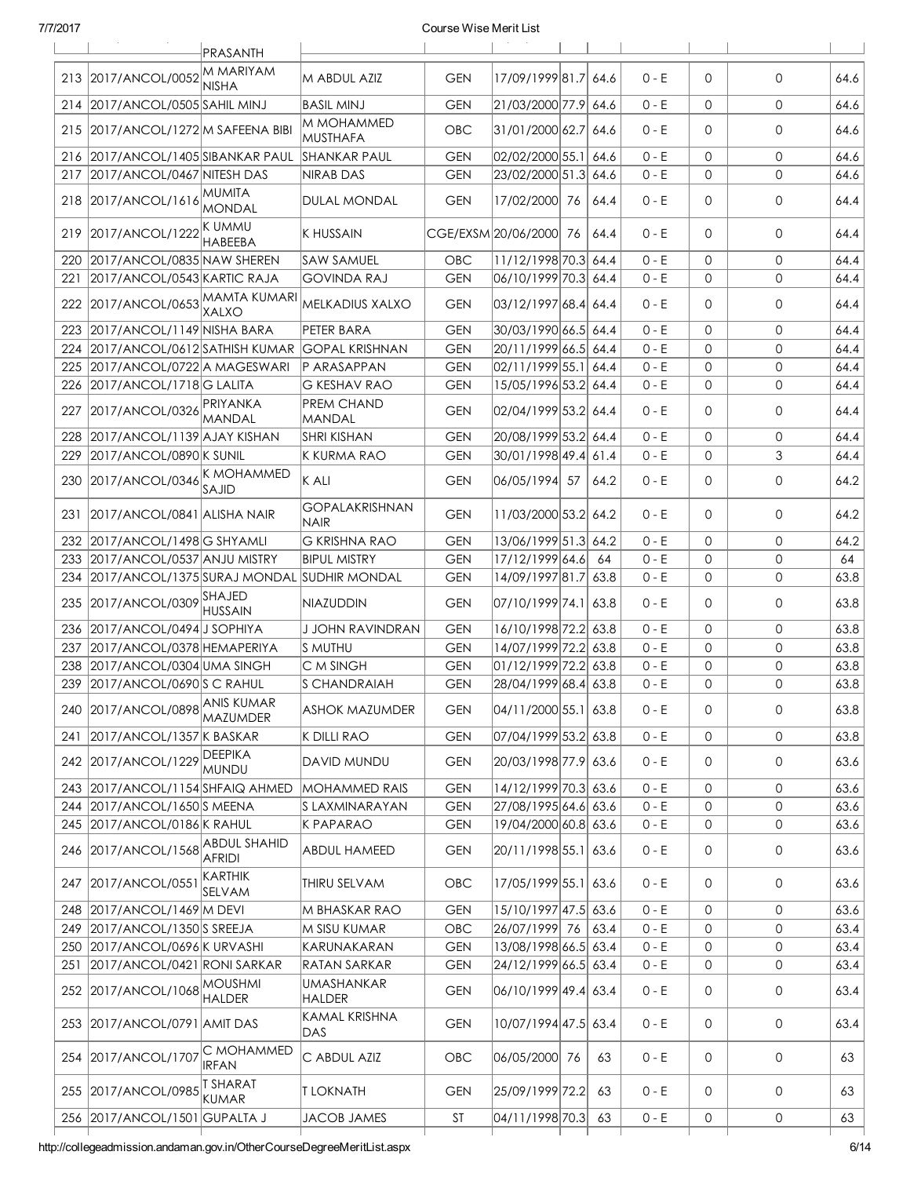|     |                                                                 | PRASANTH                   |                                         |                          |                                                |      |                    |        |                   |              |
|-----|-----------------------------------------------------------------|----------------------------|-----------------------------------------|--------------------------|------------------------------------------------|------|--------------------|--------|-------------------|--------------|
|     |                                                                 | <b>MMARIYAM</b>            |                                         |                          |                                                |      |                    |        |                   |              |
|     | 213 2017/ANCOL/0052                                             | <b>NISHA</b>               | M ABDUL AZIZ                            | <b>GEN</b>               | 17/09/1999 81.7 64.6                           |      | $0 - E$            | 0      | $\mathbf 0$       | 64.6         |
|     | 214 2017/ANCOL/0505 SAHIL MINJ                                  |                            | <b>BASIL MINJ</b>                       | <b>GEN</b>               | 21/03/2000 77.9 64.6                           |      | $0 - E$            | 0      | $\mathbf 0$       | 64.6         |
|     | 215 2017/ANCOL/1272 M SAFEENA BIBI                              |                            | M MOHAMMED<br>MUSTHAFA                  | OBC                      | 31/01/2000 62.7 64.6                           |      | $0 - E$            | 0      | $\mathbf 0$       | 64.6         |
|     | 216 2017/ANCOL/1405 SIBANKAR PAUL                               |                            | SHANKAR PAUL                            | <b>GEN</b>               | 02/02/2000 55.1                                | 64.6 | $0 - E$            | 0      | $\Omega$          | 64.6         |
|     | 217 2017/ANCOL/0467 NITESH DAS                                  |                            | <b>NIRAB DAS</b>                        | <b>GEN</b>               | 23/02/2000 51.3 64.6                           |      | $0 - E$            | 0      | $\Omega$          | 64.6         |
|     | 218 2017/ANCOL/1616                                             | MUMITA<br><b>MONDAL</b>    | <b>DULAL MONDAL</b>                     | <b>GEN</b>               | 17/02/2000 76                                  | 64.4 | $0 - E$            | 0      | $\mathbf 0$       | 64.4         |
|     | 219 2017/ANCOL/1222                                             | Ik ummu<br><b>HABEEBA</b>  | <b>K HUSSAIN</b>                        |                          | CGE/EXSM 20/06/2000 76                         | 64.4 | $0 - E$            | 0      | 0                 | 64.4         |
|     | 220 2017/ANCOL/0835 NAW SHEREN                                  |                            | <b>SAW SAMUEL</b>                       | <b>OBC</b>               | 11/12/1998 70.3 64.4                           |      | $0 - E$            | 0      | $\mathbf 0$       | 64.4         |
| 221 | 2017/ANCOL/0543 KARTIC RAJA                                     |                            | <b>GOVINDA RAJ</b>                      | <b>GEN</b>               | 06/10/1999 70.3 64.4                           |      | $0 - E$            | 0      | 0                 | 64.4         |
|     | 222 2017/ANCOL/0653 MAMTA KUMARI                                | <b>XALXO</b>               | MELKADIUS XALXO                         | <b>GEN</b>               | 03/12/1997 68.4  64.4                          |      | $0 - E$            | 0      | $\mathbf 0$       | 64.4         |
|     | 223 2017/ANCOL/1149 NISHA BARA                                  |                            | PETER BARA                              | <b>GEN</b>               | 30/03/1990 66.5 64.4                           |      | $0 - E$            | 0      | $\mathbf 0$       | 64.4         |
|     | 224 2017/ANCOL/0612 SATHISH KUMAR GOPAL KRISHNAN                |                            |                                         | <b>GEN</b>               | 20/11/1999 66.5  64.4                          |      | $0 - E$            | 0      | $\mathbf 0$       | 64.4         |
|     | 225 2017/ANCOL/0722 A MAGESWARI                                 |                            | P ARASAPPAN                             | <b>GEN</b>               | $ 02/11/1999 55.1 $ 64.4                       |      | $0 - E$            | 0      | $\Omega$          | 64.4         |
|     | 226 2017/ANCOL/1718 G LALITA                                    |                            | <b>G KESHAV RAO</b>                     | <b>GEN</b>               | 15/05/1996 53.2 64.4                           |      | $0 - E$            | 0      | $\mathbf 0$       | 64.4         |
| 227 | 2017/ANCOL/0326                                                 | PRIYANKA                   | PREM CHAND                              | <b>GEN</b>               | 02/04/1999 53.2 64.4                           |      | $0 - E$            | 0      | 0                 | 64.4         |
|     |                                                                 | <b>MANDAL</b>              | MANDAL                                  |                          |                                                |      |                    |        |                   |              |
|     | 228 2017/ANCOL/1139 AJAY KISHAN                                 |                            | SHRI KISHAN                             | <b>GEN</b>               | 20/08/1999 53.2 64.4                           |      | $0 - E$            | 0      | $\mathbf 0$       | 64.4         |
|     | 229 2017/ANCOL/0890 K SUNIL                                     |                            | K KURMA RAO                             | <b>GEN</b>               | 30/01/1998 49.4  61.4                          |      | $0 - E$            | 0      | 3                 | 64.4         |
|     | 230 2017/ANCOL/0346                                             | K MOHAMMED<br>SAJID        | $K$ ALI                                 | <b>GEN</b>               | 06/05/1994 57                                  | 64.2 | $0 - E$            | 0      | $\mathbf 0$       | 64.2         |
|     | 231 2017/ANCOL/0841 ALISHA NAIR                                 |                            | GOPALAKRISHNAN<br><b>NAIR</b>           | <b>GEN</b>               | 11/03/2000 53.2 64.2                           |      | $0 - E$            | 0      | $\mathbf 0$       | 64.2         |
|     | 232 2017/ANCOL/1498 G SHYAMLI                                   |                            | <b>G KRISHNA RAO</b>                    | <b>GEN</b>               | 13/06/1999 51.3 64.2                           |      | $0 - E$            | 0      | $\mathbf 0$       | 64.2         |
|     | 233 2017/ANCOL/0537 ANJU MISTRY                                 |                            | <b>BIPUL MISTRY</b>                     | <b>GEN</b>               | 17/12/1999 64.6                                | 64   | $0 - E$            | 0      | 0                 | 64           |
|     | 234 2017/ANCOL/1375 SURAJ MONDAL SUDHIR MONDAL                  |                            |                                         | <b>GEN</b>               | 14/09/1997 81.7 63.8                           |      | $0 - E$            | 0      | $\mathbf{0}$      | 63.8         |
|     | 235 2017/ANCOL/0309                                             | SHAJED<br><b>HUSSAIN</b>   | NIAZUDDIN                               | <b>GEN</b>               | 07/10/1999 74.1 63.8                           |      | $0 - E$            | 0      | $\mathbf 0$       | 63.8         |
|     | 236 2017/ANCOL/0494 J SOPHIYA                                   |                            | <b>J JOHN RAVINDRAN</b>                 | <b>GEN</b>               | 16/10/1998 72.2 63.8                           |      | $0 - E$            | 0      | $\mathbf 0$       | 63.8         |
|     | 237 2017/ANCOL/0378 HEMAPERIYA                                  |                            | IS MUTHU                                | <b>GEN</b>               | 14/07/1999 72.2 63.8                           |      | $0 - E$            | 0      | $\Omega$          | 63.8         |
|     | 238 2017/ANCOL/0304 UMA SINGH                                   |                            | C M SINGH                               | <b>GEN</b>               | 01/12/1999 72.2 63.8                           |      | $0 - E$            | 0      | $\mathbf 0$       | 63.8         |
|     | 239 2017/ANCOL/0690 S C RAHUL                                   |                            | <b>S CHANDRAIAH</b>                     | <b>GEN</b>               | 28/04/1999 68.4 63.8                           |      | $0 - E$            | 0      | 0                 | 63.8         |
|     | 240 2017/ANCOL/0898 ANIS KUMAR                                  |                            | <b>ASHOK MAZUMDER</b>                   | <b>GEN</b>               | 04/11/2000 55.1 63.8                           |      | $0 - E$            | 0      | 0                 | 63.8         |
| 241 | 2017/ANCOL/1357 K BASKAR                                        |                            | K DILLI RAO                             | <b>GEN</b>               | 07/04/1999 53.2 63.8                           |      | $0 - E$            | 0      | $\mathbf 0$       | 63.8         |
|     | 242 2017/ANCOL/1229 DEEPIKA                                     | <b>MUNDU</b>               | DAVID MUNDU                             | <b>GEN</b>               | 20/03/1998 77.9 63.6                           |      | $0 - E$            | 0      | 0                 | 63.6         |
|     | 243 2017/ANCOL/1154 SHFAIQ AHMED                                |                            | <b>MOHAMMED RAIS</b>                    | <b>GEN</b>               | 14/12/1999 70.3 63.6                           |      | $0 - E$            | 0      | 0                 | 63.6         |
|     |                                                                 |                            | S LAXMINARAYAN                          |                          | 27/08/1995 64.6 63.6                           |      | $0 - E$            |        | 0                 |              |
|     | 244 2017/ANCOL/1650 SMEENA                                      |                            |                                         | <b>GEN</b>               |                                                |      |                    | 0      |                   | 63.6         |
|     | 245 2017/ANCOL/0186 K RAHUL<br>246 2017/ANCOL/1568 ABDUL SHAHID |                            | <b>K PAPARAO</b><br><b>ABDUL HAMEED</b> | <b>GEN</b><br><b>GEN</b> | 19/04/2000 60.8 63.6<br> 20/11/1998 55.1  63.6 |      | $0 - E$<br>$0 - E$ | 0<br>0 | 0<br>$\mathsf{O}$ | 63.6<br>63.6 |
|     | 247 2017/ANCOL/0551                                             | <b>AFRIDI</b><br>KARTHIK   | THIRU SELVAM                            | <b>OBC</b>               | 17/05/1999 55.1 63.6                           |      | 0 - E              | 0      | 0                 | 63.6         |
|     | 248 2017/ANCOL/1469 M DEVI                                      | <b>SELVAM</b>              | M BHASKAR RAO                           | <b>GEN</b>               | 15/10/1997 47.5 63.6                           |      | $0 - E$            | 0      | 0                 | 63.6         |
|     | 249 2017/ANCOL/1350 SREEJA                                      |                            | M SISU KUMAR                            | OBC                      | 26/07/1999 76                                  | 63.4 | $0 - E$            | 0      | 0                 | 63.4         |
|     | 250 2017/ANCOL/0696 K URVASHI                                   |                            | KARUNAKARAN                             | <b>GEN</b>               | 13/08/1998 66.5 63.4                           |      | $0 - E$            | 0      | 0                 | 63.4         |
|     | 251   2017/ANCOL/0421   RONI SARKAR                             |                            | RATAN SARKAR                            | <b>GEN</b>               | 24/12/1999 66.5  63.4                          |      | $0 - E$            | 0      | 0                 | 63.4         |
|     | 252 2017/ANCOL/1068 MOUSHMI                                     | HALDER                     | UMASHANKAR<br>HALDER                    | <b>GEN</b>               | 06/10/1999 49.4 63.4                           |      | 0 - E              | 0      | 0                 | 63.4         |
|     | 253 2017/ANCOL/0791 AMIT DAS                                    |                            | KAMAL KRISHNA<br>DAS                    | <b>GEN</b>               | 10/07/1994 47.5 63.4                           |      | $0 - E$            | 0      | 0                 | 63.4         |
|     | 254 2017/ANCOL/1707                                             | C MOHAMMED<br><b>IRFAN</b> | C ABDUL AZIZ                            | OBC                      | 06/05/2000 76                                  | 63   | $0 - E$            | 0      | 0                 | 63           |
|     | 255 2017/ANCOL/0985                                             | T SHARAT<br><b>KUMAR</b>   | <b>T LOKNATH</b>                        | <b>GEN</b>               | 25/09/1999 72.2                                | 63   | $0 - E$            | 0      | 0                 | 63           |
|     | 256 2017/ANCOL/1501 GUPALTA J                                   |                            | <b>JACOB JAMES</b>                      | <b>ST</b>                | $04/11/1998$ 70.3                              | 63   | $0 - E$            | 0      | 0                 | 63           |
|     |                                                                 |                            |                                         |                          |                                                |      |                    |        |                   |              |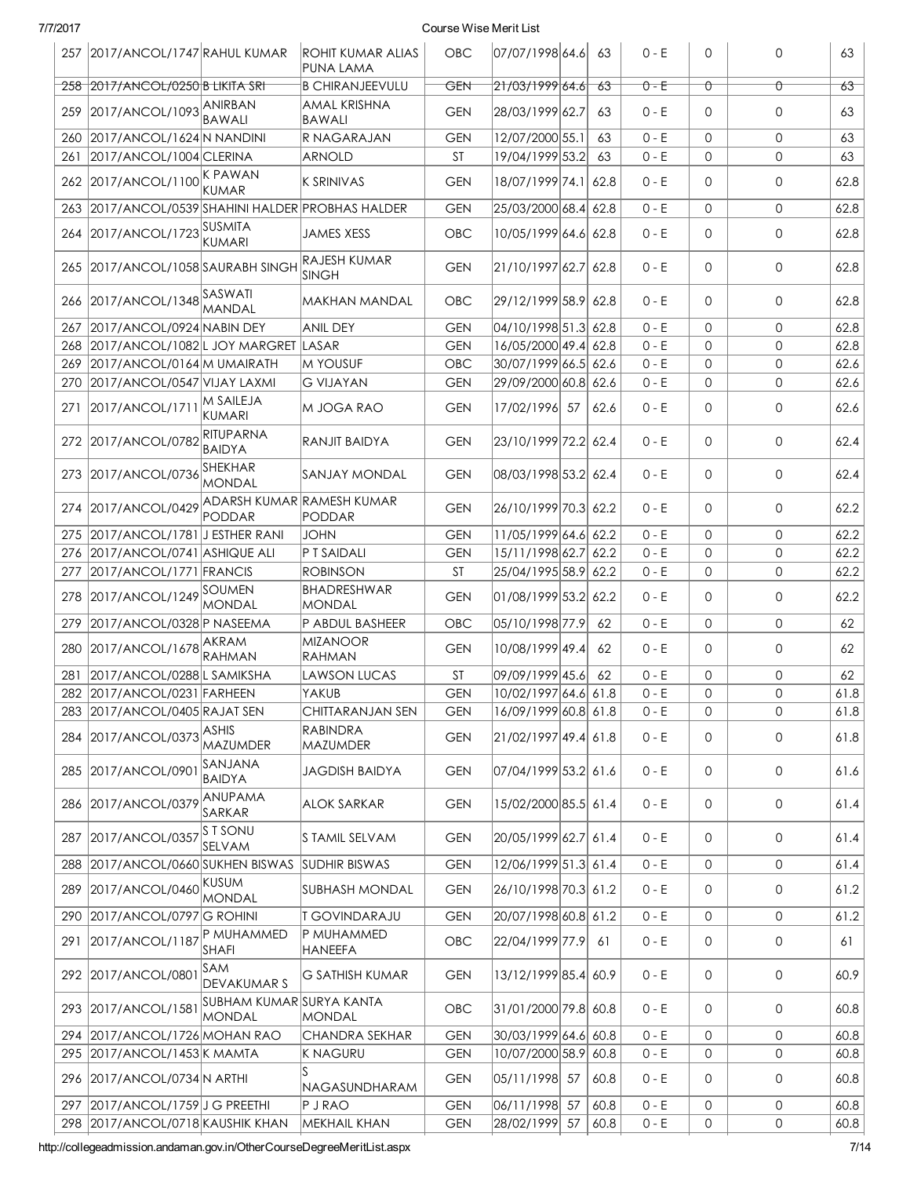| 7/7/2017 |                                               |                                           |                                       | Course Wise Merit List |                       |      |         |              |              |      |
|----------|-----------------------------------------------|-------------------------------------------|---------------------------------------|------------------------|-----------------------|------|---------|--------------|--------------|------|
|          | 257 2017/ANCOL/1747 RAHUL KUMAR               |                                           | <b>ROHIT KUMAR ALIAS</b><br>PUNA LAMA | OBC                    | 07/07/1998 64.6       | 63   | $0 - E$ | 0            | 0            | 63   |
|          | 258 2017/ANCOL/0250 B LIKITA SRT              |                                           | <b>B CHIRANJEEVULU</b>                | GEN                    | 21/03/199964.6        | 63   | $0 - E$ | Û            | Û            | 63   |
| 259      | 2017/ANCOL/1093 ANIRBAN                       | <b>BAWALI</b>                             | <b>AMAL KRISHNA</b><br>BAWALI         | <b>GEN</b>             | 28/03/1999 62.7       | 63   | $0 - E$ | $\Omega$     | 0            | 63   |
| 260      | 2017/ANCOL/1624 N NANDINI                     |                                           | R NAGARAJAN                           | <b>GEN</b>             | 12/07/2000 55.1       | 63   | $0 - E$ | 0            | $\mathsf{O}$ | 63   |
| 261      | 2017/ANCOL/1004 CLERINA                       |                                           | <b>ARNOLD</b>                         | <b>ST</b>              | 19/04/1999 53.2       | 63   | $0 - E$ | $\Omega$     | 0            | 63   |
| 262      | 2017/ANCOL/1100 K PAWAN                       | <b>KUMAR</b>                              | <b>K SRINIVAS</b>                     | <b>GEN</b>             | 18/07/1999 74.1       | 62.8 | $0 - E$ | 0            | 0            | 62.8 |
| 263      | 2017/ANCOL/0539 SHAHINI HALDER PROBHAS HALDER |                                           |                                       | <b>GEN</b>             | 25/03/2000 68.4 62.8  |      | $0 - E$ | $\mathbf{O}$ | $\mathsf{O}$ | 62.8 |
| 264      | 2017/ANCOL/1723 SUSMITA                       | <b>KUMARI</b>                             | <b>JAMES XESS</b>                     | OBC                    | 10/05/1999 64.6 62.8  |      | $0 - E$ | 0            | 0            | 62.8 |
|          | 265 2017/ANCOL/1058 SAURABH SINGH             |                                           | <b>RAJESH KUMAR</b><br><b>SINGH</b>   | <b>GEN</b>             | 21/10/1997 62.7 62.8  |      | $0 - E$ | $\Omega$     | $\mathbf{O}$ | 62.8 |
| 266      | 2017/ANCOL/1348 SASWATI                       | <b>MANDAL</b>                             | MAKHAN MANDAL                         | OBC                    | 29/12/1999 58.9 62.8  |      | $0 - E$ | $\Omega$     | 0            | 62.8 |
| 267      | 2017/ANCOL/0924 NABIN DEY                     |                                           | <b>ANIL DEY</b>                       | <b>GEN</b>             | 04/10/1998 51.3 62.8  |      | $0 - E$ | $\Omega$     | $\mathsf{O}$ | 62.8 |
| 268      | 2017/ANCOL/1082 L JOY MARGRET LASAR           |                                           |                                       | <b>GEN</b>             | 16/05/2000 49.4 62.8  |      | $0 - E$ | $\Omega$     | 0            | 62.8 |
| 269      | 2017/ANCOL/0164 M UMAIRATH                    |                                           | M YOUSUF                              | OBC                    | 30/07/1999 66.5 62.6  |      | $0 - E$ | $\mathbf{O}$ | $\mathsf{O}$ | 62.6 |
| 270      | 2017/ANCOL/0547 VIJAY LAXMI                   |                                           | <b>G VIJAYAN</b>                      | <b>GEN</b>             | 29/09/2000 60.8 62.6  |      | $0 - E$ | $\Omega$     | 0            | 62.6 |
| 271      | 2017/ANCOL/171                                | M SAILEJA<br>KUMARI                       | M JOGA RAO                            | <b>GEN</b>             | 17/02/1996 57         | 62.6 | $0 - E$ | $\Omega$     | 0            | 62.6 |
|          | 272 2017/ANCOL/0782                           | RITUPARNA<br><b>BAIDYA</b>                | <b>RANJIT BAIDYA</b>                  | <b>GEN</b>             | 23/10/1999 72.2  62.4 |      | $0 - E$ | $\Omega$     | $\mathsf{O}$ | 62.4 |
| 273      | 2017/ANCOL/0736                               | SHEKHAR<br>MONDAL                         | ISANJAY MONDAL                        | <b>GEN</b>             | 08/03/1998 53.2 62.4  |      | $0 - E$ | 0            | $\mathbf 0$  | 62.4 |
| 274      | 2017/ANCOL/0429 ADARSH KUMAR RAMESH KUMAR     | PODDAR                                    | PODDAR                                | <b>GEN</b>             | 26/10/1999 70.3  62.2 |      | $0 - E$ | $\Omega$     | 0            | 62.2 |
| 275      | 2017/ANCOL/1781 J ESTHER RANI                 |                                           | <b>JOHN</b>                           | <b>GEN</b>             | 11/05/1999 64.6 62.2  |      | $0 - E$ | $\Omega$     | $\mathsf{O}$ | 62.2 |
| 276      | 2017/ANCOL/0741 ASHIQUE ALI                   |                                           | P T SAIDALI                           | <b>GEN</b>             | 15/11/1998 62.7 62.2  |      | $0 - E$ | 0            | 0            | 62.2 |
| 277      | 2017/ANCOL/1771 FRANCIS                       |                                           | <b>ROBINSON</b>                       | <b>ST</b>              | 25/04/1995 58.9 62.2  |      | $0 - E$ | $\mathbf{O}$ | 0            | 62.2 |
| 278      | 2017/ANCOL/1249 SOUMEN                        | <b>MONDAL</b>                             | BHADRESHWAR<br>MONDAL                 | <b>GEN</b>             | 01/08/1999 53.2 62.2  |      | $0 - E$ | $\mathbf 0$  | 0            | 62.2 |
| 279      | 2017/ANCOL/0328 P NASEEMA                     |                                           | P ABDUL BASHEER                       | <b>OBC</b>             | 05/10/1998 77.9       | 62   | $0 - E$ | $\mathbf 0$  | $\mathsf{O}$ | 62   |
| 280      | 2017/ANCOL/1678                               | <b>AKRAM</b><br>RAHMAN                    | <b>MIZANOOR</b><br><b>RAHMAN</b>      | <b>GEN</b>             | 10/08/1999 49.4       | 62   | $0 - E$ | $\Omega$     | 0            | 62   |
| 281      | 2017/ANCOL/0288L SAMIKSHA                     |                                           | LAWSON LUCAS                          | <b>ST</b>              | 09/09/1999 45.6       | 62   | $0 - E$ | $\Omega$     | $\mathsf{O}$ | 62   |
| 282      | 2017/ANCOL/0231 FARHEEN                       |                                           | YAKUB                                 | <b>GEN</b>             | 10/02/1997 64.6 61.8  |      | $0 - E$ | 0            | 0            | 61.8 |
| 283      | 2017/ANCOL/0405 RAJAT SEN                     |                                           | CHITTARANJAN SEN                      | <b>GEN</b>             | 16/09/1999 60.8 61.8  |      | $0 - E$ | $\Omega$     | $\Omega$     | 61.8 |
| 284      | 2017/ANCOL/0373                               | ASHIS<br>MAZUMDER                         | <b>RABINDRA</b><br>MAZUMDER           | <b>GEN</b>             | 21/02/1997 49.4 61.8  |      | $0 - E$ | 0            | 0            | 61.8 |
| 285      | 2017/ANCOL/0901                               | SANJANA<br><b>BAIDYA</b>                  | <b>JAGDISH BAIDYA</b>                 | <b>GEN</b>             | 07/04/1999 53.2 61.6  |      | $0 - E$ | $\mathbf 0$  | 0            | 61.6 |
| 286      | 2017/ANCOL/0379                               | <b>ANUPAMA</b><br>SARKAR                  | <b>ALOK SARKAR</b>                    | <b>GEN</b>             | 15/02/2000 85.5 61.4  |      | $0 - E$ | 0            | 0            | 61.4 |
| 287      | 2017/ANCOL/0357                               | <b>S T SONU</b><br><b>SELVAM</b>          | S TAMIL SELVAM                        | <b>GEN</b>             | 20/05/1999 62.7 61.4  |      | 0 - E   | $\mathbf 0$  | $\mathbf 0$  | 61.4 |
| 288      | 2017/ANCOL/0660 SUKHEN BISWAS                 |                                           | <b>SUDHIR BISWAS</b>                  | <b>GEN</b>             | 12/06/1999 51.3 61.4  |      | $0 - E$ | $\mathbf 0$  | 0            | 61.4 |
| 289      | 2017/ANCOL/0460                               | <b>KUSUM</b><br><b>MONDAL</b>             | <b>SUBHASH MONDAL</b>                 | <b>GEN</b>             | 26/10/1998 70.3 61.2  |      | $0 - E$ | $\mathbf 0$  | 0            | 61.2 |
| 290      | 2017/ANCOL/0797 G ROHINI                      |                                           | <b>T GOVINDARAJU</b>                  | <b>GEN</b>             | 20/07/1998 60.8 61.2  |      | $0 - E$ | 0            | 0            | 61.2 |
| 291      | 2017/ANCOL/1187                               | P MUHAMMED<br>SHAFI                       | P MUHAMMED<br>HANEEFA                 | OBC                    | 22/04/1999 77.9       | 61   | $0 - E$ | $\mathbf 0$  | 0            | 61   |
| 292      | 2017/ANCOL/0801                               | SAM<br><b>DEVAKUMARS</b>                  | G SATHISH KUMAR                       | <b>GEN</b>             | 13/12/1999 85.4 60.9  |      | $0 - E$ | 0            | 0            | 60.9 |
| 293      | 2017/ANCOL/1581                               | SUBHAM KUMAR SURYA KANTA<br><b>MONDAL</b> | MONDAL                                | OBC                    | 31/01/2000 79.8 60.8  |      | $0 - E$ | $\mathbf 0$  | 0            | 60.8 |
| 294      | 2017/ANCOL/1726 MOHAN RAO                     |                                           | CHANDRA SEKHAR                        | <b>GEN</b>             | 30/03/1999 64.6 60.8  |      | $0 - E$ | $\mathbf 0$  | 0            | 60.8 |
| 295      | 2017/ANCOL/1453 K MAMTA                       |                                           | K NAGURU                              | <b>GEN</b>             | 10/07/2000 58.9 60.8  |      | $0 - E$ | 0            | 0            | 60.8 |
| 296      | 2017/ANCOL/0734 N ARTHI                       |                                           | <b>NAGASUNDHARAM</b>                  | <b>GEN</b>             | 05/11/1998 57         | 60.8 | $0 - E$ | $\mathbf 0$  | 0            | 60.8 |
| 297      | 2017/ANCOL/1759 J G PREETHI                   |                                           | $P$ J RAO                             | <b>GEN</b>             | 06/11/1998 57         | 60.8 | $0 - E$ | $\mathsf{O}$ | 0            | 60.8 |
|          | 298 2017/ANCOL/0718 KAUSHIK KHAN              |                                           | MEKHAIL KHAN                          | <b>GEN</b>             | 28/02/1999 57         | 60.8 | $0 - E$ | 0            | 0            | 60.8 |

http://collegeadmission.andaman.gov.in/OtherCourseDegreeMeritList.aspx 7/14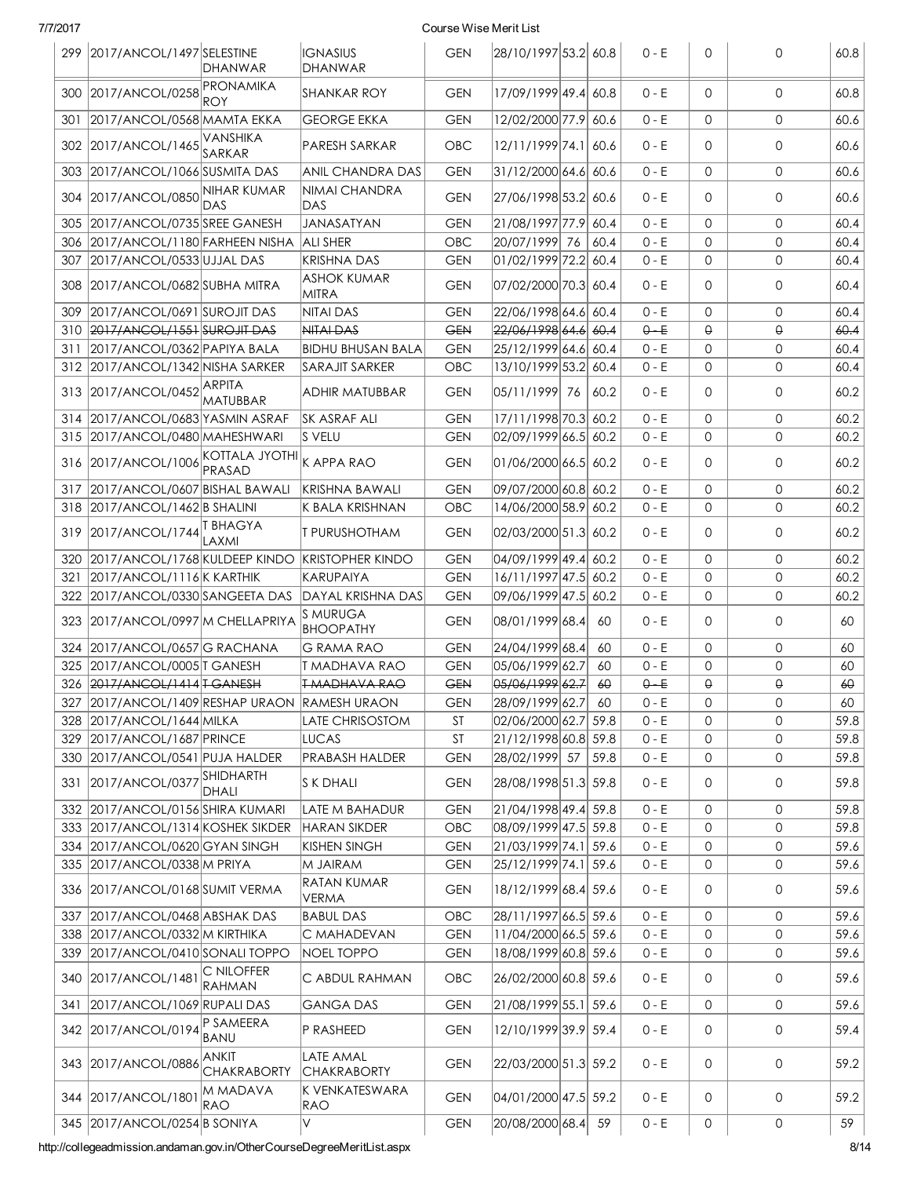|     | 299 2017/ANCOL/1497 SELESTINE                 | <b>DHANWAR</b>              | <b>IGNASIUS</b><br>DHANWAR          | <b>GEN</b> | 28/10/1997 53.2 60.8            |      | $0 - E$ | $\mathbf 0$         | $\mathbf{0}$ | 60.8 |
|-----|-----------------------------------------------|-----------------------------|-------------------------------------|------------|---------------------------------|------|---------|---------------------|--------------|------|
|     | 300 2017/ANCOL/0258                           | PRONAMIKA<br><b>ROY</b>     | SHANKAR ROY                         | <b>GEN</b> | 17/09/1999 49.4 60.8            |      | $0 - E$ | 0                   | $\Omega$     | 60.8 |
| 301 | 2017/ANCOL/0568 MAMTA EKKA                    |                             | <b>GEORGE EKKA</b>                  | <b>GEN</b> | 12/02/2000 77.9 60.6            |      | $0 - E$ | $\mathbf{0}$        | $\mathbf{0}$ | 60.6 |
| 302 | 2017/ANCOL/1465                               | VANSHIKA<br>SARKAR          | PARESH SARKAR                       | <b>OBC</b> | 12/11/1999 74.1                 | 60.6 | $0 - E$ | $\mathbf{0}$        | $\mathbf{0}$ | 60.6 |
| 303 | 2017/ANCOL/1066 SUSMITA DAS                   |                             | <b>ANIL CHANDRA DAS</b>             | <b>GEN</b> | 31/12/2000 64.6 60.6            |      | $0 - E$ | $\mathbf{0}$        | $\mathbf{0}$ | 60.6 |
| 304 | 2017/ANCOL/0850 NIHAR KUMAR                   | DAS                         | NIMAI CHANDRA<br>IDAS               | <b>GEN</b> | 27/06/1998 53.2 60.6            |      | $0 - E$ | $\mathbf{0}$        | 0            | 60.6 |
| 305 | 2017/ANCOL/0735 SREE GANESH                   |                             | <b>JANASATYAN</b>                   | <b>GEN</b> | 21/08/1997 77.9 60.4            |      | $0 - E$ | $\mathbf{0}$        | $\mathbf{O}$ | 60.4 |
| 306 | 2017/ANCOL/1180 FARHEEN NISHA                 |                             | <b>ALI SHER</b>                     | OBC        | 20/07/1999 76                   | 60.4 | $0 - E$ | $\mathbf{0}$        | 0            | 60.4 |
| 307 | 2017/ANCOL/0533 UJJAL DAS                     |                             | <b>KRISHNA DAS</b>                  | <b>GEN</b> | 01/02/1999 72.2 60.4            |      | $0 - E$ | $\mathbf{0}$        | $\mathbf{0}$ | 60.4 |
| 308 | 2017/ANCOL/0682 SUBHA MITRA                   |                             | <b>ASHOK KUMAR</b><br><b>MITRA</b>  | <b>GEN</b> | 07/02/2000 70.3 60.4            |      | $0 - E$ | 0                   | 0            | 60.4 |
| 309 | 2017/ANCOL/0691 SUROJIT DAS                   |                             | <b>NITAI DAS</b>                    | <b>GEN</b> | 22/06/1998 64.6 60.4            |      | $0 - E$ | $\mathbf{0}$        | $\mathbf{0}$ | 60.4 |
| 310 | 2017/ANCOL/1551 SUROJIT DAS                   |                             | NITAL DAS                           | <b>GEN</b> | <del>22/06/1998 64.6</del> 60.4 |      | $0 - E$ | $\Theta$            | $\Theta$     | 60.4 |
| 311 | 2017/ANCOL/0362 PAPIYA BALA                   |                             | <b>BIDHU BHUSAN BALA</b>            | <b>GEN</b> | 25/12/1999 64.6 60.4            |      | $0 - E$ | 0                   | 0            | 60.4 |
|     | 312 2017/ANCOL/1342 NISHA SARKER              |                             | <b>SARAJIT SARKER</b>               | OBC        | 13/10/1999 53.2 60.4            |      | $0 - E$ | $\mathbf{0}$        | $\mathbf{0}$ | 60.4 |
|     | 313 2017/ANCOL/0452 ARPITA                    | <b>MATUBBAR</b>             | <b>ADHIR MATUBBAR</b>               | <b>GEN</b> | 05/11/1999 76                   | 60.2 | $0 - E$ | 0                   | 0            | 60.2 |
| 314 | 2017/ANCOL/0683 YASMIN ASRAF                  |                             | <b>SK ASRAF ALI</b>                 | <b>GEN</b> | 17/11/1998 70.3 60.2            |      | $0 - E$ | $\mathbf{0}$        | $\mathbf{0}$ | 60.2 |
| 315 | 2017/ANCOL/0480 MAHESHWARI                    |                             | <b>S VELU</b>                       | <b>GEN</b> | 02/09/1999 66.5 60.2            |      | $0 - E$ | 0                   | $\mathbf{O}$ | 60.2 |
| 316 | 2017/ANCOL/1006                               | KOTTALA JYOTHI<br>PRASAD    | K APPA RAO                          | <b>GEN</b> | 01/06/2000 66.5 60.2            |      | $0 - E$ | $\mathbf{0}$        | $\mathbf{0}$ | 60.2 |
| 317 | 2017/ANCOL/0607 BISHAL BAWALI                 |                             | <b>KRISHNA BAWALI</b>               | <b>GEN</b> | 09/07/2000 60.8 60.2            |      | $0 - E$ | $\mathbf{0}$        | $\mathbf{0}$ | 60.2 |
| 318 | 2017/ANCOL/1462 B SHALINI                     |                             | K BALA KRISHNAN                     | OBC        | 14/06/2000 58.9 60.2            |      | $0 - E$ | $\mathbf{0}$        | $\mathbf{0}$ | 60.2 |
| 319 | 2017/ANCOL/1744                               | <b>T BHAGYA</b><br>LAXMI    | <b>T PURUSHOTHAM</b>                | <b>GEN</b> | 02/03/2000 51.3 60.2            |      | $0 - E$ | $\mathbf{0}$        | $\mathbf{0}$ | 60.2 |
| 320 | 2017/ANCOL/1768 KULDEEP KINDO                 |                             | <b>KRISTOPHER KINDO</b>             | <b>GEN</b> | 04/09/1999 49.4 60.2            |      | $0 - E$ | $\mathbf{0}$        | $\mathbf{0}$ | 60.2 |
| 321 | $2017/ANCOL/1116$ K KARTHIK                   |                             | KARUPAIYA                           | <b>GEN</b> | 16/11/1997 47.5 60.2            |      | $0 - E$ | 0                   | $\mathbf{0}$ | 60.2 |
|     | 322 2017/ANCOL/0330 SANGEETA DAS              |                             | DAYAL KRISHNA DAS                   | <b>GEN</b> | 09/06/1999 47.5 60.2            |      | $0 - E$ | $\mathbf{O}$        | $\mathbf{O}$ | 60.2 |
|     | 323 2017/ANCOL/0997 M CHELLAPRIYA             |                             | <b>S MURUGA</b><br><b>BHOOPATHY</b> | <b>GEN</b> | 08/01/1999 68.4                 | 60   | $0 - E$ | $\mathbf{0}$        | $\Omega$     | 60   |
| 324 | 2017/ANCOL/0657G RACHANA                      |                             | <b>G RAMA RAO</b>                   | <b>GEN</b> | 24/04/1999 68.4                 | 60   | $0 - E$ | $\mathbf{0}$        | $\mathbf{0}$ | 60   |
|     | 325 2017/ANCOL/0005 T GANESH                  |                             | <b>T MADHAVA RAO</b>                | <b>GEN</b> | 05/06/1999 62.7                 | 60   | $0 - E$ | $\mathbf{O}$        | $\mathbf{0}$ | 60   |
|     | 326 2017/ANCOL/1414 T-GANESH                  |                             | <b>TMADHAVA RAO</b>                 | <b>GEN</b> | 05/06/1999 62.7                 | 60   | $0 - E$ | $\Theta$            | $\Theta$     | 60   |
|     | 327 2017/ANCOL/1409 RESHAP URAON RAMESH URAON |                             |                                     | <b>GEN</b> | 28/09/1999 62.7 60              |      | $0 - E$ | $\mathsf{O}\xspace$ | $\mathsf{O}$ | 60   |
|     | 328 2017/ANCOL/1644 MILKA                     |                             | <b>LATE CHRISOSTOM</b>              | ST         | 02/06/2000 62.7 59.8            |      | $0 - E$ | $\Omega$            | $\mathbf{0}$ | 59.8 |
|     | 329 2017/ANCOL/1687 PRINCE                    |                             | <b>LUCAS</b>                        | <b>ST</b>  | 21/12/1998 60.8 59.8            |      | $0 - E$ | 0                   | 0            | 59.8 |
| 330 | 2017/ANCOL/0541 PUJA HALDER                   |                             | <b>PRABASH HALDER</b>               | <b>GEN</b> | 28/02/1999 57                   | 59.8 | $0 - E$ | $\mathsf{O}$        | $\mathsf{O}$ | 59.8 |
|     | 331 2017/ANCOL/0377                           | <b>SHIDHARTH</b><br>DHALI   | IS K DHALI                          | <b>GEN</b> | 28/08/1998 51.3 59.8            |      | $0 - E$ | 0                   | $\mathsf{O}$ | 59.8 |
|     | 332 2017/ANCOL/0156 SHIRA KUMARI              |                             | <b>LATE M BAHADUR</b>               | <b>GEN</b> | 21/04/1998 49.4 59.8            |      | $0 - E$ | 0                   | 0            | 59.8 |
|     | 333 2017/ANCOL/1314 KOSHEK SIKDER             |                             | <b>HARAN SIKDER</b>                 | OBC        | 08/09/1999 47.5 59.8            |      | $0 - E$ | $\mathbf{O}$        | $\mathbf{0}$ | 59.8 |
|     | 334 2017/ANCOL/0620 GYAN SINGH                |                             | <b>KISHEN SINGH</b>                 | <b>GEN</b> | 21/03/1999 74.1 59.6            |      | $0 - E$ | 0                   | 0            | 59.6 |
|     | 335 2017/ANCOL/0338 M PRIYA                   |                             | M JAIRAM                            | <b>GEN</b> | 25/12/1999 74.1 59.6            |      | $0 - E$ | 0                   | 0            | 59.6 |
|     | 336 2017/ANCOL/0168 SUMIT VERMA               |                             | RATAN KUMAR<br><b>VERMA</b>         | <b>GEN</b> | 18/12/1999 68.4 59.6            |      | $0 - E$ | 0                   | 0            | 59.6 |
|     | 337 2017/ANCOL/0468 ABSHAK DAS                |                             | <b>BABUL DAS</b>                    | OBC        | 28/11/1997 66.5 59.6            |      | $0 - E$ | $\mathbf 0$         | $\mathbf 0$  | 59.6 |
|     | 338 2017/ANCOL/0332 M KIRTHIKA                |                             | C MAHADEVAN                         | <b>GEN</b> | 11/04/2000 66.5 59.6            |      | $0 - E$ | 0                   | 0            | 59.6 |
|     | 339 2017/ANCOL/0410 SONALI TOPPO              |                             | NOEL TOPPO                          | <b>GEN</b> | 18/08/1999 60.8 59.6            |      | $0 - E$ | 0                   | $\mathsf{O}$ | 59.6 |
|     | 340 2017/ANCOL/1481                           | C NILOFFER<br>RAHMAN        | C ABDUL RAHMAN                      | OBC        | 26/02/2000 60.8 59.6            |      | $0 - E$ | 0                   | 0            | 59.6 |
| 341 | 2017/ANCOL/1069 RUPALI DAS                    |                             | <b>GANGA DAS</b>                    | <b>GEN</b> | 21/08/1999 55.1 59.6            |      | $0 - E$ | $\mathbf 0$         | $\mathsf{O}$ | 59.6 |
|     | 342 2017/ANCOL/0194                           | P SAMEERA<br>BANU           | P RASHEED                           | <b>GEN</b> | 12/10/1999 39.9 59.4            |      | $0 - E$ | 0                   | 0            | 59.4 |
|     | 343 2017/ANCOL/0886                           | ANKIT<br><b>CHAKRABORTY</b> | LATE AMAL<br><b>CHAKRABORTY</b>     | <b>GEN</b> | 22/03/2000 51.3 59.2            |      | $0 - E$ | $\mathbf 0$         | 0            | 59.2 |
|     | 344 2017/ANCOL/1801                           | M MADAVA<br>RAO             | K VENKATESWARA<br>RAO               | <b>GEN</b> | 04/01/2000 47.5 59.2            |      | $0 - E$ | 0                   | 0            | 59.2 |
|     | 345 2017/ANCOL/0254 B SONIYA                  |                             | V                                   | <b>GEN</b> | 20/08/2000 68.4 59              |      | $0 - E$ | 0                   | 0            | 59   |

http://collegeadmission.andaman.gov.in/OtherCourseDegreeMeritList.aspx 8/14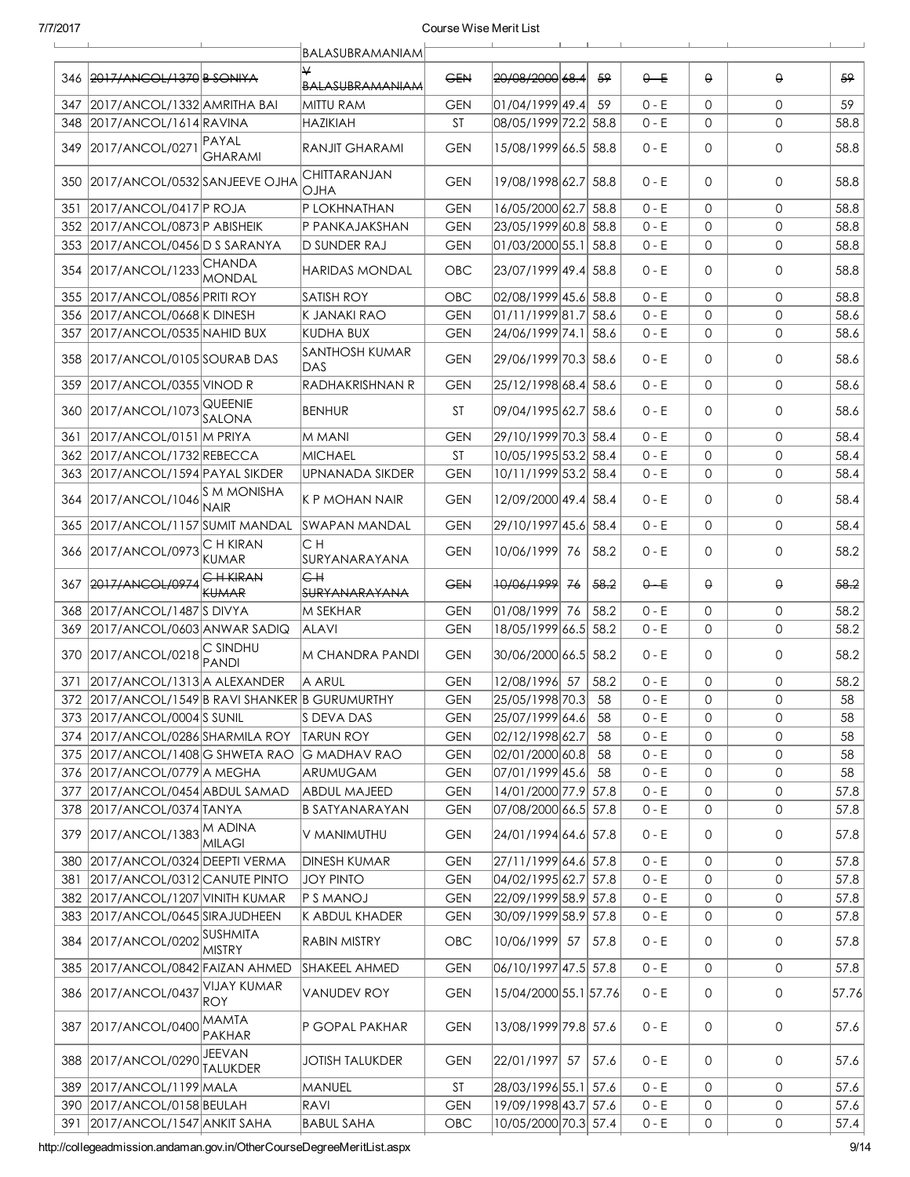|      |                                                                  |                                  | BALASUBRAMANIAM              |                   |                        |    |      |                    |              |              |              |
|------|------------------------------------------------------------------|----------------------------------|------------------------------|-------------------|------------------------|----|------|--------------------|--------------|--------------|--------------|
|      | 346 2017/ANCOL/1370 B SONIYA                                     |                                  | <b>BALASUBRAMANIAM</b>       | <b>GEN</b>        | 20/08/2000 68.4        |    | -59  | $0 - E$            | $\theta$     | $\Theta$     | 59           |
| 347  | 2017/ANCOL/1332 AMRITHA BAI                                      |                                  | MITTU RAM                    | <b>GEN</b>        | 01/04/1999 49.4        |    | 59   | $0 - E$            | $\mathbf{0}$ | $\Omega$     | 59           |
| 348  | 2017/ANCOL/1614 RAVINA                                           |                                  | <b>HAZIKIAH</b>              | <b>ST</b>         | 08/05/1999 72.2 58.8   |    |      | $0 - E$            | 0            | $\mathbf{O}$ | 58.8         |
|      | 349 2017/ANCOL/0271                                              | PAYAL<br><b>GHARAMI</b>          | RANJIT GHARAMI               | <b>GEN</b>        | 15/08/1999 66.5 58.8   |    |      | $0 - E$            | $\mathbf 0$  | $\mathbf 0$  | 58.8         |
|      | 350 2017/ANCOL/0532 SANJEEVE OJHA                                |                                  | CHITTARANJAN<br><b>OJHA</b>  | <b>GEN</b>        | 19/08/1998 62.7        |    | 58.8 | $0 - E$            | $\mathbf 0$  | $\Omega$     | 58.8         |
| 351  | 2017/ANCOL/0417 P ROJA                                           |                                  | P LOKHNATHAN                 | <b>GEN</b>        | 16/05/2000 62.7 58.8   |    |      | $0 - E$            | $\mathbf 0$  | $\mathbf 0$  | 58.8         |
| 352  | 2017/ANCOL/0873 P ABISHEIK                                       |                                  | P PANKAJAKSHAN               | <b>GEN</b>        | 23/05/1999 60.8 58.8   |    |      | $0 - E$            | $\mathbf 0$  | $\mathbf{0}$ | 58.8         |
| 353  | 2017/ANCOL/0456 D S SARANYA                                      |                                  | <b>D SUNDER RAJ</b>          | <b>GEN</b>        | 01/03/2000 55.1 58.8   |    |      | $0 - E$            | $\mathbf{0}$ | $\mathbf{0}$ | 58.8         |
|      | 354 2017/ANCOL/1233 CHANDA                                       | <b>MONDAL</b>                    | HARIDAS MONDAL               | <b>OBC</b>        | 23/07/1999 49.4 58.8   |    |      | $0 - E$            | 0            | 0            | 58.8         |
| 355  | 2017/ANCOL/0856 PRITI ROY                                        |                                  | SATISH ROY                   | OBC               | 02/08/1999 45.6 58.8   |    |      | $0 - E$            | $\mathbf 0$  | $\mathbf 0$  | 58.8         |
| 356  | 2017/ANCOL/0668 K DINESH                                         |                                  | K JANAKI RAO                 | <b>GEN</b>        | 01/11/1999 81.7 58.6   |    |      | $0 - E$            | $\mathbf 0$  | $\mathbf{0}$ | 58.6         |
| 357  | 2017/ANCOL/0535 NAHID BUX                                        |                                  | <b>KUDHA BUX</b>             | <b>GEN</b>        | 24/06/1999 74.1 58.6   |    |      | $0 - E$            | $\mathsf{O}$ | $\mathbf{0}$ | 58.6         |
|      | 358 2017/ANCOL/0105 SOURAB DAS                                   |                                  | <b>SANTHOSH KUMAR</b><br>DAS | <b>GEN</b>        | 29/06/1999 70.3 58.6   |    |      | $0 - E$            | 0            | 0            | 58.6         |
| 359  | 2017/ANCOL/0355 VINOD R                                          |                                  | <b>RADHAKRISHNAN R</b>       | <b>GEN</b>        | 25/12/1998 68.4 58.6   |    |      | $0 - E$            | 0            | $\mathbf{0}$ | 58.6         |
| 360  | 2017/ANCOL/1073 QUEENIE                                          | SALONA                           | <b>BENHUR</b>                | <b>ST</b>         | 09/04/1995 62.7 58.6   |    |      | $0 - E$            | 0            | $\mathbf{O}$ | 58.6         |
| 361  | 2017/ANCOL/0151 M PRIYA                                          |                                  | M MANI                       | <b>GEN</b>        | 29/10/1999 70.3 58.4   |    |      | $0 - E$            | 0            | $\mathbf{O}$ | 58.4         |
| 362  | 2017/ANCOL/1732 REBECCA                                          |                                  | MICHAEL                      | <b>ST</b>         | 10/05/1995 53.2 58.4   |    |      | $0 - E$            | 0            | 0            | 58.4         |
| 363. | 2017/ANCOL/1594 PAYAL SIKDER                                     |                                  | UPNANADA SIKDER              | <b>GEN</b>        | 10/11/1999 53.2 58.4   |    |      | $0 - E$            | 0            | $\mathbf 0$  | 58.4         |
|      | 364 2017/ANCOL/1046 SM MONISHA                                   | <b>NAIR</b>                      | K P MOHAN NAIR               | <b>GEN</b>        | 12/09/2000 49.4 58.4   |    |      | $0 - E$            | 0            | 0            | 58.4         |
| 365  | 2017/ANCOL/1157 SUMIT MANDAL                                     |                                  | <b>SWAPAN MANDAL</b>         | <b>GEN</b>        | 29/10/1997 45.6 58.4   |    |      | $0 - E$            | $\mathbf{0}$ | $\mathsf{O}$ | 58.4         |
|      | 366 2017/ANCOL/0973                                              | C H KIRAN<br>KUMAR               | CН<br>ISURYANARAYANA         | <b>GEN</b>        | 10/06/1999 76          |    | 58.2 | $0 - E$            | $\mathbf 0$  | 0            | 58.2         |
| 367  | 2017/ANCOL/0974                                                  | $E$ H KIRAN<br><b>KUMAR</b>      | eн<br><b>SURYANARAYANA</b>   | <b>GEN</b>        | 10/06/1999             | 76 | 58.2 | $0 - E$            | $\Theta$     | $\Theta$     | 58.2         |
|      |                                                                  |                                  |                              |                   |                        |    |      |                    |              |              |              |
| 368  | 2017/ANCOL/1487 SDIVYA                                           |                                  | <b>M SEKHAR</b>              | <b>GEN</b>        | 01/08/1999 76          |    | 58.2 | $0 - E$            | 0            | 0            | 58.2         |
| 369  | 2017/ANCOL/0603 ANWAR SADIQ                                      |                                  | ALAVI                        | <b>GEN</b>        | 18/05/1999 66.5        |    | 58.2 | $0 - E$            | $\mathbf{O}$ | $\Omega$     | 58.2         |
|      | 370 2017/ANCOL/0218                                              | <b>C SINDHU</b><br><b>PANDI</b>  | <b>M CHANDRA PANDI</b>       | <b>GEN</b>        | 30/06/2000 66.5 58.2   |    |      | $0 - E$            | $\mathbf 0$  | $\mathbf 0$  | 58.2         |
| 371  | 2017/ANCOL/1313 A ALEXANDER                                      |                                  | IA ARUL                      | <b>GEN</b>        | 12/08/1996 57          |    | 58.2 | $0 - E$            | $\mathsf{O}$ | $\mathbf{0}$ | 58.2         |
|      | 372 2017/ANCOL/1549 B RAVI SHANKER B GURUMURTHY                  |                                  |                              | <b>GEN</b>        | 25/05/1998 70.3 58     |    |      | $0 - E$            | $\mathsf{O}$ | $\mathsf{O}$ | 58           |
|      | 373 2017/ANCOL/0004 S SUNIL                                      |                                  | S DEVA DAS                   | <b>GEN</b>        | 25/07/1999 64.6        |    | 58   | $0 - E$            | 0            | 0            | 58           |
|      | 374 2017/ANCOL/0286 SHARMILA ROY                                 |                                  | <b>TARUN ROY</b>             | <b>GEN</b>        | 02/12/1998 62.7        |    | 58   | $0 - E$            | 0            | $\mathbf{O}$ | 58           |
|      | 375 2017/ANCOL/1408 G SHWETA RAO                                 |                                  | <b>G MADHAV RAO</b>          | <b>GEN</b>        | 02/01/2000 60.8        |    | 58   | $0 - E$            | $\mathbf 0$  | $\mathsf{O}$ | 58           |
|      | 376 2017/ANCOL/0779 A MEGHA                                      |                                  | ARUMUGAM                     | <b>GEN</b>        | 07/01/1999 45.6        |    | 58   | $0 - E$            | 0            | 0            | 58           |
|      | 377 2017/ANCOL/0454 ABDUL SAMAD                                  |                                  | <b>ABDUL MAJEED</b>          | <b>GEN</b>        | 14/01/2000 77.9 57.8   |    |      | $0 - E$            | $\mathbf 0$  | $\mathsf{O}$ | 57.8         |
|      | 378 2017/ANCOL/0374 TANYA                                        |                                  | <b>B SATYANARAYAN</b>        | <b>GEN</b>        | 07/08/2000 66.5 57.8   |    |      | $0 - E$            | 0            | $\mathsf{O}$ | 57.8         |
| 379  | 2017/ANCOL/1383 M ADINA                                          | MILAGI                           | V MANIMUTHU                  | <b>GEN</b>        | 24/01/1994 64.6 57.8   |    |      | $0 - E$            | 0            | 0            | 57.8         |
| 380  | 2017/ANCOL/0324 DEEPTI VERMA                                     |                                  | <b>DINESH KUMAR</b>          | <b>GEN</b>        | 27/11/1999 64.6 57.8   |    |      | $0 - E$            | 0            | 0            | 57.8         |
| 381  | 2017/ANCOL/0312 CANUTE PINTO                                     |                                  | <b>JOY PINTO</b>             | <b>GEN</b>        | 04/02/1995 62.7 57.8   |    |      | $0 - E$            | 0            | 0            | 57.8         |
|      | 382 2017/ANCOL/1207 VINITH KUMAR                                 |                                  | P S MANOJ                    | <b>GEN</b>        | 22/09/1999 58.9 57.8   |    |      | $0 - E$            | 0            | $\mathsf{O}$ | 57.8         |
|      | 383 2017/ANCOL/0645 SIRAJUDHEEN                                  |                                  | K ABDUL KHADER               | <b>GEN</b>        | 30/09/1999 58.9 57.8   |    |      | $0 - E$            | 0            | 0            | 57.8         |
|      | 384 2017/ANCOL/0202 SUSHMITA                                     | MISTRY                           | RABIN MISTRY                 | <b>OBC</b>        | 10/06/1999 57          |    | 57.8 | $0 - E$            | 0            | 0            | 57.8         |
|      | 385 2017/ANCOL/0842 FAIZAN AHMED                                 |                                  | SHAKEEL AHMED                | <b>GEN</b>        | $06/10/1997$ 47.5 57.8 |    |      | $0 - E$            | 0            | $\mathsf{O}$ | 57.8         |
|      | 386 2017/ANCOL/0437                                              | <b>VIJAY KUMAR</b><br><b>ROY</b> | <b>VANUDEV ROY</b>           | <b>GEN</b>        | 15/04/2000 55.1 57.76  |    |      | $0 - E$            | 0            | $\mathbf 0$  | 57.76        |
| 387  | 2017/ANCOL/0400 MAMTA                                            | PAKHAR                           | P GOPAL PAKHAR               | <b>GEN</b>        | 13/08/1999 79.8 57.6   |    |      | $0 - E$            | 0            | 0            | 57.6         |
|      | 388 2017/ANCOL/0290 JEEVAN                                       | TALUKDER                         | <b>JOTISH TALUKDER</b>       | <b>GEN</b>        | 22/01/1997 57          |    | 57.6 | $0 - E$            | $\mathbf 0$  | $\mathbf 0$  | 57.6         |
| 389  | 2017/ANCOL/1199 MALA                                             |                                  | MANUEL                       | <b>ST</b>         | 28/03/1996 55.1 57.6   |    |      | $0 - E$            | 0            | 0            | 57.6         |
|      | 390 2017/ANCOL/0158 BEULAH<br>391   2017/ANCOL/1547   ANKIT SAHA |                                  | RAVI<br><b>BABUL SAHA</b>    | <b>GEN</b><br>OBC | 19/09/1998 43.7 57.6   |    |      | $0 - E$<br>$0 - E$ | 0            | 0            | 57.6<br>57.4 |

http://collegeadmission.andaman.gov.in/OtherCourseDegreeMeritList.aspx 9/14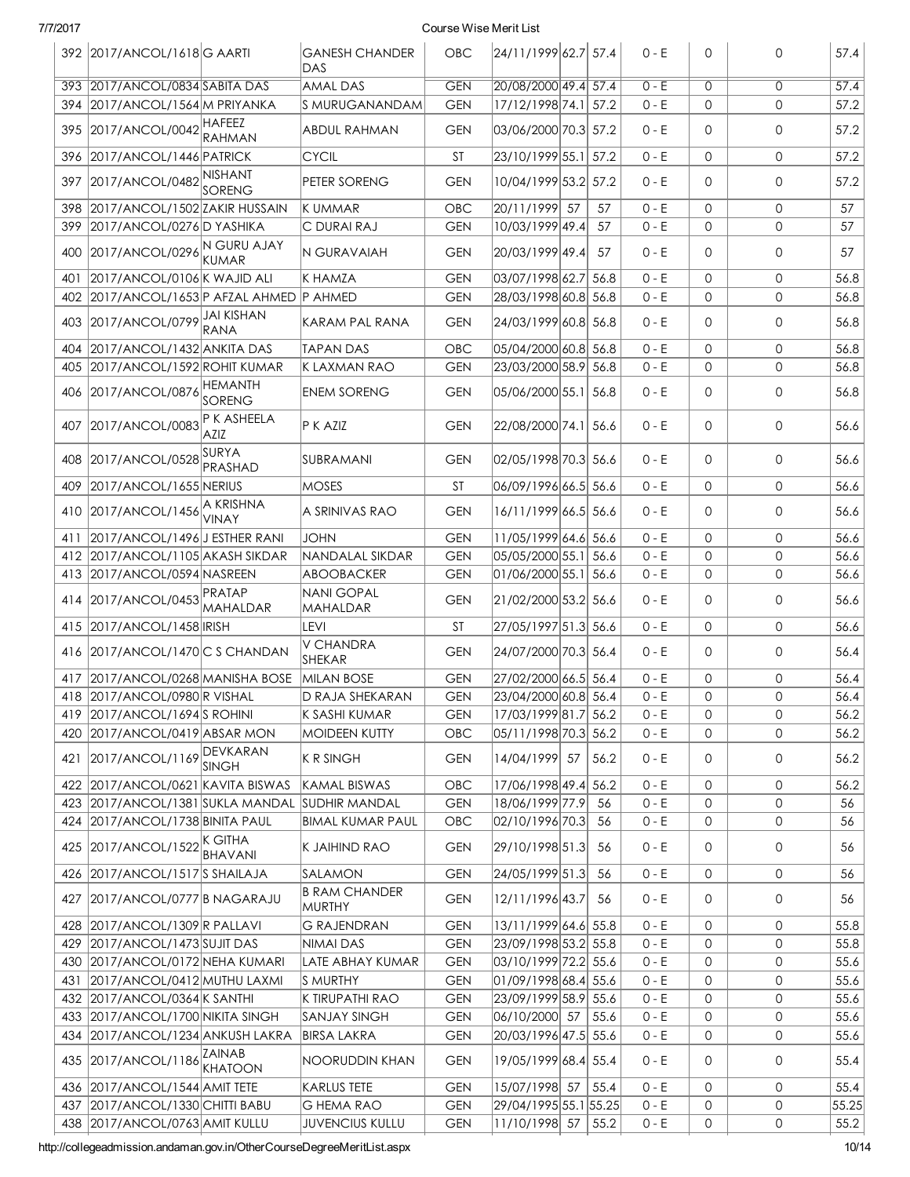| 7/7/2017 |                                       |                          |                                | Course Wise Merit List |                       |      |         |                |                |       |
|----------|---------------------------------------|--------------------------|--------------------------------|------------------------|-----------------------|------|---------|----------------|----------------|-------|
|          | 392 2017/ANCOL/1618 G AARTI           |                          | <b>GANESH CHANDER</b><br>DAS   | OBC                    | 24/11/199962.757.4    |      | $0 - E$ | 0              | 0              | 57.4  |
| 393      | 2017/ANCOL/0834 SABITA DAS            |                          | AMAL DAS                       | <b>GEN</b>             | 20/08/2000 49.4 57.4  |      | $0 - E$ | $\overline{0}$ | $\overline{0}$ | 57.4  |
| 394      | 2017/ANCOL/1564 M PRIYANKA            |                          | S MURUGANANDAM                 | <b>GEN</b>             | 17/12/1998 74.1 57.2  |      | $0 - E$ | $\mathbf 0$    | 0              | 57.2  |
| 395      | 2017/ANCOL/0042 HAFEEZ                | <b>RAHMAN</b>            | ABDUL RAHMAN                   | <b>GEN</b>             | 03/06/2000 70.3 57.2  |      | $0 - E$ | $\Omega$       | 0              | 57.2  |
| 396      | 2017/ANCOL/1446 PATRICK               |                          | <b>CYCIL</b>                   | <b>ST</b>              | 23/10/1999 55.1 57.2  |      | $0 - E$ | $\mathbf 0$    | 0              | 57.2  |
| 397      | 2017/ANCOL/0482 NISHANT               | SORENG                   | PETER SORENG                   | <b>GEN</b>             | 10/04/1999 53.2 57.2  |      | $0 - E$ | $\mathbf 0$    | 0              | 57.2  |
| 398      | 2017/ANCOL/1502 ZAKIR HUSSAIN         |                          | K UMMAR                        | <b>OBC</b>             | 20/11/1999 57         | 57   | $0 - E$ | $\mathbf 0$    | 0              | 57    |
| 399      | 2017/ANCOL/0276 D YASHIKA             |                          | C DURAI RAJ                    | <b>GEN</b>             | 10/03/1999 49.4       | 57   | $0 - E$ | 0              | 0              | 57    |
| 400      | 2017/ANCOL/0296 N GURU AJAY           | <b>KUMAR</b>             | N GURAVAIAH                    | <b>GEN</b>             | 20/03/1999 49.4       | 57   | $0 - E$ | $\mathbf 0$    | 0              | 57    |
| 401      | 2017/ANCOL/0106 K WAJID ALI           |                          | K HAMZA                        | <b>GEN</b>             | 03/07/1998 62.7 56.8  |      | $0 - E$ | $\mathbf 0$    | $\mathsf{O}$   | 56.8  |
| 402      | 2017/ANCOL/1653 P AFZAL AHMED P AHMED |                          |                                | <b>GEN</b>             | 28/03/1998 60.8 56.8  |      | $0 - E$ | $\mathbf 0$    | 0              | 56.8  |
| 403      | 2017/ANCOL/0799 JAI KISHAN            | RANA                     | KARAM PAL RANA                 | <b>GEN</b>             | 24/03/1999 60.8 56.8  |      | 0 - E   | 0              | 0              | 56.8  |
| 404      | 2017/ANCOL/1432 ANKITA DAS            |                          | <b>TAPAN DAS</b>               | <b>OBC</b>             | 05/04/2000 60.8 56.8  |      | $0 - E$ | $\mathbf{0}$   | $\mathsf{O}$   | 56.8  |
| 405      | 2017/ANCOL/1592 ROHIT KUMAR           |                          | K LAXMAN RAO                   | <b>GEN</b>             | 23/03/2000 58.9 56.8  |      | 0 - E   | $\mathbf 0$    | 0              | 56.8  |
| 406      | 2017/ANCOL/0876                       | <b>HEMANTH</b><br>SORENG | <b>ENEM SORENG</b>             | <b>GEN</b>             | 05/06/2000 55.1 56.8  |      | $0 - E$ | 0              | 0              | 56.8  |
|          | 407 2017/ANCOL/0083                   | P K ASHEELA<br>AZIZ      | P K AZIZ                       | <b>GEN</b>             | 22/08/2000 74.1 56.6  |      | $0 - E$ | $\Omega$       | 0              | 56.6  |
|          | 408 2017/ANCOL/0528 SURYA             | PRASHAD                  | SUBRAMANI                      | <b>GEN</b>             | 02/05/1998 70.3 56.6  |      | $0 - E$ | $\Omega$       | 0              | 56.6  |
| 409      | 2017/ANCOL/1655 NERIUS                |                          | <b>MOSES</b>                   | <b>ST</b>              | 06/09/1996 66.5 56.6  |      | $0 - E$ | $\mathbf 0$    | 0              | 56.6  |
| 410      | 2017/ANCOL/1456 A KRISHNA             | VINAY                    | A SRINIVAS RAO                 | <b>GEN</b>             | 16/11/1999 66.5 56.6  |      | $0 - E$ | $\mathbf 0$    | 0              | 56.6  |
| 411      | 2017/ANCOL/1496 J ESTHER RANI         |                          | <b>JOHN</b>                    | <b>GEN</b>             | 11/05/1999 64.6 56.6  |      | $0 - E$ | $\mathbf 0$    | $\mathsf{O}$   | 56.6  |
| 412      | 2017/ANCOL/1105 AKASH SIKDAR          |                          | NANDALAL SIKDAR                | <b>GEN</b>             | 05/05/2000 55.1 56.6  |      | $0 - E$ | $\mathbf 0$    | 0              | 56.6  |
| 413      | 2017/ANCOL/0594 NASREEN               |                          | ABOOBACKER                     | <b>GEN</b>             | 01/06/2000 55.1 56.6  |      | 0 - E   | $\mathbf 0$    | 0              | 56.6  |
| 414      | 2017/ANCOL/0453 PRATAP                | <b>MAHALDAR</b>          | NANI GOPAL<br>MAHALDAR         | <b>GEN</b>             | 21/02/2000 53.2 56.6  |      | $0 - E$ | $\mathbf 0$    | 0              | 56.6  |
| 415      | 2017/ANCOL/1458 IRISH                 |                          | LEVI                           | <b>ST</b>              | 27/05/1997 51.3 56.6  |      | $0 - E$ | $\mathbf 0$    | 0              | 56.6  |
|          | 416 2017/ANCOL/1470 C S CHANDAN       |                          | V CHANDRA<br>SHEKAR            | <b>GEN</b>             | 24/07/2000 70.3 56.4  |      | $0 - E$ | $\mathbf 0$    | 0              | 56.4  |
|          | 417 2017/ANCOL/0268 MANISHA BOSE      |                          | <b>MILAN BOSE</b>              | <b>GEN</b>             | 27/02/2000 66.5 56.4  |      | $0 - E$ | $\mathbf 0$    | $\mathsf{O}$   | 56.4  |
| 418      | 2017/ANCOL/0980 R VISHAL              |                          | D RAJA SHEKARAN                | <b>GEN</b>             | 23/04/2000 60.8 56.4  |      | $0 - E$ | $\Omega$       | 0              | 56.4  |
| 419      | 2017/ANCOL/1694 S ROHINI              |                          | K SASHI KUMAR                  | <b>GEN</b>             | 17/03/1999 81.7 56.2  |      | $0 - E$ | 0              | 0              | 56.2  |
| 420      | 2017/ANCOL/0419 ABSAR MON             |                          | <b>MOIDEEN KUTTY</b>           | <b>OBC</b>             | 05/11/1998 70.3 56.2  |      | $0 - E$ | 0              | 0              | 56.2  |
| 421      | 2017/ANCOL/1169 DEVKARAN              | ISINGH                   | K R SINGH                      | <b>GEN</b>             | 14/04/1999 57         | 56.2 | 0 - E   | 0              | 0              | 56.2  |
| 422      | 2017/ANCOL/0621 KAVITA BISWAS         |                          | <b>KAMAL BISWAS</b>            | OBC                    | 17/06/1998 49.4 56.2  |      | $0 - E$ | 0              | 0              | 56.2  |
| 423      | 2017/ANCOL/1381 SUKLA MANDAL          |                          | <b>SUDHIR MANDAL</b>           | <b>GEN</b>             | 18/06/1999 77.9       | 56   | $0 - E$ | 0              | 0              | 56    |
| 424      | 2017/ANCOL/1738 BINITA PAUL           |                          | <b>BIMAL KUMAR PAUL</b>        | OBC                    | 02/10/1996 70.3       | 56   | $0 - E$ | 0              | 0              | 56    |
| 425      | 2017/ANCOL/1522 K GITHA               | <b>BHAVANI</b>           | K JAIHIND RAO                  | <b>GEN</b>             | 29/10/1998 51.3       | 56   | $0 - E$ | 0              | 0              | 56    |
| 426      | 2017/ANCOL/1517 SHAILAJA              |                          | Isalamon                       | <b>GEN</b>             | 24/05/1999 51.3       | 56   | $0 - E$ | $\mathsf{O}$   | 0              | 56    |
| 427      | 2017/ANCOL/0777 B NAGARAJU            |                          | <b>B RAM CHANDER</b><br>MURTHY | <b>GEN</b>             | 12/11/1996 43.7       | 56   | $0 - E$ | $\mathbf 0$    | 0              | 56    |
| 428      | 2017/ANCOL/1309 R PALLAVI             |                          | <b>G RAJENDRAN</b>             | <b>GEN</b>             | 13/11/1999 64.6 55.8  |      | $0 - E$ | 0              | 0              | 55.8  |
| 429      | 2017/ANCOL/1473 SUJIT DAS             |                          | NIMAI DAS                      | <b>GEN</b>             | 23/09/1998 53.2 55.8  |      | $0 - E$ | 0              | 0              | 55.8  |
| 430      | 2017/ANCOL/0172NEHA KUMARI            |                          | LATE ABHAY KUMAR               | <b>GEN</b>             | 03/10/1999 72.2 55.6  |      | $0 - E$ | 0              | 0              | 55.6  |
| 431      | 2017/ANCOL/0412 MUTHU LAXMI           |                          | ls murthy                      | <b>GEN</b>             | 01/09/1998 68.4 55.6  |      | $0 - E$ | $\mathbf 0$    | 0              | 55.6  |
|          | 432 2017/ANCOL/0364 K SANTHI          |                          | K TIRUPATHI RAO                | <b>GEN</b>             | 23/09/1999 58.9 55.6  |      | $0 - E$ | $\mathbf 0$    | 0              | 55.6  |
| 433      | 2017/ANCOL/1700 NIKITA SINGH          |                          | <b>SANJAY SINGH</b>            | <b>GEN</b>             | 06/10/2000 57         | 55.6 | $0 - E$ | 0              | 0              | 55.6  |
| 434      | 2017/ANCOL/1234 ANKUSH LAKRA          |                          | <b>BIRSA LAKRA</b>             | <b>GEN</b>             | 20/03/1996 47.5 55.6  |      | $0 - E$ | $\mathbf 0$    | 0              | 55.6  |
|          | 435 2017/ANCOL/1186                   | ZAINAB<br><b>KHATOON</b> | NOORUDDIN KHAN                 | <b>GEN</b>             | 19/05/1999 68.4 55.4  |      | 0 - E   | $\mathbf 0$    | 0              | 55.4  |
| 436      | 2017/ANCOL/1544 AMIT TETE             |                          | <b>KARLUS TETE</b>             | <b>GEN</b>             | 15/07/1998 57         | 55.4 | $0 - E$ | $\mathbf 0$    | 0              | 55.4  |
| 437      | 2017/ANCOL/1330 CHITTI BABU           |                          | <b>G HEMA RAO</b>              | <b>GEN</b>             | 29/04/1995 55.1 55.25 |      | $0 - E$ | $\mathsf{O}$   | 0              | 55.25 |
|          | 438 2017/ANCOL/0763 AMIT KULLU        |                          | <b>JUVENCIUS KULLU</b>         | <b>GEN</b>             | 11/10/1998 57         | 55.2 | $0 - E$ | 0              | 0              | 55.2  |

http://collegeadmission.andaman.gov.in/OtherCourseDegreeMeritList.aspx 10/14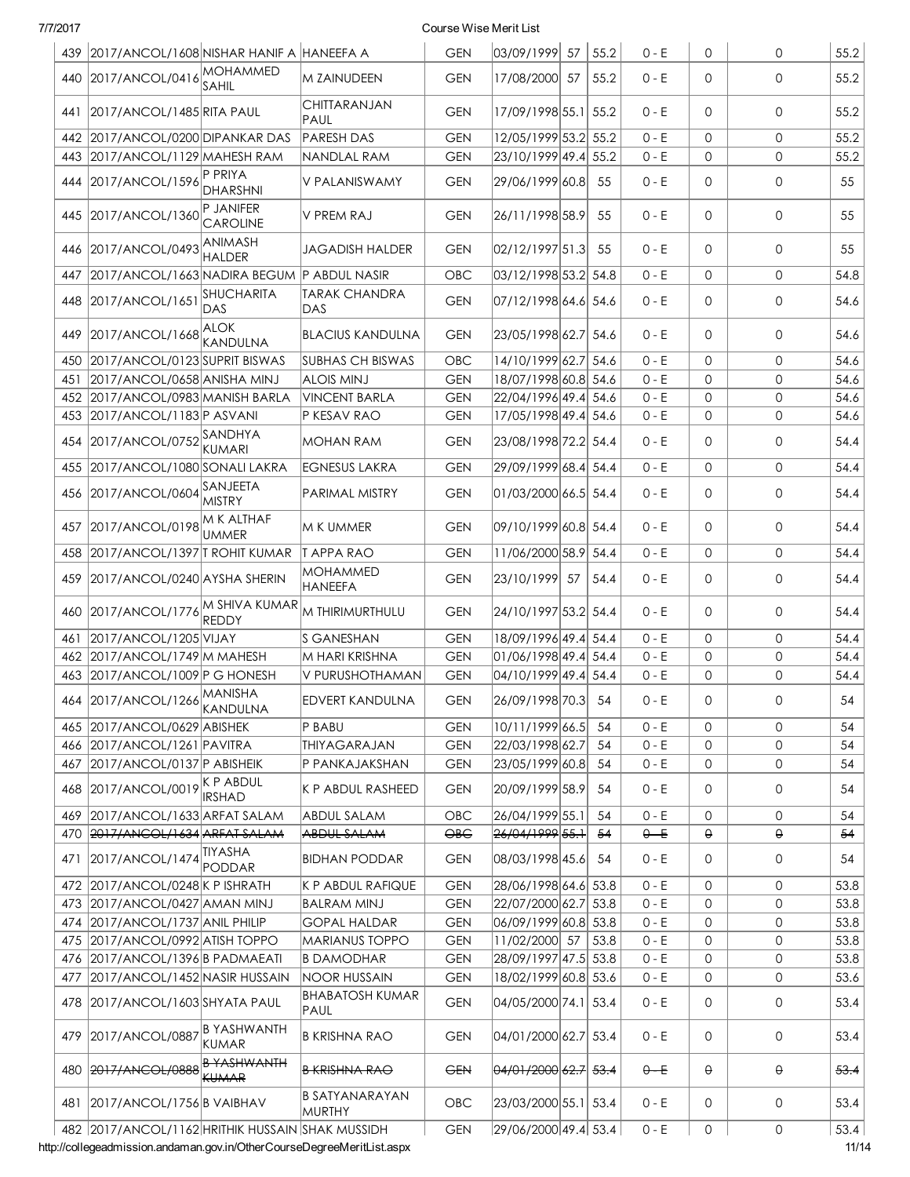| 7/7/2017 |                                                  |                                 |                                   | Course Wise Merit List |                                            |      |         |              |              |      |
|----------|--------------------------------------------------|---------------------------------|-----------------------------------|------------------------|--------------------------------------------|------|---------|--------------|--------------|------|
| 439      | 2017/ANCOL/1608 NISHAR HANIF A HANEEFA A         |                                 |                                   | <b>GEN</b>             | 03/09/1999 57                              | 55.2 | $0 - E$ | $\mathbf 0$  | 0            | 55.2 |
| 440      | 2017/ANCOL/0416 MOHAMMED                         | SAHIL                           | M ZAINUDEEN                       | <b>GEN</b>             | 17/08/2000 57                              | 55.2 | $0 - E$ | $\Omega$     | $\mathbf{O}$ | 55.2 |
| 441      | 2017/ANCOL/1485 RITA PAUL                        |                                 | CHITTARANJAN<br>PAUL              | <b>GEN</b>             | 17/09/1998 55.1 55.2                       |      | $0 - E$ | $\Omega$     | 0            | 55.2 |
| 442      | 2017/ANCOL/0200 DIPANKAR DAS                     |                                 | <b>PARESH DAS</b>                 | <b>GEN</b>             | 12/05/1999 53.2 55.2                       |      | $0 - E$ | $\Omega$     | $\mathbf{O}$ | 55.2 |
| 443      | 2017/ANCOL/1129 MAHESH RAM                       |                                 | NANDLAL RAM                       | <b>GEN</b>             | 23/10/1999 49.4 55.2                       |      | $0 - E$ | $\Omega$     | 0            | 55.2 |
| 444      | 2017/ANCOL/1596                                  | P PRIYA<br>DHARSHNI             | V PALANISWAMY                     | <b>GEN</b>             | 29/06/1999 60.8                            | 55   | $0 - E$ | $\mathbf 0$  | 0            | 55   |
| 445      | 2017/ANCOL/1360                                  | P JANIFER<br>CAROLINE           | V PREM RAJ                        | <b>GEN</b>             | 26/11/1998 58.9                            | 55   | $0 - E$ | $\mathbf 0$  | $\mathbf 0$  | 55   |
| 446      | 2017/ANCOL/0493                                  | <b>ANIMASH</b><br><b>HALDER</b> | <b>JAGADISH HALDER</b>            | <b>GEN</b>             | 02/12/1997 51.3                            | 55   | $0 - E$ | $\Omega$     | $\mathbf{O}$ | 55   |
| 447      | 2017/ANCOL/1663 NADIRA BEGUM P ABDUL NASIR       |                                 |                                   | <b>OBC</b>             | 03/12/1998 53.2 54.8                       |      | $0 - E$ | $\Omega$     | 0            | 54.8 |
| 448      | 2017/ANCOL/165                                   | <b>SHUCHARITA</b>               | <b>TARAK CHANDRA</b>              | <b>GEN</b>             | 07/12/1998 64.6 54.6                       |      | $0 - E$ | 0            | 0            | 54.6 |
|          |                                                  | <b>DAS</b>                      | DAS                               |                        |                                            |      |         |              |              |      |
| 449      | 2017/ANCOL/1668 ALOK                             | KANDULNA                        | <b>BLACIUS KANDULNA</b>           | <b>GEN</b>             | 23/05/1998 62.7 54.6                       |      | $0 - E$ | $\Omega$     | 0            | 54.6 |
| 450      | 2017/ANCOL/0123 SUPRIT BISWAS                    |                                 | <b>SUBHAS CH BISWAS</b>           | OBC                    | 14/10/1999 62.7 54.6                       |      | $0 - E$ | $\mathbf 0$  | $\mathbf{O}$ | 54.6 |
| 451      | 2017/ANCOL/0658 ANISHA MINJ                      |                                 | <b>ALOIS MINJ</b>                 | <b>GEN</b>             | 18/07/1998 60.8 54.6                       |      | $0 - E$ | $\Omega$     | 0            | 54.6 |
| 452      | 2017/ANCOL/0983 MANISH BARLA                     |                                 | <b>VINCENT BARLA</b>              | <b>GEN</b>             | 22/04/1996 49.4 54.6                       |      | $0 - E$ | $\mathbf 0$  | 0            | 54.6 |
| 453      | 2017/ANCOL/1183 P ASVANI                         |                                 | <b>P KESAV RAO</b>                | <b>GEN</b>             | 17/05/1998 49.4 54.6                       |      | $0 - E$ | $\mathbf 0$  | 0            | 54.6 |
| 454      | 2017/ANCOL/0752 SANDHYA                          | <b>KUMARI</b>                   | MOHAN RAM                         | <b>GEN</b>             | 23/08/1998 72.2 54.4                       |      | $0 - E$ | $\Omega$     | 0            | 54.4 |
| 455      | 2017/ANCOL/1080 SONALI LAKRA                     |                                 | <b>EGNESUS LAKRA</b>              | <b>GEN</b>             | 29/09/1999 68.4 54.4                       |      | $0 - E$ | $\mathbf 0$  | $\mathbf{O}$ | 54.4 |
| 456      | 2017/ANCOL/0604                                  | SANJEETA<br><b>MISTRY</b>       | <b>PARIMAL MISTRY</b>             | <b>GEN</b>             | 01/03/2000 66.5 54.4                       |      | $0 - E$ | $\mathbf 0$  | 0            | 54.4 |
| 457      | 2017/ANCOL/0198 M K ALTHAF                       | <b>UMMER</b>                    | IM K UMMER                        | <b>GEN</b>             | 09/10/1999 60.8 54.4                       |      | $0 - E$ | $\Omega$     | 0            | 54.4 |
| 458      | 2017/ANCOL/1397 TROHIT KUMAR                     |                                 | <b>TAPPARAO</b>                   | <b>GEN</b>             | 11/06/2000 58.9 54.4                       |      | $0 - E$ | $\Omega$     | $\mathbf{O}$ | 54.4 |
| 459      | 2017/ANCOL/0240 AYSHA SHERIN                     |                                 | <b>MOHAMMED</b><br><b>HANEEFA</b> | <b>GEN</b>             | 23/10/1999 57                              | 54.4 | $0 - E$ | $\mathbf 0$  | 0            | 54.4 |
| 460      | 2017/ANCOL/1776 M SHIVA KUMAR                    | <b>REDDY</b>                    | M THIRIMURTHULU                   | <b>GEN</b>             | 24/10/1997 53.2 54.4                       |      | $0 - E$ | $\Omega$     | 0            | 54.4 |
| 461      | 2017/ANCOL/1205 VIJAY                            |                                 | <b>S GANESHAN</b>                 | <b>GEN</b>             | 18/09/1996 49.4 54.4                       |      | $0 - E$ | $\Omega$     | $\mathbf{O}$ | 54.4 |
| 462      | 2017/ANCOL/1749 M MAHESH                         |                                 | M HARI KRISHNA                    | <b>GEN</b>             | 01/06/1998 49.4 54.4                       |      | $0 - E$ | $\mathbf{0}$ | 0            | 54.4 |
| 463      | 2017/ANCOL/1009 P G HONESH                       |                                 | V PURUSHOTHAMAN                   | <b>GEN</b>             | 04/10/1999 49.4 54.4                       |      | $0 - E$ | $\mathbf{0}$ | 0            | 54.4 |
| 464      | 2017/ANCOL/1266 MANISHA                          | KANDULNA                        | <b>EDVERT KANDULNA</b>            | <b>GEN</b>             | 26/09/1998 70.3                            | 54   | 0 - E   | 0            | 0            | 54   |
| 465      | 2017/ANCOL/0629 ABISHEK                          |                                 | P BABU                            | <b>GEN</b>             | 10/11/1999 66.5                            | 54   | $0 - E$ | 0            | 0            | 54   |
| 466      | 2017/ANCOL/1261 PAVITRA                          |                                 | THIYAGARAJAN                      | <b>GEN</b>             | 22/03/1998 62.7                            | 54   | $0 - E$ | $\mathbf{0}$ | 0            | 54   |
| 467      | 2017/ANCOL/0137 P ABISHEIK                       |                                 | P PANKAJAKSHAN                    | <b>GEN</b>             | 23/05/1999 60.8                            | 54   | $0 - E$ | 0            | 0            | 54   |
| 468      | 2017/ANCOL/0019 K P ABDUL                        | <b>IRSHAD</b>                   | IK P ABDUL RASHEED                | <b>GEN</b>             | 20/09/1999 58.9                            | -54  | $0 - E$ | 0            | 0            | 54   |
| 469      | 2017/ANCOL/1633 ARFAT SALAM                      |                                 | <b>ABDUL SALAM</b>                | OBC                    | 26/04/1999 55.1                            | 54   | $0 - E$ | 0            | 0            | 54   |
| 470      | 2017/ANCOL/1634 ARFAT SALAM                      |                                 | ABDUL SALAM                       | $\Theta$ B $\Theta$    | 26/04/1999 55.1                            | -54  | $0 - E$ | $\Theta$     | $\Theta$     | -54  |
| 471      | 2017/ANCOL/1474 TIYASHA                          | PODDAR                          | <b>BIDHAN PODDAR</b>              | GEN                    | 08/03/1998 45.6                            | 54   | $0 - E$ | 0            | 0            | 54   |
| 472      | 2017/ANCOL/0248 K P ISHRATH                      |                                 | IK P ABDUL RAFIQUE                | <b>GEN</b>             | 28/06/1998 64.6 53.8                       |      | $0 - E$ | $\mathbf{0}$ | 0            | 53.8 |
| 473      | 2017/ANCOL/0427 AMAN MINJ                        |                                 | <b>BALRAM MINJ</b>                | <b>GEN</b>             | 22/07/2000 62.7 53.8                       |      | $0 - E$ | $\mathbf{0}$ | 0            | 53.8 |
| 474      | 2017/ANCOL/1737 ANIL PHILIP                      |                                 | <b>GOPAL HALDAR</b>               | <b>GEN</b>             | 06/09/1999 60.8 53.8                       |      | $0 - E$ | 0            | 0            | 53.8 |
| 475      | 2017/ANCOL/0992 ATISH TOPPO                      |                                 | <b>MARIANUS TOPPO</b>             | <b>GEN</b>             | 11/02/2000 57                              | 53.8 | $0 - E$ | $\mathbf 0$  | 0            | 53.8 |
| 476      | 2017/ANCOL/1396 B PADMAEATI                      |                                 | <b>B DAMODHAR</b>                 | <b>GEN</b>             | 28/09/1997 47.5 53.8                       |      | $0 - E$ | $\mathbf 0$  | 0            | 53.8 |
| 477      | 2017/ANCOL/1452 NASIR HUSSAIN                    |                                 | <b>NOOR HUSSAIN</b>               | <b>GEN</b>             | 18/02/1999 60.8 53.6                       |      | $0 - E$ | 0            | 0            | 53.6 |
| 478      | 2017/ANCOL/1603 SHYATA PAUL                      |                                 | <b>BHABATOSH KUMAR</b><br>PAUL    | <b>GEN</b>             | 04/05/2000 74.1 53.4                       |      | $0 - E$ | 0            | 0            | 53.4 |
|          | 479 2017/ANCOL/0887                              | B YASHWANTH<br><b>KUMAR</b>     | <b>B KRISHNA RAO</b>              | <b>GEN</b>             | 04/01/2000 62.7 53.4                       |      | 0 - E   | 0            | 0            | 53.4 |
| 480      | 2017/ANCOL/0888                                  | B YASHWANTH<br><b>KUMAR</b>     | <del>B KRISHNA RAO</del>          | <b>GEN</b>             | <del>04/01/2000</del> <del>62.7</del> 53.4 |      | $0 - E$ | θ            | $\Theta$     | 53.4 |
| 481      | 2017/ANCOL/1756 B VAIBHAV                        |                                 | B SATYANARAYAN<br>MURTHY          | <b>OBC</b>             | 23/03/2000 55.1 53.4                       |      | 0 - E   | 0            | 0            | 53.4 |
|          | 482 2017/ANCOL/1162 HRITHIK HUSSAIN SHAK MUSSIDH |                                 |                                   | <b>GEN</b>             | 29/06/2000 49.4 53.4                       |      | $0 - E$ | 0            | 0            | 53.4 |

http://collegeadmission.andaman.gov.in/OtherCourseDegreeMeritList.aspx 11/14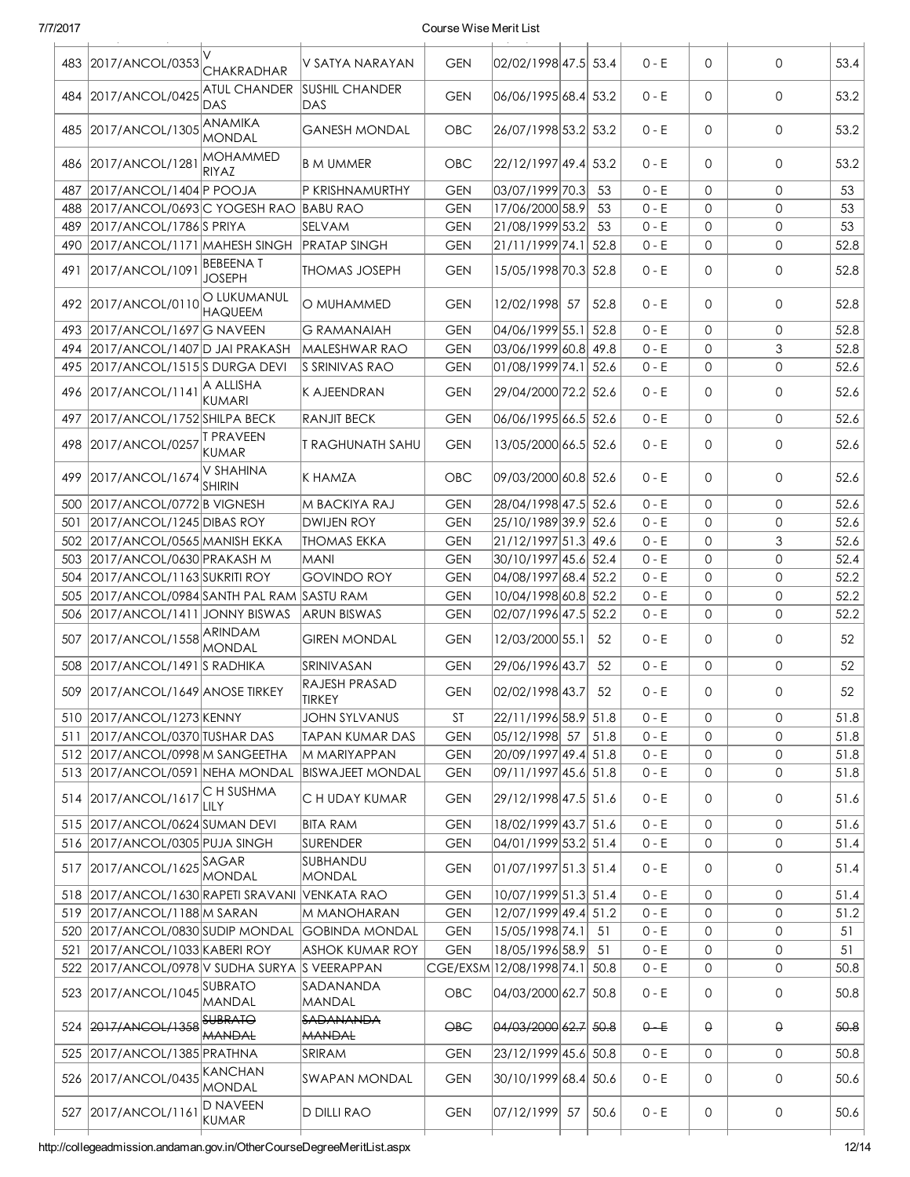| 483 | 2017/ANCOL/0353                                                              | <b>CHAKRADHAR</b>                | V SATYA NARAYAN                       | <b>GEN</b>               | 02/02/1998 47.5 53.4                          |      | $0 - E$            | $\mathbf 0$  | 0            | 53.4         |
|-----|------------------------------------------------------------------------------|----------------------------------|---------------------------------------|--------------------------|-----------------------------------------------|------|--------------------|--------------|--------------|--------------|
|     | 484 2017/ANCOL/0425                                                          | <b>ATUL CHANDER</b><br>DAS       | <b>SUSHIL CHANDER</b><br>DAS          | <b>GEN</b>               | 06/06/1995 68.4 53.2                          |      | $0 - E$            | $\mathbf{0}$ | $\mathbf 0$  | 53.2         |
| 485 | 2017/ANCOL/1305                                                              | ANAMIKA<br><b>MONDAL</b>         | <b>GANESH MONDAL</b>                  | <b>OBC</b>               | 26/07/1998 53.2 53.2                          |      | $0 - E$            | 0            | 0            | 53.2         |
| 486 | 2017/ANCOL/1281                                                              | <b>MOHAMMED</b><br><b>RIYAZ</b>  | <b>B M UMMER</b>                      | <b>OBC</b>               | 22/12/1997 49.4                               | 53.2 | $0 - E$            | 0            | 0            | 53.2         |
| 487 | 2017/ANCOL/1404 P POOJA                                                      |                                  | P KRISHNAMURTHY                       | <b>GEN</b>               | 03/07/1999 70.3                               | 53   | $0 - E$            | $\mathbf{0}$ | 0            | 53           |
| 488 | 2017/ANCOL/0693 C YOGESH RAO BABU RAO                                        |                                  |                                       | <b>GEN</b>               | 17/06/2000 58.9                               | 53   | $0 - E$            | $\mathbf{0}$ | 0            | 53           |
| 489 | 2017/ANCOL/1786 S PRIYA                                                      |                                  | <b>SELVAM</b>                         | <b>GEN</b>               | 21/08/1999 53.2                               | 53   | $0 - E$            | 0            | $\mathbf{0}$ | 53           |
| 490 | 2017/ANCOL/1171 MAHESH SINGH                                                 |                                  | <b>PRATAP SINGH</b>                   | <b>GEN</b>               | 21/11/1999 74.1 52.8                          |      | $0 - E$            | 0            | 0            | 52.8         |
| 491 | 2017/ANCOL/1091                                                              | <b>BEBEENAT</b><br><b>JOSEPH</b> | <b>THOMAS JOSEPH</b>                  | <b>GEN</b>               | 15/05/1998 70.3 52.8                          |      | $0 - E$            | 0            | 0            | 52.8         |
| 492 | 2017/ANCOL/0110                                                              | O LUKUMANUL<br><b>HAQUEEM</b>    | O MUHAMMED                            | <b>GEN</b>               | 12/02/1998 57                                 | 52.8 | $0 - E$            | 0            | 0            | 52.8         |
| 493 | 2017/ANCOL/1697 G NAVEEN                                                     |                                  | <b>G RAMANAIAH</b>                    | <b>GEN</b>               | 04/06/1999 55.1                               | 52.8 | $0 - E$            | 0            | $\mathbf 0$  | 52.8         |
| 494 | 2017/ANCOL/1407D JAI PRAKASH                                                 |                                  | MALESHWAR RAO                         | <b>GEN</b>               | 03/06/1999 60.8 49.8                          |      | $0 - E$            | 0            | 3            | 52.8         |
| 495 | 2017/ANCOL/1515 SDURGA DEVI                                                  |                                  | <b>S SRINIVAS RAO</b>                 | <b>GEN</b>               | 01/08/1999 74.1 52.6                          |      | $0 - E$            | 0            | 0            | 52.6         |
| 496 | 2017/ANCOL/1141                                                              | A ALLISHA<br><b>KUMARI</b>       | K AJEENDRAN                           | <b>GEN</b>               | 29/04/2000 72.2 52.6                          |      | $0 - E$            | 0            | 0            | 52.6         |
| 497 | 2017/ANCOL/1752 SHILPA BECK                                                  |                                  | RANJIT BECK                           | <b>GEN</b>               | 06/06/1995 66.5 52.6                          |      | $0 - E$            | 0            | 0            | 52.6         |
| 498 | 2017/ANCOL/0257                                                              | T PRAVEEN<br>KUMAR               | <b>T RAGHUNATH SAHU</b>               | <b>GEN</b>               | 13/05/2000 66.5 52.6                          |      | $0 - E$            | 0            | 0            | 52.6         |
| 499 | 2017/ANCOL/1674                                                              | V SHAHINA<br><b>SHIRIN</b>       | K HAMZA                               | <b>OBC</b>               | 09/03/2000 60.8 52.6                          |      | $0 - E$            | 0            | 0            | 52.6         |
| 500 | 2017/ANCOL/0772 B VIGNESH                                                    |                                  | M BACKIYA RAJ                         | <b>GEN</b>               | 28/04/1998 47.5 52.6                          |      | $0 - E$            | 0            | 0            | 52.6         |
| 501 | 2017/ANCOL/1245 DIBAS ROY                                                    |                                  | <b>DWIJEN ROY</b>                     | <b>GEN</b>               | 25/10/1989 39.9 52.6                          |      | $0 - E$            | 0            | 0            | 52.6         |
|     | 502 2017/ANCOL/0565 MANISH EKKA                                              |                                  | <b>THOMAS EKKA</b>                    | <b>GEN</b>               | 21/12/1997 51.3 49.6                          |      | $0 - E$            | 0            | 3            | 52.6         |
|     | 503 2017/ANCOL/0630 PRAKASH M                                                |                                  | <b>MANI</b>                           | <b>GEN</b>               | 30/10/1997 45.6 52.4                          |      | $0 - E$            | 0            | 0            | 52.4         |
|     | 504 2017/ANCOL/1163 SUKRITI ROY                                              |                                  | <b>GOVINDO ROY</b>                    | <b>GEN</b>               | 04/08/1997 68.4 52.2                          |      | $0 - E$            | 0            | 0            | 52.2         |
| 505 | 2017/ANCOL/0984 SANTH PAL RAM SASTU RAM                                      |                                  |                                       | <b>GEN</b>               | 10/04/1998 60.8 52.2                          |      | $0 - E$            | 0            | 0            | 52.2         |
| 506 | 2017/ANCOL/1411 JONNY BISWAS                                                 |                                  | <b>ARUN BISWAS</b>                    | <b>GEN</b>               | 02/07/1996 47.5 52.2                          |      | $0 - E$            | 0            | 0            | 52.2         |
| 507 | 2017/ANCOL/1558                                                              | <b>ARINDAM</b><br>MONDAL         | <b>GIREN MONDAL</b>                   | <b>GEN</b>               | 12/03/2000 55.1                               | 52   | $0 - E$            | 0            | 0            | 52           |
| 508 | $ 2017/ANCOL/1491 S$ RADHIKA                                                 |                                  | SRINIVASAN                            | <b>GEN</b>               | 29/06/1996 43.7                               | 52   | $0 - E$            | 0            | 0            | 52           |
|     | 509 2017/ANCOL/1649 ANOSE TIRKEY                                             |                                  | <b>RAJESH PRASAD</b><br><b>TIRKEY</b> | <b>GEN</b>               | 02/02/1998 43.7                               | 52   | $0 - E$            | 0            | 0            | 52           |
|     |                                                                              |                                  |                                       |                          |                                               |      |                    |              |              |              |
| 511 | 510 2017/ANCOL/1273 KENNY                                                    |                                  | <b>JOHN SYLVANUS</b>                  | <b>ST</b>                | 22/11/1996 58.9 51.8                          |      | $0 - E$            | 0            | 0            | 51.8         |
|     | 2017/ANCOL/0370 TUSHAR DAS                                                   |                                  | <b>TAPAN KUMAR DAS</b>                | <b>GEN</b>               | 05/12/1998 57                                 | 51.8 | $0 - E$            | 0            | 0            | 51.8         |
|     | 512 2017/ANCOL/0998 M SANGEETHA                                              |                                  | M MARIYAPPAN                          | <b>GEN</b>               | 20/09/1997 49.4 51.8                          |      | $0 - E$            | 0            | 0            | 51.8         |
|     | 513 2017/ANCOL/0591 NEHA MONDAL                                              |                                  | <b>BISWAJEET MONDAL</b>               | <b>GEN</b>               | 09/11/1997 45.6 51.8                          |      | $0 - E$            | 0            | 0            | 51.8         |
|     | 514 2017/ANCOL/1617                                                          | C H SUSHMA<br>LILY               | C H UDAY KUMAR                        | <b>GEN</b>               | 29/12/1998 47.5 51.6                          |      | 0 - E              | 0            | 0            | 51.6         |
|     | 515 2017/ANCOL/0624 SUMAN DEVI                                               |                                  | <b>BITA RAM</b>                       | <b>GEN</b>               | 18/02/1999 43.7 51.6                          |      | $0 - E$            | 0            | 0            | 51.6         |
|     |                                                                              |                                  | <b>SURENDER</b>                       |                          |                                               |      |                    | 0            | 0            |              |
| 517 | 516 2017/ANCOL/0305 PUJA SINGH<br>2017/ANCOL/1625 SAGAR                      | MONDAL                           | SUBHANDU<br>MONDAL                    | <b>GEN</b><br><b>GEN</b> | 04/01/1999 53.2 51.4<br> 01/07/1997 51.3 51.4 |      | $0 - E$<br>$0 - E$ | 0            | 0            | 51.4<br>51.4 |
|     | 518 2017/ANCOL/1630 RAPETI SRAVANI                                           |                                  | <b>VENKATA RAO</b>                    | <b>GEN</b>               | 10/07/1999 51.3 51.4                          |      | $0 - E$            | 0            | 0            | 51.4         |
|     | 519 2017/ANCOL/1188 M SARAN                                                  |                                  | M MANOHARAN                           | <b>GEN</b>               | 12/07/1999 49.4 51.2                          |      | $0 - E$            | 0            | 0            | 51.2         |
| 520 | 2017/ANCOL/0830 SUDIP MONDAL                                                 |                                  | <b>GOBINDA MONDAL</b>                 | <b>GEN</b>               | 15/05/1998 74.1                               | 51   | $0 - E$            | 0            | 0            | 51           |
| 521 | 2017/ANCOL/1033 KABERI ROY                                                   |                                  | ASHOK KUMAR ROY                       | <b>GEN</b>               | 18/05/1996 58.9                               | 51   | $0 - E$            | 0            | 0            | 51           |
|     |                                                                              |                                  |                                       |                          |                                               |      |                    | 0            | 0            |              |
|     | 522 2017/ANCOL/0978 V SUDHA SURYA S VEERAPPAN<br>523 2017/ANCOL/1045 SUBRATO | MANDAL                           | SADANANDA<br>MANDAL                   | CGE/EXSM<br>OBC          | 12/08/1998 74.1 50.8<br>04/03/2000 62.7 50.8  |      | $0 - E$<br>$0 - E$ | 0            | 0            | 50.8<br>50.8 |
|     | 524 2017/ANCOL/1358                                                          | <b>SUBRATO</b><br><b>MANDAL</b>  | <b>SADANANDA</b><br><b>MANDAL</b>     | $\Theta$ BC              | 04/03/2000 62.7 50.8                          |      | $0 - E$            | $\Theta$     | $\Theta$     | 50.8         |
|     | 525 2017/ANCOL/1385 PRATHNA                                                  |                                  | <b>SRIRAM</b>                         | <b>GEN</b>               | 23/12/1999 45.6 50.8                          |      | $0 - E$            | 0            | 0            | 50.8         |
|     | 526 2017/ANCOL/0435                                                          | KANCHAN<br><b>MONDAL</b>         | SWAPAN MONDAL                         | <b>GEN</b>               | 30/10/1999 68.4 50.6                          |      | 0 - E              | 0            | 0            | 50.6         |
|     | 527 2017/ANCOL/1161                                                          | D NAVEEN<br><b>KUMAR</b>         | <b>D DILLI RAO</b>                    | <b>GEN</b>               | 07/12/1999 57                                 | 50.6 | $0 - E$            | 0            | 0            | 50.6         |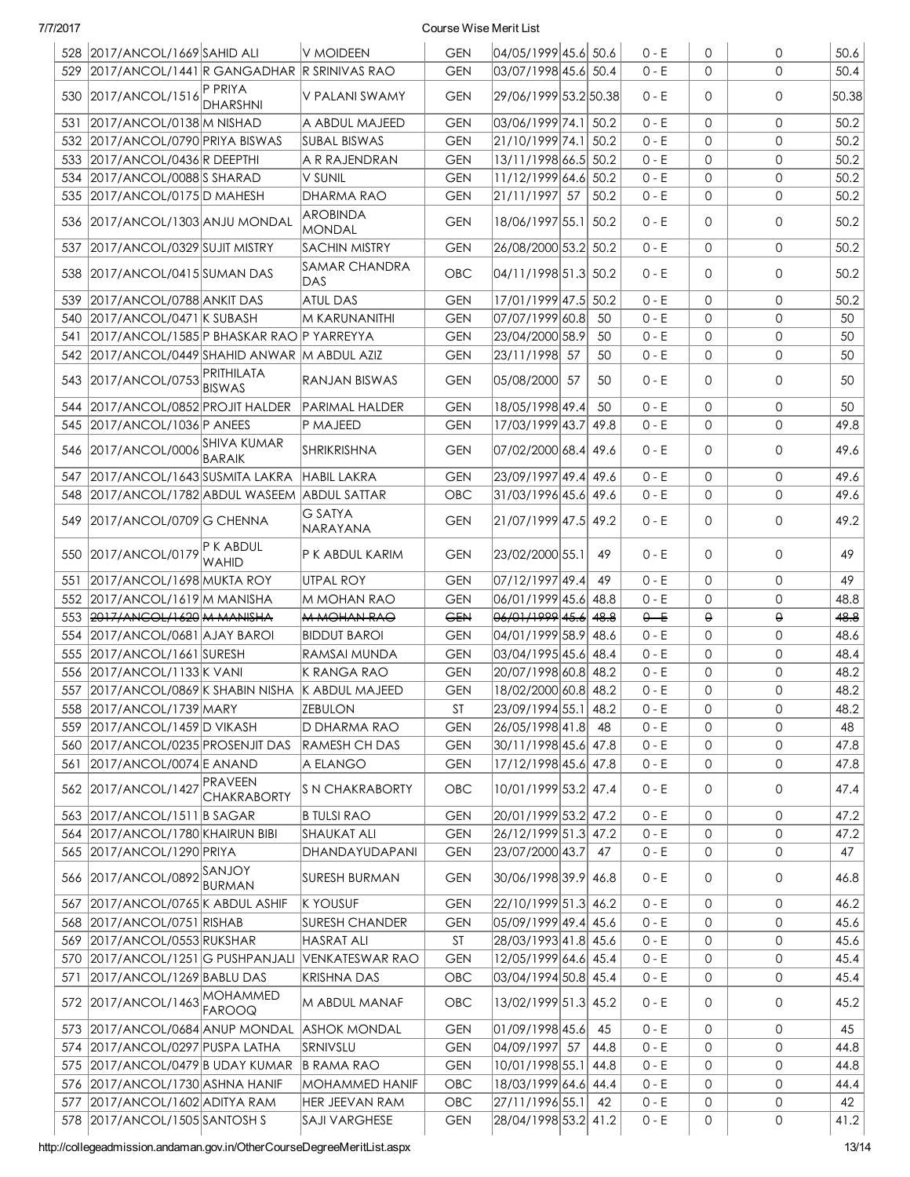|  | 7/7/201 |  |
|--|---------|--|
|  |         |  |

### Course Wise Merit List

|     | 528 2017/ANCOL/1669 SAHID ALI                               |                            | <b>V MOIDEEN</b>                              | <b>GEN</b>        | 04/05/1999 45.6 50.6                    |      | $0 - E$            | 0            | 0           | 50.6       |
|-----|-------------------------------------------------------------|----------------------------|-----------------------------------------------|-------------------|-----------------------------------------|------|--------------------|--------------|-------------|------------|
| 529 | $ 2017/ANCOL/1441 R GANGADHAR  R SRINIVAS RAO$              |                            |                                               | <b>GEN</b>        | 03/07/1998 45.6 50.4                    |      | $0 - E$            | $\Omega$     | 0           | 50.4       |
|     | 530 2017/ANCOL/1516                                         | P PRIYA<br><b>DHARSHNI</b> | V PALANI SWAMY                                | <b>GEN</b>        | 29/06/1999 53.2 50.38                   |      | $0 - E$            | 0            | 0           | 50.38      |
| 531 | 2017/ANCOL/0138 M NISHAD                                    |                            | A ABDUL MAJEED                                | <b>GEN</b>        | 03/06/1999 74.1 50.2                    |      | $0 - E$            | 0            | 0           | 50.2       |
|     | 532 2017/ANCOL/0790 PRIYA BISWAS                            |                            | <b>SUBAL BISWAS</b>                           | <b>GEN</b>        | 21/10/1999 74.1 50.2                    |      | $0 - E$            | $\mathbf{O}$ | 0           | 50.2       |
|     | 533 2017/ANCOL/0436 R DEEPTHI                               |                            | A R RAJENDRAN                                 | <b>GEN</b>        | 13/11/1998 66.5 50.2                    |      | $0 - E$            | 0            | 0           | 50.2       |
|     | 534 2017/ANCOL/0088 SHARAD                                  |                            | V SUNIL                                       | <b>GEN</b>        | 11/12/1999 64.6 50.2                    |      | $0 - E$            | 0            | 0           | 50.2       |
|     | 535 2017/ANCOL/0175 D MAHESH                                |                            | <b>DHARMA RAO</b>                             | <b>GEN</b>        | 21/11/1997 57                           | 50.2 | $0 - E$            | 0            | 0           | 50.2       |
|     | 536 2017/ANCOL/1303 ANJU MONDAL                             |                            | <b>AROBINDA</b><br><b>MONDAL</b>              | <b>GEN</b>        | 18/06/1997 55.1 50.2                    |      | $0 - E$            | 0            | 0           | 50.2       |
| 537 | 2017/ANCOL/0329 SUJIT MISTRY                                |                            | SACHIN MISTRY                                 | <b>GEN</b>        | 26/08/2000 53.2 50.2                    |      | $0 - E$            | $\mathbf{0}$ | 0           | 50.2       |
|     | 538 2017/ANCOL/0415 SUMAN DAS                               |                            | <b>SAMAR CHANDRA</b><br>DAS                   | <b>OBC</b>        | 04/11/1998 51.3 50.2                    |      | $0 - E$            | 0            | $\mathbf 0$ | 50.2       |
| 539 | 2017/ANCOL/0788 ANKIT DAS                                   |                            | <b>ATUL DAS</b>                               | <b>GEN</b>        | 17/01/1999 47.5                         | 50.2 | $0 - E$            | $\mathbf{0}$ | 0           | 50.2       |
| 540 | 2017/ANCOL/0471 K SUBASH                                    |                            | IM KARUNANITHI                                | <b>GEN</b>        | 07/07/1999 60.8                         | 50   | $0 - E$            | 0            | 0           | 50         |
| 541 | 2017/ANCOL/1585 P BHASKAR RAO P YARREYYA                    |                            |                                               | <b>GEN</b>        | 23/04/2000 58.9                         | 50   | $0 - E$            | 0            | 0           | 50         |
|     | 542 2017/ANCOL/0449 SHAHID ANWAR M ABDUL AZIZ               |                            |                                               | <b>GEN</b>        | 23/11/1998 57                           | 50   | $0 - E$            | 0            | 0           | 50         |
|     | 543 2017/ANCOL/0753 PRITHILATA                              | <b>BISWAS</b>              | RANJAN BISWAS                                 | <b>GEN</b>        | 05/08/2000 57                           | 50   | $0 - E$            | 0            | 0           | 50         |
|     | 544 2017/ANCOL/0852 PROJIT HALDER                           |                            | <b>PARIMAL HALDER</b>                         | <b>GEN</b>        | 18/05/1998 49.4                         | 50   | $0 - E$            | $\mathbf{0}$ | 0           | 50         |
|     | 545 2017/ANCOL/1036 P ANEES                                 |                            | <b>P MAJEED</b>                               | <b>GEN</b>        | 17/03/1999 43.7                         | 49.8 | $0 - E$            | 0            | 0           | 49.8       |
| 546 | 2017/ANCOL/0006 SHIVA KUMAR                                 | <b>BARAIK</b>              | SHRIKRISHNA                                   | <b>GEN</b>        | 07/02/2000 68.4 49.6                    |      | $0 - E$            | 0            | 0           | 49.6       |
| 547 | 2017/ANCOL/1643 SUSMITA LAKRA                               |                            | <b>HABIL LAKRA</b>                            | <b>GEN</b>        | 23/09/1997 49.4 49.6                    |      | $0 - E$            | $\mathbf{0}$ | 0           | 49.6       |
|     | 548   2017/ANCOL/1782   ABDUL WASEEM   ABDUL SATTAR         |                            |                                               | <b>OBC</b>        | 31/03/1996 45.6 49.6                    |      | $0 - E$            | $\mathbf{0}$ | 0           | 49.6       |
| 549 | 2017/ANCOL/0709 G CHENNA                                    |                            | <b>G SATYA</b><br>NARAYANA                    | <b>GEN</b>        | 21/07/1999 47.5 49.2                    |      | $0 - E$            | 0            | 0           | 49.2       |
|     | 550 2017/ANCOL/0179 K ABDUL                                 | <b>WAHID</b>               | P K ABDUL KARIM                               | <b>GEN</b>        | 23/02/2000 55.1                         | 49   | $0 - E$            | 0            | 0           | 49         |
| 551 | 2017/ANCOL/1698 MUKTA ROY                                   |                            | <b>UTPAL ROY</b>                              | <b>GEN</b>        | 07/12/1997 49.4                         | 49   | $0 - E$            | $\mathbf{0}$ | 0           | 49         |
|     |                                                             |                            |                                               |                   |                                         |      |                    |              |             |            |
|     | 552 2017/ANCOL/1619 M MANISHA                               |                            | M MOHAN RAO                                   | <b>GEN</b>        | 06/01/1999 45.6 48.8                    |      | $0 - E$            | 0            | 0           | 48.8       |
|     | 553 2017/ANCOL/1620 M MANISHA                               |                            | <b>M MOHAN RAO</b>                            | <b>GEN</b>        | 06/01/1999 45.6 48.8                    |      | $0 - E$            | $\Theta$     | $\Theta$    | 48.8       |
|     | 554   2017/ANCOL/0681   AJAY BAROI                          |                            | <b>BIDDUT BAROI</b>                           | <b>GEN</b>        | 04/01/1999 58.9 48.6                    |      | $0 - E$            | 0            | 0           | 48.6       |
| 555 | 2017/ANCOL/1661 SURESH                                      |                            | RAMSAI MUNDA                                  | <b>GEN</b>        | 03/04/1995 45.6  48.4                   |      | $0 - E$            | 0            | 0           | 48.4       |
|     | 556 2017/ANCOL/1133 K VANI                                  |                            | <b>K RANGA RAO</b>                            | <b>GEN</b>        | 20/07/1998 60.8 48.2                    |      | $0 - E$            | 0            | 0           | 48.2       |
|     | 557 2017/ANCOL/0869 K SHABIN NISHA K ABDUL MAJEED           |                            |                                               | <b>GEN</b>        | 18/02/2000 60.8 48.2                    |      | $0 - E$            | $\mathbf{0}$ | 0           | 48.2       |
|     | 558 2017/ANCOL/1739 MARY                                    |                            | <b>ZEBULON</b>                                | ST                | 23/09/1994 55.1  48.2                   |      | $0 - E$            | 0            | 0           | 48.2       |
| 559 | 2017/ANCOL/1459 D VIKASH                                    |                            | D DHARMA RAO                                  | <b>GEN</b>        | 26/05/1998 41.8                         | 48   | $0 - E$            | 0            | 0           | 48         |
| 560 | 2017/ANCOL/0235 PROSENJIT DAS                               |                            | RAMESH CH DAS                                 | <b>GEN</b>        | 30/11/1998 45.6 47.8                    |      | $0 - E$            | 0            | 0           | 47.8       |
| 561 | 2017/ANCOL/0074 E ANAND                                     |                            | A ELANGO                                      | <b>GEN</b>        | 17/12/1998 45.6 47.8                    |      | $0 - E$            | 0            | 0           | 47.8       |
|     | 562 2017/ANCOL/1427 PRAVEEN                                 | <b>CHAKRABORTY</b>         | <b>S N CHAKRABORTY</b>                        | OBC               | 10/01/1999 53.2 47.4                    |      | $0 - E$            | 0            | 0           | 47.4       |
| 563 | 2017/ANCOL/1511 B SAGAR                                     |                            | <b>B TULSI RAO</b>                            | <b>GEN</b>        | 20/01/1999 53.2 47.2                    |      | $0 - E$            | 0            | 0           | 47.2       |
| 564 | 2017/ANCOL/1780 KHAIRUN BIBI                                |                            | <b>SHAUKAT ALI</b>                            | <b>GEN</b>        | 26/12/1999 51.3 47.2                    |      | $0 - E$            | 0            | 0           | 47.2       |
|     | 565 2017/ANCOL/1290 PRIYA                                   |                            | DHANDAYUDAPANI                                | <b>GEN</b>        | 23/07/2000 43.7                         | 47   | $0 - E$            | $\mathbf 0$  | 0           | 47         |
| 566 | 2017/ANCOL/0892 SANJOY                                      | <b>BURMAN</b>              | <b>SURESH BURMAN</b>                          | <b>GEN</b>        | 30/06/1998 39.9 46.8                    |      | 0 - E              | 0            | 0           | 46.8       |
| 567 | 2017/ANCOL/0765 K ABDUL ASHIF                               |                            | <b>K YOUSUF</b>                               | <b>GEN</b>        | 22/10/1999 51.3 46.2                    |      | 0 - E              | 0            | 0           | 46.2       |
|     | 568 2017/ANCOL/0751 RISHAB                                  |                            | <b>ISURESH CHANDER</b>                        | <b>GEN</b>        | 05/09/1999 49.4  45.6                   |      | $0 - E$            | 0            | 0           | 45.6       |
|     | 569 2017/ANCOL/0553 RUKSHAR                                 |                            | <b>HASRAT ALI</b>                             | ST                | 28/03/1993 41.8 45.6                    |      | $0 - E$            | 0            | 0           | 45.6       |
| 570 | 2017/ANCOL/1251 G PUSHPANJALI                               |                            | VENKATESWAR RAO                               | <b>GEN</b>        | 12/05/1999 64.6 45.4                    |      | $0 - E$            | 0            | 0           | 45.4       |
| 571 | 2017/ANCOL/1269 BABLU DAS                                   |                            | <b>KRISHNA DAS</b>                            | OBC               | 03/04/1994 50.8 45.4                    |      | $0 - E$            | 0            | 0           | 45.4       |
| 572 | 2017/ANCOL/1463 MOHAMMED                                    | FAROOQ                     | M ABDUL MANAF                                 | OBC               | 13/02/1999 51.3 45.2                    |      | $0 - E$            | 0            | 0           | 45.2       |
|     | 573 2017/ANCOL/0684 ANUP MONDAL                             |                            | <b>ASHOK MONDAL</b>                           | <b>GEN</b>        | 01/09/1998 45.6                         | 45   | $0 - E$            | 0            | 0           | 45         |
|     | 574 2017/ANCOL/0297 PUSPA LATHA                             |                            | <b>SRNIVSLU</b>                               | <b>GEN</b>        | 04/09/1997 57                           | 44.8 | $0 - E$            | 0            | 0           | 44.8       |
|     | 575 2017/ANCOL/0479 B UDAY KUMAR                            |                            | <b>B RAMA RAO</b>                             | <b>GEN</b>        | 10/01/1998 55.1                         | 44.8 | $0 - E$            | 0            | 0           | 44.8       |
|     | 576 2017/ANCOL/1730 ASHNA HANIF                             |                            | MOHAMMED HANIF                                | OBC               | 18/03/1999 64.6 44.4                    |      | $0 - E$            | 0            | 0           | 44.4       |
| 577 | 2017/ANCOL/1602 ADITYA RAM<br>578 2017/ANCOL/1505 SANTOSH S |                            | <b>HER JEEVAN RAM</b><br><b>SAJI VARGHESE</b> | OBC<br><b>GEN</b> | 27/11/1996 55.1<br>28/04/1998 53.2 41.2 | 42   | $0 - E$<br>$0 - E$ | 0<br>0       | 0<br>0      | 42<br>41.2 |

http://collegeadmission.andaman.gov.in/OtherCourseDegreeMeritList.aspx 13/14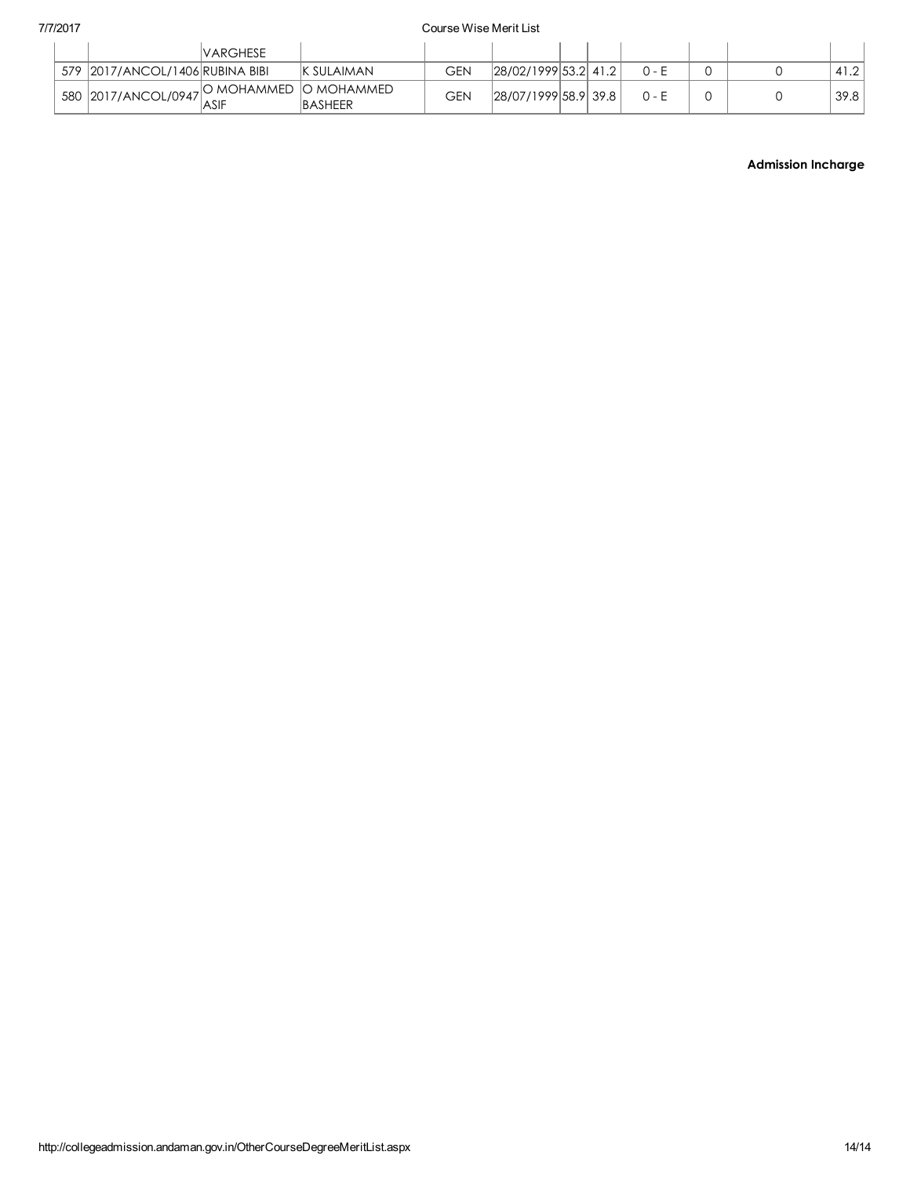|                                           | <b>VARGHESE</b> |                    |     |                      |  |         |  |      |
|-------------------------------------------|-----------------|--------------------|-----|----------------------|--|---------|--|------|
| 579   2017/ANCOL/1406   RUBINA BIBI       |                 | <b>IK SULAIMAN</b> | GEN | 28/02/1999 53.2 41.2 |  | 0 - F   |  | 41.2 |
| $\frac{1}{2017}$ 580 2017/ANCOL/0947 ASIF |                 |                    | GEN | 28/07/1999 58.9 39.8 |  | $0 - F$ |  | 39.8 |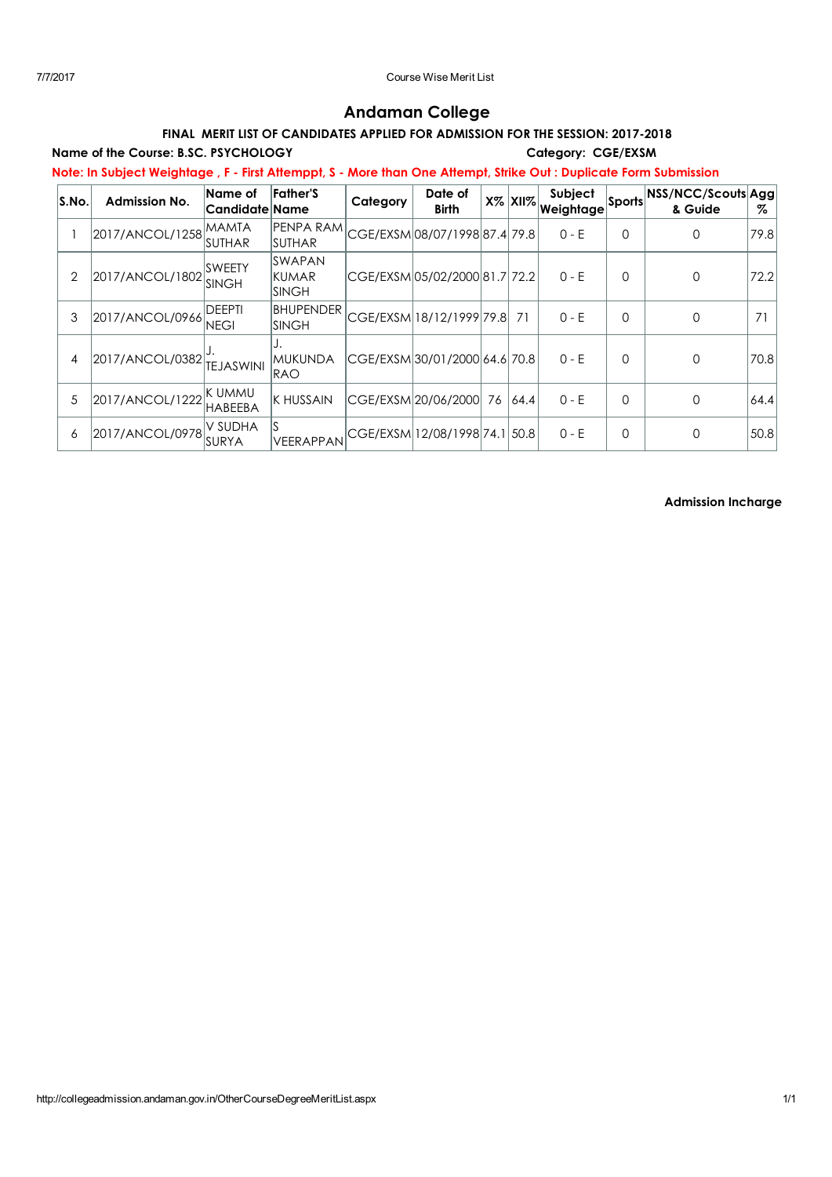# Andaman College

## FINAL MERIT LIST OF CANDIDATES APPLIED FOR ADMISSION FOR THE SESSION: 2017-2018

Name of the Course: B.SC. PSYCHOLOGY Category: CGE/EXSM

Note: In Subject Weightage , F - First Attemppt, S - More than One Attempt, Strike Out : Duplicate Form Submission

| S.No. | <b>Admission No.</b> | Name of<br> Candidate Name     | Father'S                                 | Category | Date of<br><b>Birth</b>        |    | $X\%$ $XII\%$ | <b>Subject</b><br>Weightage |          | Sports NSS/NCC/Scouts Agg<br>& Guide | %    |
|-------|----------------------|--------------------------------|------------------------------------------|----------|--------------------------------|----|---------------|-----------------------------|----------|--------------------------------------|------|
|       | 2017/ANCOL/1258      | IMAMTA<br>ISUTHAR              | PENPA RAMI<br><b>SUTHAR</b>              |          | CGE/EXSM08/07/1998 87.4 79.8   |    |               | $0 - E$                     | $\Omega$ | 0                                    | 79.8 |
| 2     | 2017/ANCOL/1802      | <b>ISWEETY</b><br><b>SINGH</b> | <b>SWAPAN</b><br>IKUMAR<br><b>ISINGH</b> |          | CGE/EXSM 05/02/2000 81.7  72.2 |    |               | $0 - E$                     | 0        | 0                                    | 72.2 |
| 3     | 2017/ANCOL/0966      | DEEPTI<br><b>NEGI</b>          | <b>BHUPENDER</b><br><b>SINGH</b>         |          | CGE/EXSM 18/12/1999 79.8       |    | 71            | $0 - E$                     | $\Omega$ | 0                                    | 71   |
| 4     | 2017/ANCOL/0382      | <b>TEJASWINI</b>               | <b>MUKUNDA</b><br><b>RAO</b>             |          | CGE/EXSM 30/01/2000 64.6  70.8 |    |               | $0 - E$                     | $\Omega$ | 0                                    | 70.8 |
| 5     | 2017/ANCOL/1222      | IK UMMU<br><b>HABEEBA</b>      | <b>K HUSSAIN</b>                         |          | CGE/EXSM 20/06/2000            | 76 | 64.4          | $0 - E$                     | $\Omega$ | 0                                    | 64.4 |
| 6     | 2017/ANCOL/0978      | V SUDHA<br>ISURYA              | VEERAPPAN                                |          | CGE/EXSM 12/08/1998 74.1 50.8  |    |               | $0 - E$                     | $\Omega$ | 0                                    | 50.8 |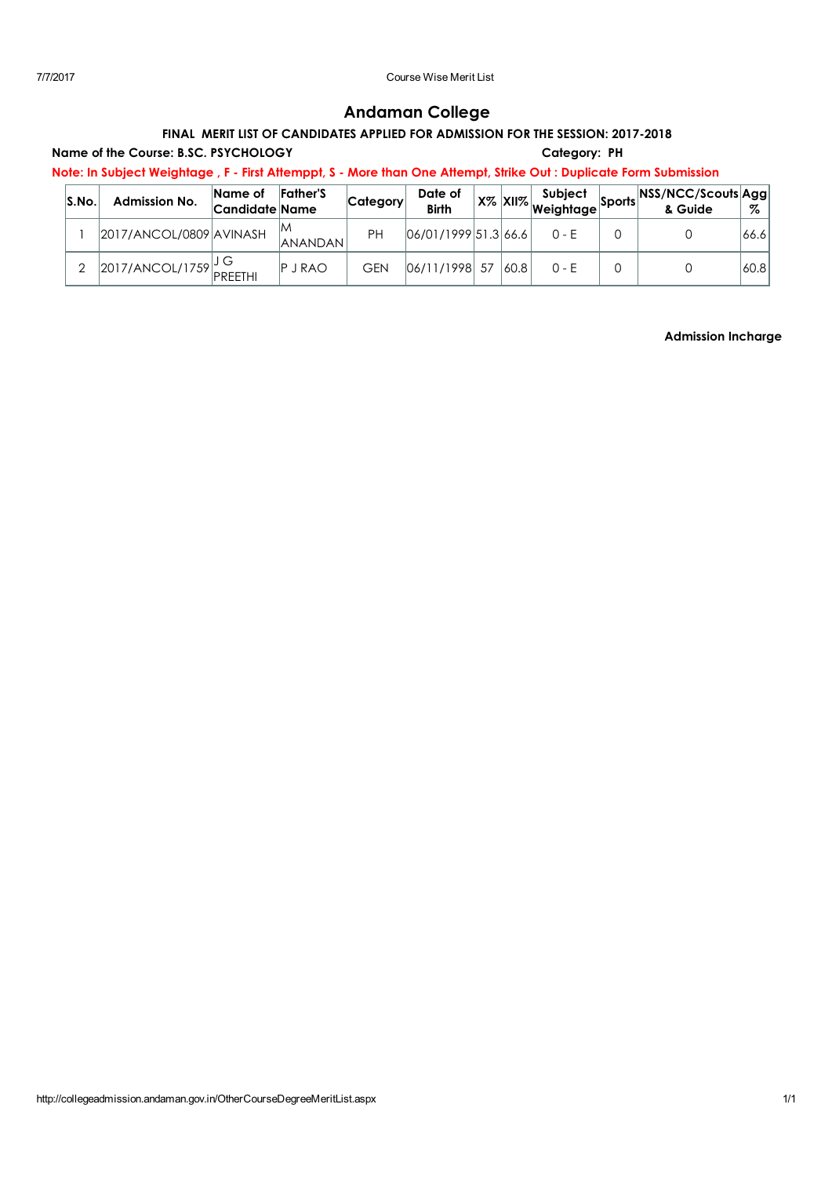# Andaman College

## FINAL MERIT LIST OF CANDIDATES APPLIED FOR ADMISSION FOR THE SESSION: 2017-2018

## Name of the Course: B.SC. PSYCHOLOGY Category: PH

Note: In Subject Weightage , F - First Attemppt, S - More than One Attempt, Strike Out : Duplicate Form Submission

| S.No | <b>Admission No.</b>           | Name of<br>Candidate Name | <b>Father'S</b>      | Category   | Date of<br><b>Birth</b> |      | Subject | of Sports NSS/NCC/Scouts Agg.<br>& Guide | %     |
|------|--------------------------------|---------------------------|----------------------|------------|-------------------------|------|---------|------------------------------------------|-------|
|      | 2017/ANCOL/0809 AVINASH        |                           | ΙM<br><b>ANANDAN</b> | PH         | 06/01/1999 51.3 66.6    |      | $0 - F$ |                                          | 66.6  |
|      | $\sim$ 2017/ANCOL/1759 PREETHI |                           | <b>P</b> J RAO       | <b>GEN</b> | 06/11/1998 57           | 60.8 | $0 - F$ |                                          | 60.81 |